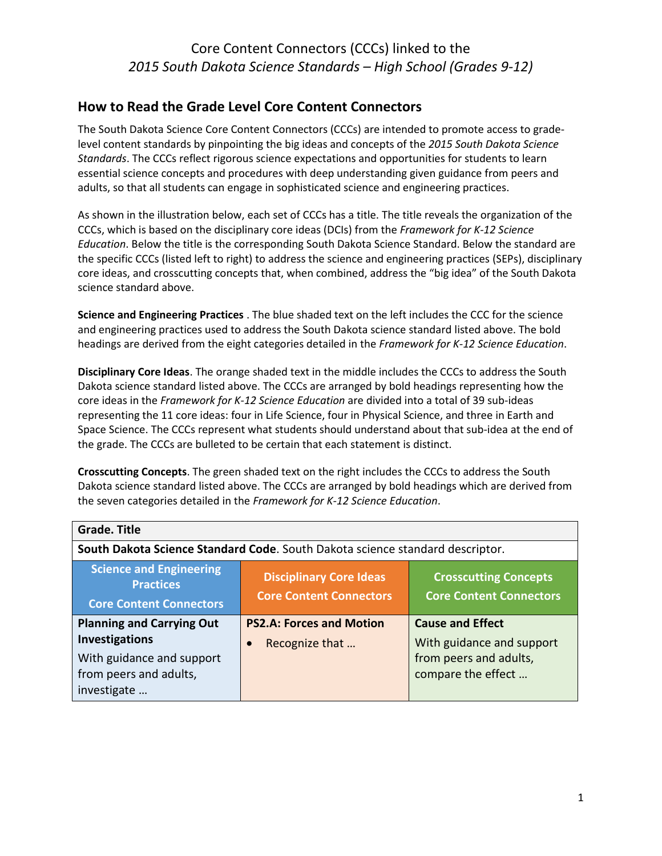#### **How to Read the Grade Level Core Content Connectors**

The South Dakota Science Core Content Connectors (CCCs) are intended to promote access to gradelevel content standards by pinpointing the big ideas and concepts of the *2015 South Dakota Science Standards*. The CCCs reflect rigorous science expectations and opportunities for students to learn essential science concepts and procedures with deep understanding given guidance from peers and adults, so that all students can engage in sophisticated science and engineering practices.

As shown in the illustration below, each set of CCCs has a title. The title reveals the organization of the CCCs, which is based on the disciplinary core ideas (DCIs) from the *Framework for K-12 Science Education*. Below the title is the corresponding South Dakota Science Standard. Below the standard are the specific CCCs (listed left to right) to address the science and engineering practices (SEPs), disciplinary core ideas, and crosscutting concepts that, when combined, address the "big idea" of the South Dakota science standard above.

**Science and Engineering Practices** . The blue shaded text on the left includes the CCC for the science and engineering practices used to address the South Dakota science standard listed above. The bold headings are derived from the eight categories detailed in the *Framework for K-12 Science Education*.

**Disciplinary Core Ideas**. The orange shaded text in the middle includes the CCCs to address the South Dakota science standard listed above. The CCCs are arranged by bold headings representing how the core ideas in the *Framework for K-12 Science Education* are divided into a total of 39 sub-ideas representing the 11 core ideas: four in Life Science, four in Physical Science, and three in Earth and Space Science. The CCCs represent what students should understand about that sub-idea at the end of the grade. The CCCs are bulleted to be certain that each statement is distinct.

**Crosscutting Concepts**. The green shaded text on the right includes the CCCs to address the South Dakota science standard listed above. The CCCs are arranged by bold headings which are derived from the seven categories detailed in the *Framework for K-12 Science Education*.

| <b>Grade. Title</b>                                                                                                             |                                                                                                                                    |                                                                                                      |
|---------------------------------------------------------------------------------------------------------------------------------|------------------------------------------------------------------------------------------------------------------------------------|------------------------------------------------------------------------------------------------------|
|                                                                                                                                 | South Dakota Science Standard Code. South Dakota science standard descriptor.                                                      |                                                                                                      |
| <b>Science and Engineering</b><br><b>Practices</b><br><b>Core Content Connectors</b>                                            | <b>Disciplinary Core Ideas</b><br><b>Crosscutting Concepts</b><br><b>Core Content Connectors</b><br><b>Core Content Connectors</b> |                                                                                                      |
| <b>Planning and Carrying Out</b><br><b>Investigations</b><br>With guidance and support<br>from peers and adults,<br>investigate | <b>PS2.A: Forces and Motion</b><br>Recognize that                                                                                  | <b>Cause and Effect</b><br>With guidance and support<br>from peers and adults,<br>compare the effect |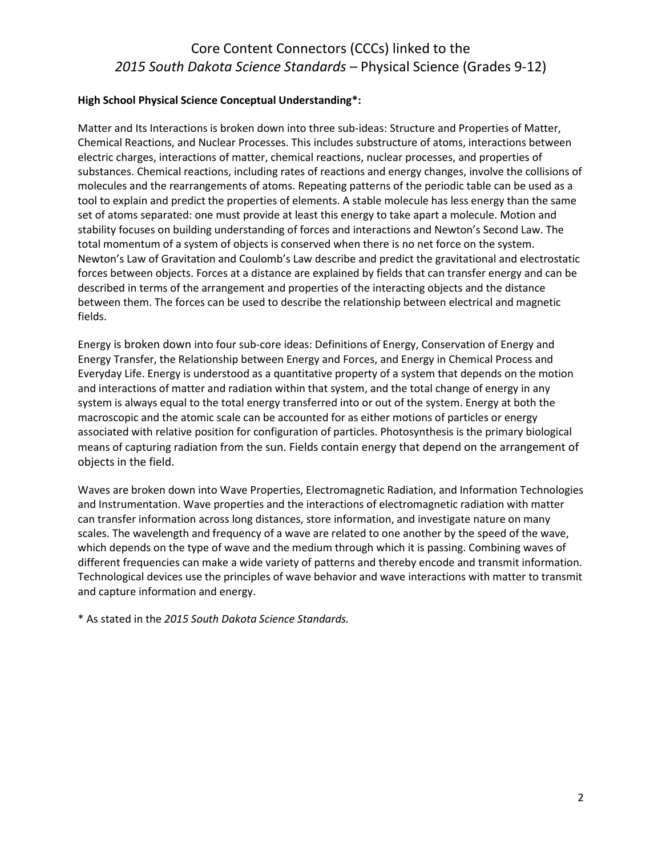#### **High School Physical Science Conceptual Understanding\*:**

Matter and Its Interactions is broken down into three sub-ideas: Structure and Properties of Matter, Chemical Reactions, and Nuclear Processes. This includes substructure of atoms, interactions between electric charges, interactions of matter, chemical reactions, nuclear processes, and properties of substances. Chemical reactions, including rates of reactions and energy changes, involve the collisions of molecules and the rearrangements of atoms. Repeating patterns of the periodic table can be used as a tool to explain and predict the properties of elements. A stable molecule has less energy than the same set of atoms separated: one must provide at least this energy to take apart a molecule. Motion and stability focuses on building understanding of forces and interactions and Newton's Second Law. The total momentum of a system of objects is conserved when there is no net force on the system. Newton's Law of Gravitation and Coulomb's Law describe and predict the gravitational and electrostatic forces between objects. Forces at a distance are explained by fields that can transfer energy and can be described in terms of the arrangement and properties of the interacting objects and the distance between them. The forces can be used to describe the relationship between electrical and magnetic fields.

Energy is broken down into four sub-core ideas: Definitions of Energy, Conservation of Energy and Energy Transfer, the Relationship between Energy and Forces, and Energy in Chemical Process and Everyday Life. Energy is understood as a quantitative property of a system that depends on the motion and interactions of matter and radiation within that system, and the total change of energy in any system is always equal to the total energy transferred into or out of the system. Energy at both the macroscopic and the atomic scale can be accounted for as either motions of particles or energy associated with relative position for configuration of particles. Photosynthesis is the primary biological means of capturing radiation from the sun. Fields contain energy that depend on the arrangement of objects in the field.

Waves are broken down into Wave Properties, Electromagnetic Radiation, and Information Technologies and Instrumentation. Wave properties and the interactions of electromagnetic radiation with matter can transfer information across long distances, store information, and investigate nature on many scales. The wavelength and frequency of a wave are related to one another by the speed of the wave, which depends on the type of wave and the medium through which it is passing. Combining waves of different frequencies can make a wide variety of patterns and thereby encode and transmit information. Technological devices use the principles of wave behavior and wave interactions with matter to transmit and capture information and energy.

\* As stated in the *2015 South Dakota Science Standards.*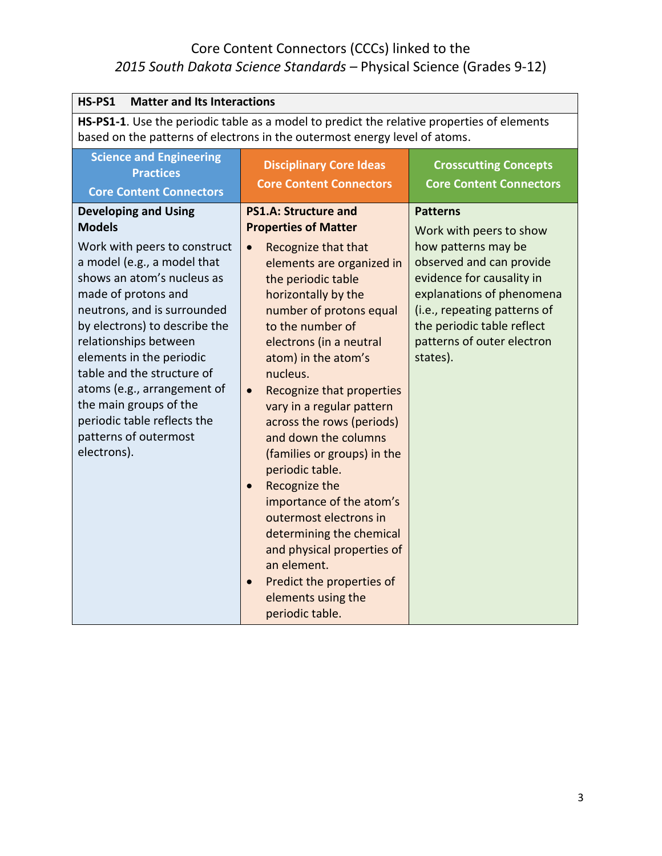| <b>Matter and Its Interactions</b><br>HS-PS1                                                                                                                                                                                                                                                                                                                                                                                                        |                                                                                                                                                                                                                                                                                                                                                                                                                                                                                                                                                                                                                                                                                                        |                                                                                                                                                                                                                                                                 |
|-----------------------------------------------------------------------------------------------------------------------------------------------------------------------------------------------------------------------------------------------------------------------------------------------------------------------------------------------------------------------------------------------------------------------------------------------------|--------------------------------------------------------------------------------------------------------------------------------------------------------------------------------------------------------------------------------------------------------------------------------------------------------------------------------------------------------------------------------------------------------------------------------------------------------------------------------------------------------------------------------------------------------------------------------------------------------------------------------------------------------------------------------------------------------|-----------------------------------------------------------------------------------------------------------------------------------------------------------------------------------------------------------------------------------------------------------------|
| HS-PS1-1. Use the periodic table as a model to predict the relative properties of elements<br>based on the patterns of electrons in the outermost energy level of atoms.                                                                                                                                                                                                                                                                            |                                                                                                                                                                                                                                                                                                                                                                                                                                                                                                                                                                                                                                                                                                        |                                                                                                                                                                                                                                                                 |
| <b>Science and Engineering</b><br><b>Practices</b><br><b>Core Content Connectors</b>                                                                                                                                                                                                                                                                                                                                                                | <b>Disciplinary Core Ideas</b><br><b>Core Content Connectors</b>                                                                                                                                                                                                                                                                                                                                                                                                                                                                                                                                                                                                                                       | <b>Crosscutting Concepts</b><br><b>Core Content Connectors</b>                                                                                                                                                                                                  |
| <b>Developing and Using</b><br><b>Models</b><br>Work with peers to construct<br>a model (e.g., a model that<br>shows an atom's nucleus as<br>made of protons and<br>neutrons, and is surrounded<br>by electrons) to describe the<br>relationships between<br>elements in the periodic<br>table and the structure of<br>atoms (e.g., arrangement of<br>the main groups of the<br>periodic table reflects the<br>patterns of outermost<br>electrons). | <b>PS1.A: Structure and</b><br><b>Properties of Matter</b><br>Recognize that that<br>$\bullet$<br>elements are organized in<br>the periodic table<br>horizontally by the<br>number of protons equal<br>to the number of<br>electrons (in a neutral<br>atom) in the atom's<br>nucleus.<br>Recognize that properties<br>$\bullet$<br>vary in a regular pattern<br>across the rows (periods)<br>and down the columns<br>(families or groups) in the<br>periodic table.<br>Recognize the<br>$\bullet$<br>importance of the atom's<br>outermost electrons in<br>determining the chemical<br>and physical properties of<br>an element.<br>Predict the properties of<br>elements using the<br>periodic table. | <b>Patterns</b><br>Work with peers to show<br>how patterns may be<br>observed and can provide<br>evidence for causality in<br>explanations of phenomena<br>(i.e., repeating patterns of<br>the periodic table reflect<br>patterns of outer electron<br>states). |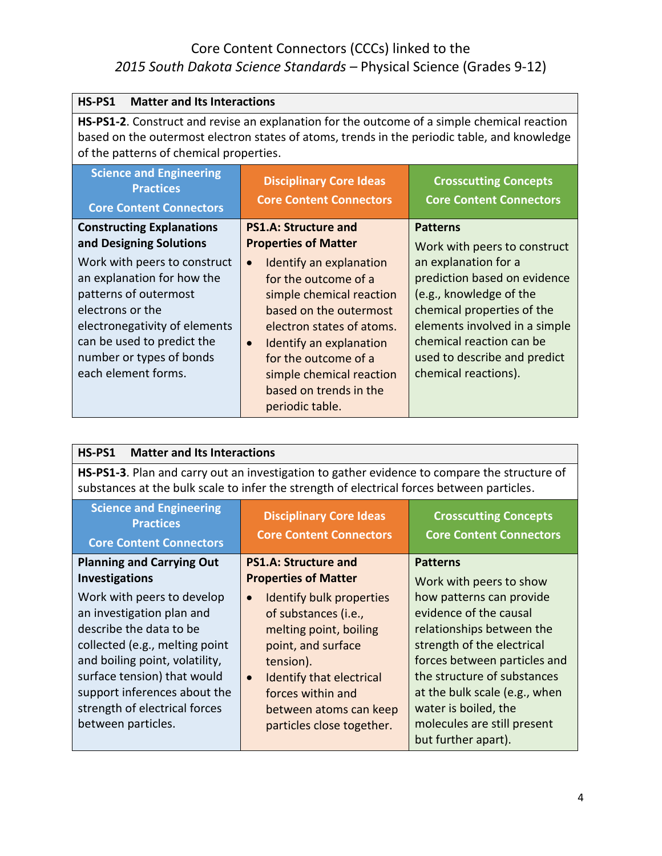| HS-PS1<br><b>Matter and Its Interactions</b>                                                                                                                                                                                                                                             |                                                                                                                                                                                                                                                                                                                                                        |                                                                                                                                                                                                                                                                                       |
|------------------------------------------------------------------------------------------------------------------------------------------------------------------------------------------------------------------------------------------------------------------------------------------|--------------------------------------------------------------------------------------------------------------------------------------------------------------------------------------------------------------------------------------------------------------------------------------------------------------------------------------------------------|---------------------------------------------------------------------------------------------------------------------------------------------------------------------------------------------------------------------------------------------------------------------------------------|
| <b>HS-PS1-2.</b> Construct and revise an explanation for the outcome of a simple chemical reaction<br>based on the outermost electron states of atoms, trends in the periodic table, and knowledge<br>of the patterns of chemical properties.                                            |                                                                                                                                                                                                                                                                                                                                                        |                                                                                                                                                                                                                                                                                       |
| <b>Science and Engineering</b><br><b>Practices</b><br><b>Core Content Connectors</b>                                                                                                                                                                                                     | <b>Disciplinary Core Ideas</b><br><b>Core Content Connectors</b>                                                                                                                                                                                                                                                                                       | <b>Crosscutting Concepts</b><br><b>Core Content Connectors</b>                                                                                                                                                                                                                        |
| <b>Constructing Explanations</b><br>and Designing Solutions<br>Work with peers to construct<br>an explanation for how the<br>patterns of outermost<br>electrons or the<br>electronegativity of elements<br>can be used to predict the<br>number or types of bonds<br>each element forms. | <b>PS1.A: Structure and</b><br><b>Properties of Matter</b><br>Identify an explanation<br>$\bullet$<br>for the outcome of a<br>simple chemical reaction<br>based on the outermost<br>electron states of atoms.<br>Identify an explanation<br>$\bullet$<br>for the outcome of a<br>simple chemical reaction<br>based on trends in the<br>periodic table. | <b>Patterns</b><br>Work with peers to construct<br>an explanation for a<br>prediction based on evidence<br>(e.g., knowledge of the<br>chemical properties of the<br>elements involved in a simple<br>chemical reaction can be<br>used to describe and predict<br>chemical reactions). |

| HS-PS1<br><b>Matter and Its Interactions</b>                                                                                                                                                                                                                                 |                                                                                                                                                                                                                                                 |                                                                                                                                                                                                                                                                                             |
|------------------------------------------------------------------------------------------------------------------------------------------------------------------------------------------------------------------------------------------------------------------------------|-------------------------------------------------------------------------------------------------------------------------------------------------------------------------------------------------------------------------------------------------|---------------------------------------------------------------------------------------------------------------------------------------------------------------------------------------------------------------------------------------------------------------------------------------------|
| <b>HS-PS1-3.</b> Plan and carry out an investigation to gather evidence to compare the structure of<br>substances at the bulk scale to infer the strength of electrical forces between particles.                                                                            |                                                                                                                                                                                                                                                 |                                                                                                                                                                                                                                                                                             |
| <b>Science and Engineering</b><br><b>Practices</b><br><b>Core Content Connectors</b>                                                                                                                                                                                         | <b>Disciplinary Core Ideas</b><br><b>Core Content Connectors</b>                                                                                                                                                                                | <b>Crosscutting Concepts</b><br><b>Core Content Connectors</b>                                                                                                                                                                                                                              |
| <b>Planning and Carrying Out</b><br><b>Investigations</b>                                                                                                                                                                                                                    | <b>PS1.A: Structure and</b><br><b>Properties of Matter</b>                                                                                                                                                                                      | <b>Patterns</b><br>Work with peers to show                                                                                                                                                                                                                                                  |
| Work with peers to develop<br>an investigation plan and<br>describe the data to be<br>collected (e.g., melting point<br>and boiling point, volatility,<br>surface tension) that would<br>support inferences about the<br>strength of electrical forces<br>between particles. | Identify bulk properties<br>$\bullet$<br>of substances (i.e.,<br>melting point, boiling<br>point, and surface<br>tension).<br>Identify that electrical<br>$\bullet$<br>forces within and<br>between atoms can keep<br>particles close together. | how patterns can provide<br>evidence of the causal<br>relationships between the<br>strength of the electrical<br>forces between particles and<br>the structure of substances<br>at the bulk scale (e.g., when<br>water is boiled, the<br>molecules are still present<br>but further apart). |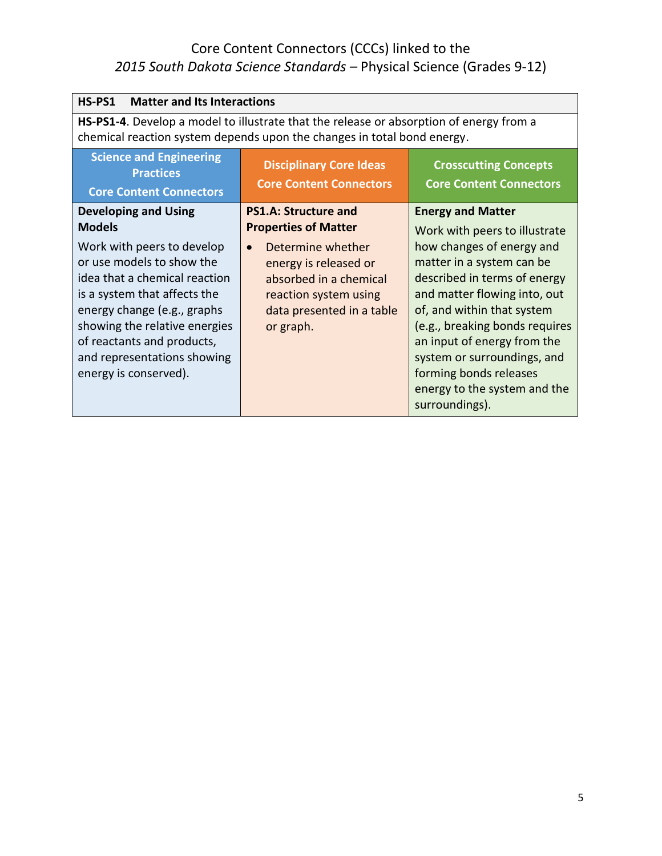| HS-PS1<br><b>Matter and Its Interactions</b>                                                                                                                                                                                                                                                                                   |                                                                                                                                                                                                       |                                                                                                                                                                                                                                                                                                                                                                                               |
|--------------------------------------------------------------------------------------------------------------------------------------------------------------------------------------------------------------------------------------------------------------------------------------------------------------------------------|-------------------------------------------------------------------------------------------------------------------------------------------------------------------------------------------------------|-----------------------------------------------------------------------------------------------------------------------------------------------------------------------------------------------------------------------------------------------------------------------------------------------------------------------------------------------------------------------------------------------|
| HS-PS1-4. Develop a model to illustrate that the release or absorption of energy from a<br>chemical reaction system depends upon the changes in total bond energy.                                                                                                                                                             |                                                                                                                                                                                                       |                                                                                                                                                                                                                                                                                                                                                                                               |
| <b>Science and Engineering</b><br><b>Practices</b><br><b>Core Content Connectors</b>                                                                                                                                                                                                                                           | <b>Disciplinary Core Ideas</b><br><b>Core Content Connectors</b>                                                                                                                                      | <b>Crosscutting Concepts</b><br><b>Core Content Connectors</b>                                                                                                                                                                                                                                                                                                                                |
| <b>Developing and Using</b><br><b>Models</b><br>Work with peers to develop<br>or use models to show the<br>idea that a chemical reaction<br>is a system that affects the<br>energy change (e.g., graphs<br>showing the relative energies<br>of reactants and products,<br>and representations showing<br>energy is conserved). | <b>PS1.A: Structure and</b><br><b>Properties of Matter</b><br>Determine whether<br>energy is released or<br>absorbed in a chemical<br>reaction system using<br>data presented in a table<br>or graph. | <b>Energy and Matter</b><br>Work with peers to illustrate<br>how changes of energy and<br>matter in a system can be<br>described in terms of energy<br>and matter flowing into, out<br>of, and within that system<br>(e.g., breaking bonds requires<br>an input of energy from the<br>system or surroundings, and<br>forming bonds releases<br>energy to the system and the<br>surroundings). |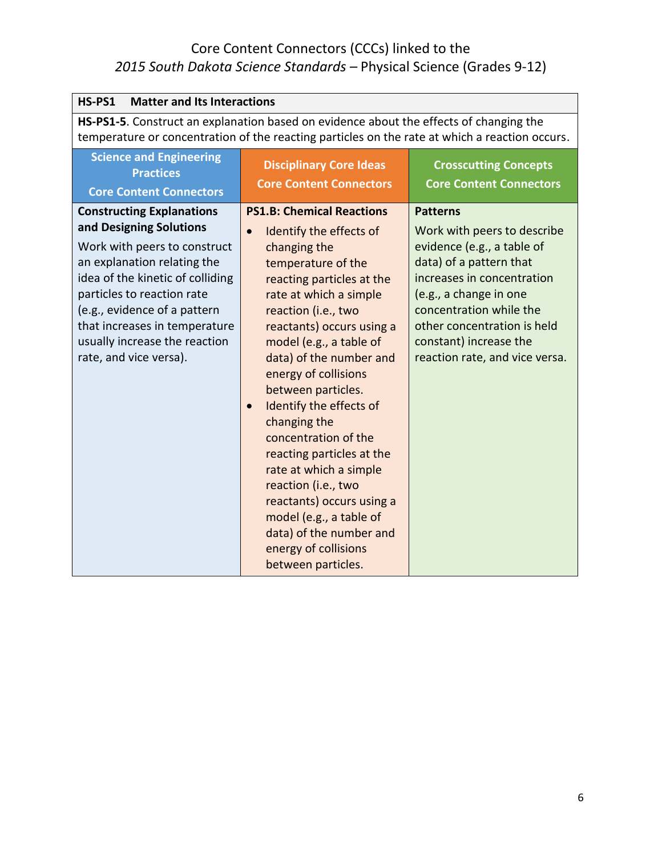| HS-PS1<br><b>Matter and Its Interactions</b>                                                                                                                                                                                                                                                                             |                                                                                                                                                                                                                                                                                                                                                                                                                                                                                                                                                                                                                              |                                                                                                                                                                                                                                                                                       |
|--------------------------------------------------------------------------------------------------------------------------------------------------------------------------------------------------------------------------------------------------------------------------------------------------------------------------|------------------------------------------------------------------------------------------------------------------------------------------------------------------------------------------------------------------------------------------------------------------------------------------------------------------------------------------------------------------------------------------------------------------------------------------------------------------------------------------------------------------------------------------------------------------------------------------------------------------------------|---------------------------------------------------------------------------------------------------------------------------------------------------------------------------------------------------------------------------------------------------------------------------------------|
| HS-PS1-5. Construct an explanation based on evidence about the effects of changing the<br>temperature or concentration of the reacting particles on the rate at which a reaction occurs.                                                                                                                                 |                                                                                                                                                                                                                                                                                                                                                                                                                                                                                                                                                                                                                              |                                                                                                                                                                                                                                                                                       |
| <b>Science and Engineering</b><br><b>Practices</b><br><b>Core Content Connectors</b>                                                                                                                                                                                                                                     | <b>Disciplinary Core Ideas</b><br><b>Core Content Connectors</b>                                                                                                                                                                                                                                                                                                                                                                                                                                                                                                                                                             | <b>Crosscutting Concepts</b><br><b>Core Content Connectors</b>                                                                                                                                                                                                                        |
| <b>Constructing Explanations</b><br>and Designing Solutions<br>Work with peers to construct<br>an explanation relating the<br>idea of the kinetic of colliding<br>particles to reaction rate<br>(e.g., evidence of a pattern<br>that increases in temperature<br>usually increase the reaction<br>rate, and vice versa). | <b>PS1.B: Chemical Reactions</b><br>Identify the effects of<br>$\bullet$<br>changing the<br>temperature of the<br>reacting particles at the<br>rate at which a simple<br>reaction (i.e., two<br>reactants) occurs using a<br>model (e.g., a table of<br>data) of the number and<br>energy of collisions<br>between particles.<br>Identify the effects of<br>$\bullet$<br>changing the<br>concentration of the<br>reacting particles at the<br>rate at which a simple<br>reaction (i.e., two<br>reactants) occurs using a<br>model (e.g., a table of<br>data) of the number and<br>energy of collisions<br>between particles. | <b>Patterns</b><br>Work with peers to describe<br>evidence (e.g., a table of<br>data) of a pattern that<br>increases in concentration<br>(e.g., a change in one<br>concentration while the<br>other concentration is held<br>constant) increase the<br>reaction rate, and vice versa. |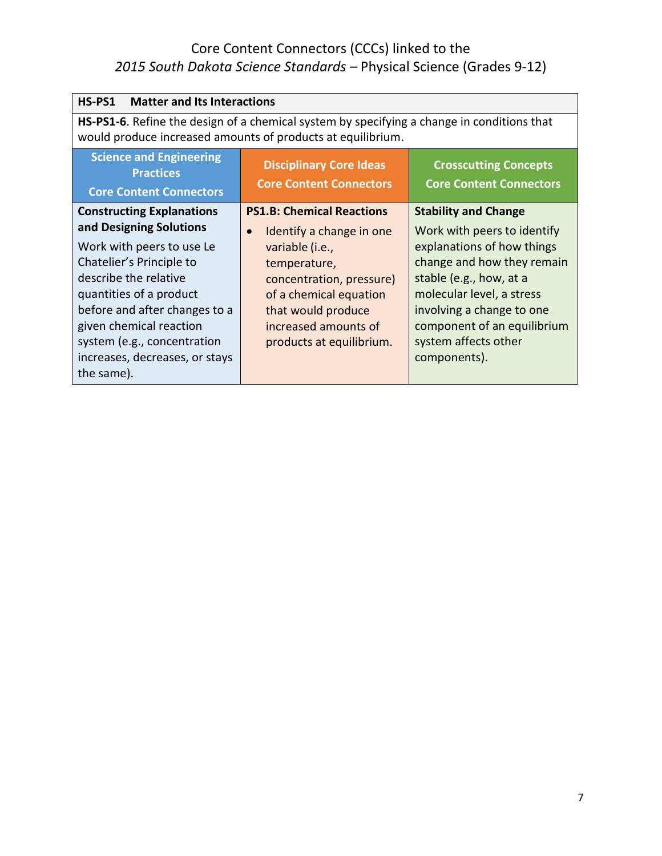| HS-PS1<br><b>Matter and Its Interactions</b>                                                                                                                                                                                                                                                                        |                                                                                                                                                                                                                                              |                                                                                                                                                                                                                                                                                    |
|---------------------------------------------------------------------------------------------------------------------------------------------------------------------------------------------------------------------------------------------------------------------------------------------------------------------|----------------------------------------------------------------------------------------------------------------------------------------------------------------------------------------------------------------------------------------------|------------------------------------------------------------------------------------------------------------------------------------------------------------------------------------------------------------------------------------------------------------------------------------|
| HS-PS1-6. Refine the design of a chemical system by specifying a change in conditions that<br>would produce increased amounts of products at equilibrium.                                                                                                                                                           |                                                                                                                                                                                                                                              |                                                                                                                                                                                                                                                                                    |
| <b>Science and Engineering</b><br><b>Practices</b><br><b>Core Content Connectors</b>                                                                                                                                                                                                                                | <b>Disciplinary Core Ideas</b><br><b>Core Content Connectors</b>                                                                                                                                                                             | <b>Crosscutting Concepts</b><br><b>Core Content Connectors</b>                                                                                                                                                                                                                     |
| <b>Constructing Explanations</b><br>and Designing Solutions<br>Work with peers to use Le<br>Chatelier's Principle to<br>describe the relative<br>quantities of a product<br>before and after changes to a<br>given chemical reaction<br>system (e.g., concentration<br>increases, decreases, or stays<br>the same). | <b>PS1.B: Chemical Reactions</b><br>Identify a change in one<br>$\bullet$<br>variable (i.e.,<br>temperature,<br>concentration, pressure)<br>of a chemical equation<br>that would produce<br>increased amounts of<br>products at equilibrium. | <b>Stability and Change</b><br>Work with peers to identify<br>explanations of how things<br>change and how they remain<br>stable (e.g., how, at a<br>molecular level, a stress<br>involving a change to one<br>component of an equilibrium<br>system affects other<br>components). |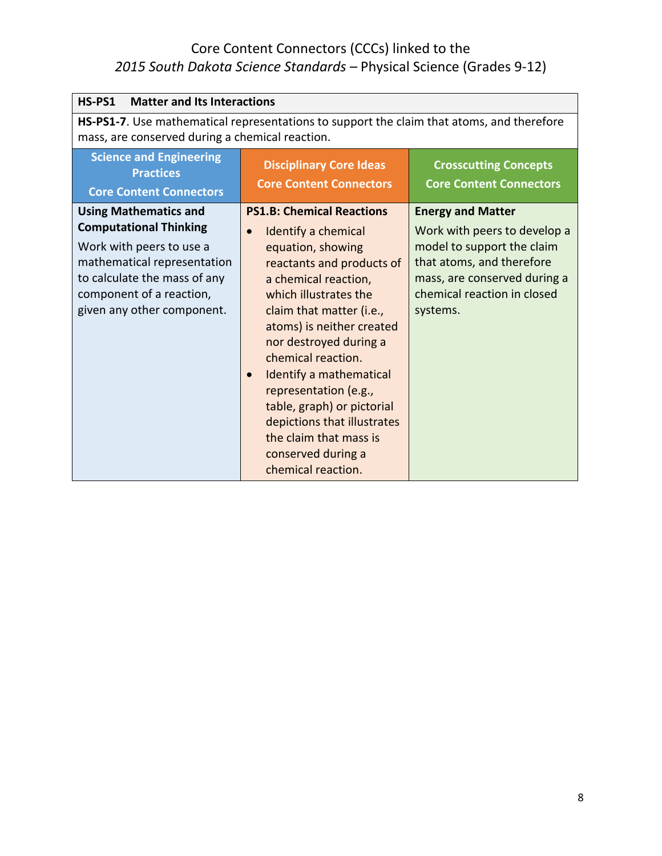| HS-PS1<br><b>Matter and Its Interactions</b>                                                                                                                                                                       |                                                                                                                                                                                                                                                                                                                                                                                                                                                                                      |                                                                                                                                                                                                |
|--------------------------------------------------------------------------------------------------------------------------------------------------------------------------------------------------------------------|--------------------------------------------------------------------------------------------------------------------------------------------------------------------------------------------------------------------------------------------------------------------------------------------------------------------------------------------------------------------------------------------------------------------------------------------------------------------------------------|------------------------------------------------------------------------------------------------------------------------------------------------------------------------------------------------|
| HS-PS1-7. Use mathematical representations to support the claim that atoms, and therefore<br>mass, are conserved during a chemical reaction.                                                                       |                                                                                                                                                                                                                                                                                                                                                                                                                                                                                      |                                                                                                                                                                                                |
| <b>Science and Engineering</b><br><b>Practices</b><br><b>Core Content Connectors</b>                                                                                                                               | <b>Disciplinary Core Ideas</b><br><b>Core Content Connectors</b>                                                                                                                                                                                                                                                                                                                                                                                                                     | <b>Crosscutting Concepts</b><br><b>Core Content Connectors</b>                                                                                                                                 |
| <b>Using Mathematics and</b><br><b>Computational Thinking</b><br>Work with peers to use a<br>mathematical representation<br>to calculate the mass of any<br>component of a reaction,<br>given any other component. | <b>PS1.B: Chemical Reactions</b><br>Identify a chemical<br>$\bullet$<br>equation, showing<br>reactants and products of<br>a chemical reaction,<br>which illustrates the<br>claim that matter (i.e.,<br>atoms) is neither created<br>nor destroyed during a<br>chemical reaction.<br>Identify a mathematical<br>$\bullet$<br>representation (e.g.,<br>table, graph) or pictorial<br>depictions that illustrates<br>the claim that mass is<br>conserved during a<br>chemical reaction. | <b>Energy and Matter</b><br>Work with peers to develop a<br>model to support the claim<br>that atoms, and therefore<br>mass, are conserved during a<br>chemical reaction in closed<br>systems. |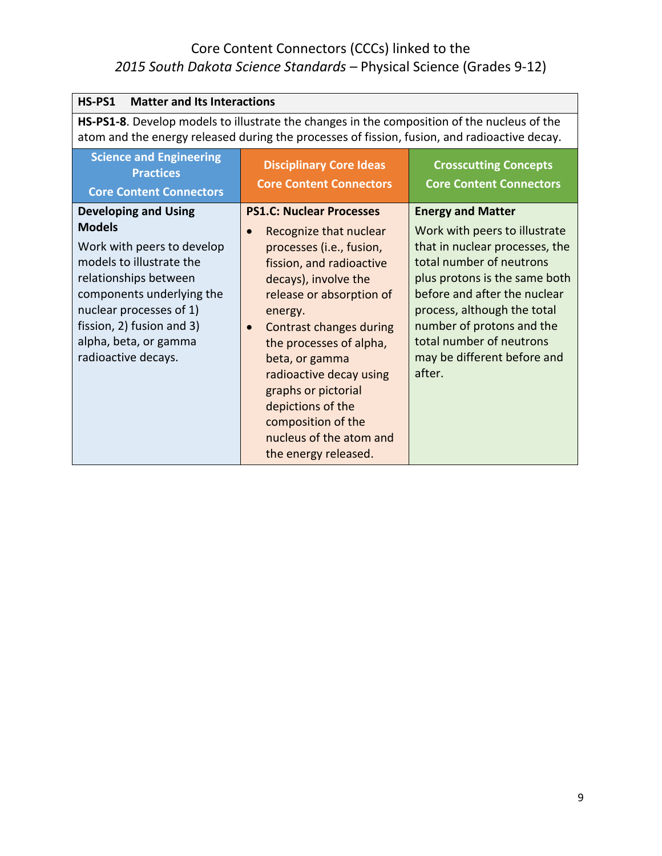| <b>Matter and Its Interactions</b><br>HS-PS1                                                                                                                                                                                                                         |                                                                                                                                                                                                                                                                                                                                                                                                                                           |                                                                                                                                                                                                                                                                                                                           |
|----------------------------------------------------------------------------------------------------------------------------------------------------------------------------------------------------------------------------------------------------------------------|-------------------------------------------------------------------------------------------------------------------------------------------------------------------------------------------------------------------------------------------------------------------------------------------------------------------------------------------------------------------------------------------------------------------------------------------|---------------------------------------------------------------------------------------------------------------------------------------------------------------------------------------------------------------------------------------------------------------------------------------------------------------------------|
| HS-PS1-8. Develop models to illustrate the changes in the composition of the nucleus of the<br>atom and the energy released during the processes of fission, fusion, and radioactive decay.                                                                          |                                                                                                                                                                                                                                                                                                                                                                                                                                           |                                                                                                                                                                                                                                                                                                                           |
| <b>Science and Engineering</b><br><b>Practices</b><br><b>Core Content Connectors</b>                                                                                                                                                                                 | <b>Disciplinary Core Ideas</b><br><b>Core Content Connectors</b>                                                                                                                                                                                                                                                                                                                                                                          | <b>Crosscutting Concepts</b><br><b>Core Content Connectors</b>                                                                                                                                                                                                                                                            |
| <b>Developing and Using</b><br><b>Models</b><br>Work with peers to develop<br>models to illustrate the<br>relationships between<br>components underlying the<br>nuclear processes of 1)<br>fission, 2) fusion and 3)<br>alpha, beta, or gamma<br>radioactive decays. | <b>PS1.C: Nuclear Processes</b><br>Recognize that nuclear<br>$\bullet$<br>processes (i.e., fusion,<br>fission, and radioactive<br>decays), involve the<br>release or absorption of<br>energy.<br><b>Contrast changes during</b><br>$\bullet$<br>the processes of alpha,<br>beta, or gamma<br>radioactive decay using<br>graphs or pictorial<br>depictions of the<br>composition of the<br>nucleus of the atom and<br>the energy released. | <b>Energy and Matter</b><br>Work with peers to illustrate<br>that in nuclear processes, the<br>total number of neutrons<br>plus protons is the same both<br>before and after the nuclear<br>process, although the total<br>number of protons and the<br>total number of neutrons<br>may be different before and<br>after. |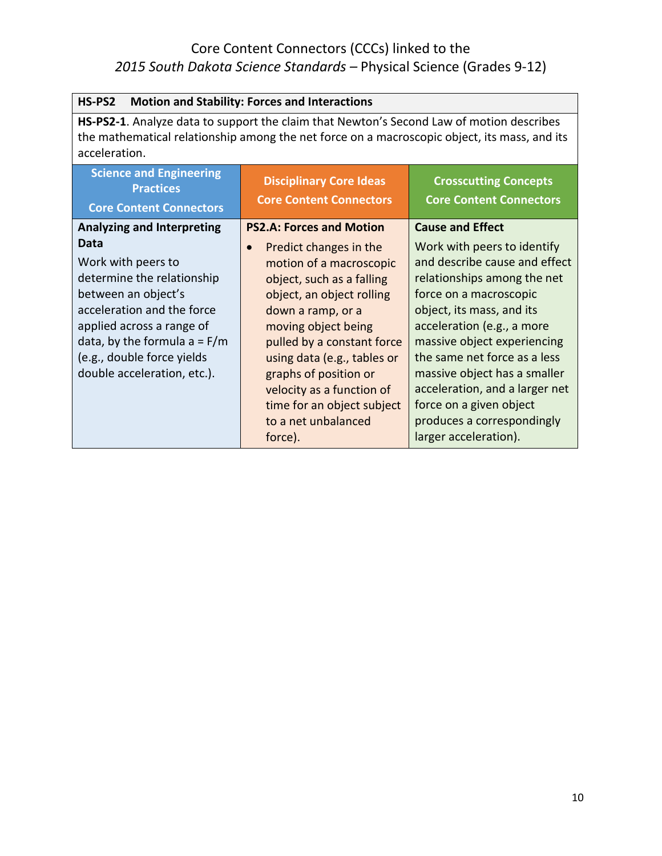| HS-PS2<br><b>Motion and Stability: Forces and Interactions</b>                                                                                                                                                                            |                                                                                                                                                                                                                                                                                                                                                         |                                                                                                                                                                                                                                                                                                                                                                                                     |
|-------------------------------------------------------------------------------------------------------------------------------------------------------------------------------------------------------------------------------------------|---------------------------------------------------------------------------------------------------------------------------------------------------------------------------------------------------------------------------------------------------------------------------------------------------------------------------------------------------------|-----------------------------------------------------------------------------------------------------------------------------------------------------------------------------------------------------------------------------------------------------------------------------------------------------------------------------------------------------------------------------------------------------|
| HS-PS2-1. Analyze data to support the claim that Newton's Second Law of motion describes<br>the mathematical relationship among the net force on a macroscopic object, its mass, and its<br>acceleration.                                 |                                                                                                                                                                                                                                                                                                                                                         |                                                                                                                                                                                                                                                                                                                                                                                                     |
| <b>Science and Engineering</b><br><b>Practices</b><br><b>Core Content Connectors</b>                                                                                                                                                      | <b>Disciplinary Core Ideas</b><br><b>Core Content Connectors</b>                                                                                                                                                                                                                                                                                        | <b>Crosscutting Concepts</b><br><b>Core Content Connectors</b>                                                                                                                                                                                                                                                                                                                                      |
| <b>Analyzing and Interpreting</b>                                                                                                                                                                                                         | <b>PS2.A: Forces and Motion</b>                                                                                                                                                                                                                                                                                                                         | <b>Cause and Effect</b>                                                                                                                                                                                                                                                                                                                                                                             |
| Data<br>Work with peers to<br>determine the relationship<br>between an object's<br>acceleration and the force<br>applied across a range of<br>data, by the formula $a = F/m$<br>(e.g., double force yields<br>double acceleration, etc.). | Predict changes in the<br>$\bullet$<br>motion of a macroscopic<br>object, such as a falling<br>object, an object rolling<br>down a ramp, or a<br>moving object being<br>pulled by a constant force<br>using data (e.g., tables or<br>graphs of position or<br>velocity as a function of<br>time for an object subject<br>to a net unbalanced<br>force). | Work with peers to identify<br>and describe cause and effect<br>relationships among the net<br>force on a macroscopic<br>object, its mass, and its<br>acceleration (e.g., a more<br>massive object experiencing<br>the same net force as a less<br>massive object has a smaller<br>acceleration, and a larger net<br>force on a given object<br>produces a correspondingly<br>larger acceleration). |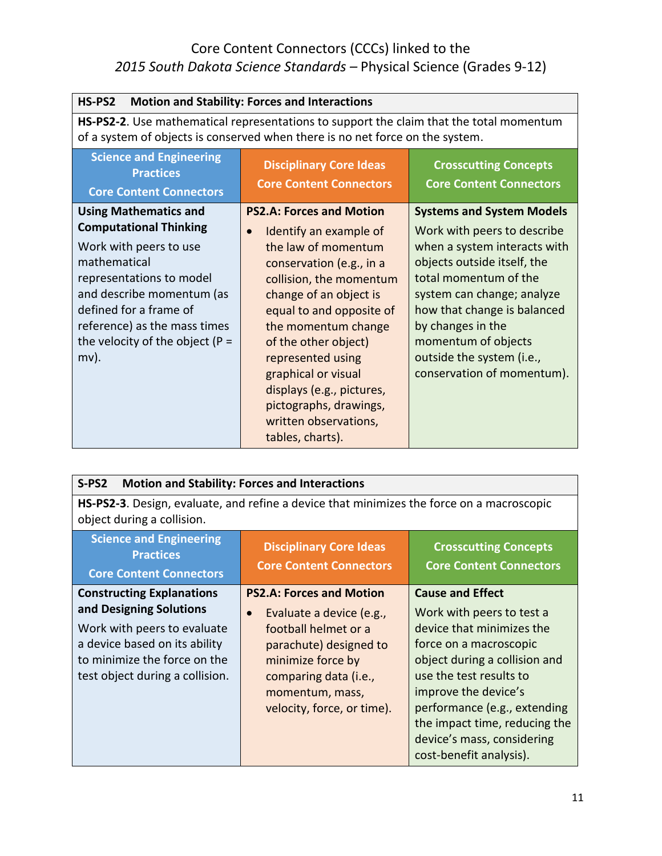| <b>Motion and Stability: Forces and Interactions</b><br>HS-PS2                                                                                                                                                                                                              |                                                                                                                                                                                                                                                                                                                                                                                                           |                                                                                                                                                                                                                                                                                                                             |
|-----------------------------------------------------------------------------------------------------------------------------------------------------------------------------------------------------------------------------------------------------------------------------|-----------------------------------------------------------------------------------------------------------------------------------------------------------------------------------------------------------------------------------------------------------------------------------------------------------------------------------------------------------------------------------------------------------|-----------------------------------------------------------------------------------------------------------------------------------------------------------------------------------------------------------------------------------------------------------------------------------------------------------------------------|
| <b>HS-PS2-2.</b> Use mathematical representations to support the claim that the total momentum<br>of a system of objects is conserved when there is no net force on the system.                                                                                             |                                                                                                                                                                                                                                                                                                                                                                                                           |                                                                                                                                                                                                                                                                                                                             |
| <b>Science and Engineering</b><br><b>Practices</b><br><b>Core Content Connectors</b>                                                                                                                                                                                        | <b>Disciplinary Core Ideas</b><br><b>Core Content Connectors</b>                                                                                                                                                                                                                                                                                                                                          | <b>Crosscutting Concepts</b><br><b>Core Content Connectors</b>                                                                                                                                                                                                                                                              |
| <b>Using Mathematics and</b><br><b>Computational Thinking</b><br>Work with peers to use<br>mathematical<br>representations to model<br>and describe momentum (as<br>defined for a frame of<br>reference) as the mass times<br>the velocity of the object ( $P =$<br>$mv$ ). | <b>PS2.A: Forces and Motion</b><br>Identify an example of<br>$\bullet$<br>the law of momentum<br>conservation (e.g., in a<br>collision, the momentum<br>change of an object is<br>equal to and opposite of<br>the momentum change<br>of the other object)<br>represented using<br>graphical or visual<br>displays (e.g., pictures,<br>pictographs, drawings,<br>written observations,<br>tables, charts). | <b>Systems and System Models</b><br>Work with peers to describe<br>when a system interacts with<br>objects outside itself, the<br>total momentum of the<br>system can change; analyze<br>how that change is balanced<br>by changes in the<br>momentum of objects<br>outside the system (i.e.,<br>conservation of momentum). |

| <b>Motion and Stability: Forces and Interactions</b><br>$S-PS2$                                                                                                                                |                                                                                                                                                                                                                           |                                                                                                                                                                                                                                                                                                                           |
|------------------------------------------------------------------------------------------------------------------------------------------------------------------------------------------------|---------------------------------------------------------------------------------------------------------------------------------------------------------------------------------------------------------------------------|---------------------------------------------------------------------------------------------------------------------------------------------------------------------------------------------------------------------------------------------------------------------------------------------------------------------------|
| HS-PS2-3. Design, evaluate, and refine a device that minimizes the force on a macroscopic<br>object during a collision.                                                                        |                                                                                                                                                                                                                           |                                                                                                                                                                                                                                                                                                                           |
| <b>Science and Engineering</b><br><b>Practices</b><br><b>Core Content Connectors</b>                                                                                                           | <b>Disciplinary Core Ideas</b><br><b>Core Content Connectors</b>                                                                                                                                                          | <b>Crosscutting Concepts</b><br><b>Core Content Connectors</b>                                                                                                                                                                                                                                                            |
| <b>Constructing Explanations</b><br>and Designing Solutions<br>Work with peers to evaluate<br>a device based on its ability<br>to minimize the force on the<br>test object during a collision. | <b>PS2.A: Forces and Motion</b><br>Evaluate a device (e.g.,<br>$\bullet$<br>football helmet or a<br>parachute) designed to<br>minimize force by<br>comparing data (i.e.,<br>momentum, mass,<br>velocity, force, or time). | <b>Cause and Effect</b><br>Work with peers to test a<br>device that minimizes the<br>force on a macroscopic<br>object during a collision and<br>use the test results to<br>improve the device's<br>performance (e.g., extending<br>the impact time, reducing the<br>device's mass, considering<br>cost-benefit analysis). |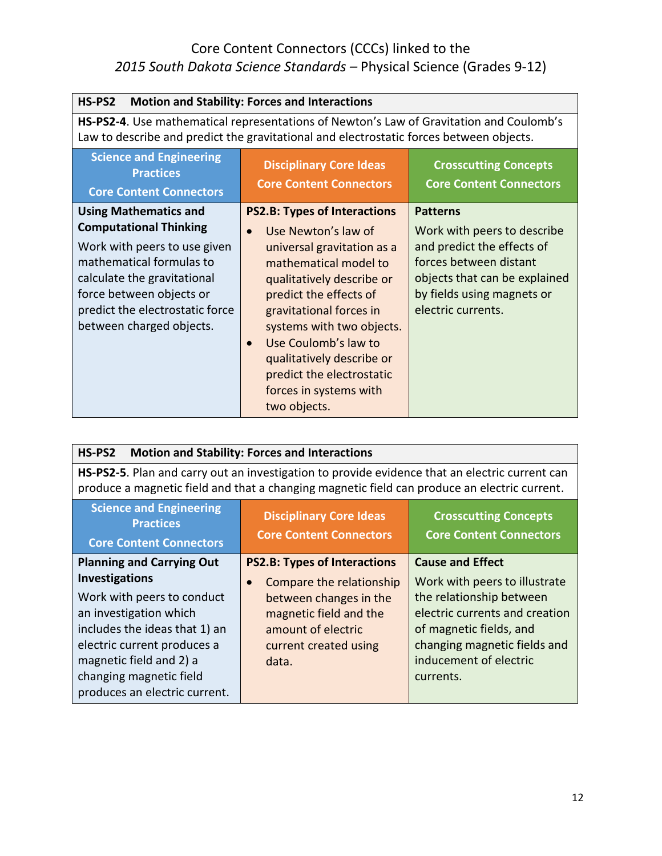| HS-PS2<br><b>Motion and Stability: Forces and Interactions</b>                                                                                                                                                                                      |                                                                                                                                                                                                                                                                                                                                                                                        |                                                                                                                                                                                             |
|-----------------------------------------------------------------------------------------------------------------------------------------------------------------------------------------------------------------------------------------------------|----------------------------------------------------------------------------------------------------------------------------------------------------------------------------------------------------------------------------------------------------------------------------------------------------------------------------------------------------------------------------------------|---------------------------------------------------------------------------------------------------------------------------------------------------------------------------------------------|
| HS-PS2-4. Use mathematical representations of Newton's Law of Gravitation and Coulomb's<br>Law to describe and predict the gravitational and electrostatic forces between objects.                                                                  |                                                                                                                                                                                                                                                                                                                                                                                        |                                                                                                                                                                                             |
| <b>Science and Engineering</b><br><b>Practices</b><br><b>Core Content Connectors</b>                                                                                                                                                                | <b>Disciplinary Core Ideas</b><br><b>Core Content Connectors</b>                                                                                                                                                                                                                                                                                                                       | <b>Crosscutting Concepts</b><br><b>Core Content Connectors</b>                                                                                                                              |
| <b>Using Mathematics and</b><br><b>Computational Thinking</b><br>Work with peers to use given<br>mathematical formulas to<br>calculate the gravitational<br>force between objects or<br>predict the electrostatic force<br>between charged objects. | <b>PS2.B: Types of Interactions</b><br>Use Newton's law of<br>$\bullet$<br>universal gravitation as a<br>mathematical model to<br>qualitatively describe or<br>predict the effects of<br>gravitational forces in<br>systems with two objects.<br>Use Coulomb's law to<br>$\bullet$<br>qualitatively describe or<br>predict the electrostatic<br>forces in systems with<br>two objects. | <b>Patterns</b><br>Work with peers to describe<br>and predict the effects of<br>forces between distant<br>objects that can be explained<br>by fields using magnets or<br>electric currents. |

| HS-PS2<br><b>Motion and Stability: Forces and Interactions</b>                                                                                                                                                                |                                                                                                                                      |                                                                                                                                                                                               |
|-------------------------------------------------------------------------------------------------------------------------------------------------------------------------------------------------------------------------------|--------------------------------------------------------------------------------------------------------------------------------------|-----------------------------------------------------------------------------------------------------------------------------------------------------------------------------------------------|
| HS-PS2-5. Plan and carry out an investigation to provide evidence that an electric current can<br>produce a magnetic field and that a changing magnetic field can produce an electric current.                                |                                                                                                                                      |                                                                                                                                                                                               |
| <b>Science and Engineering</b><br><b>Disciplinary Core Ideas</b><br><b>Crosscutting Concepts</b><br><b>Practices</b><br><b>Core Content Connectors</b><br><b>Core Content Connectors</b><br><b>Core Content Connectors</b>    |                                                                                                                                      |                                                                                                                                                                                               |
| <b>Planning and Carrying Out</b>                                                                                                                                                                                              | <b>PS2.B: Types of Interactions</b>                                                                                                  | <b>Cause and Effect</b>                                                                                                                                                                       |
| Investigations<br>Work with peers to conduct<br>an investigation which<br>includes the ideas that 1) an<br>electric current produces a<br>magnetic field and 2) a<br>changing magnetic field<br>produces an electric current. | Compare the relationship<br>between changes in the<br>magnetic field and the<br>amount of electric<br>current created using<br>data. | Work with peers to illustrate<br>the relationship between<br>electric currents and creation<br>of magnetic fields, and<br>changing magnetic fields and<br>inducement of electric<br>currents. |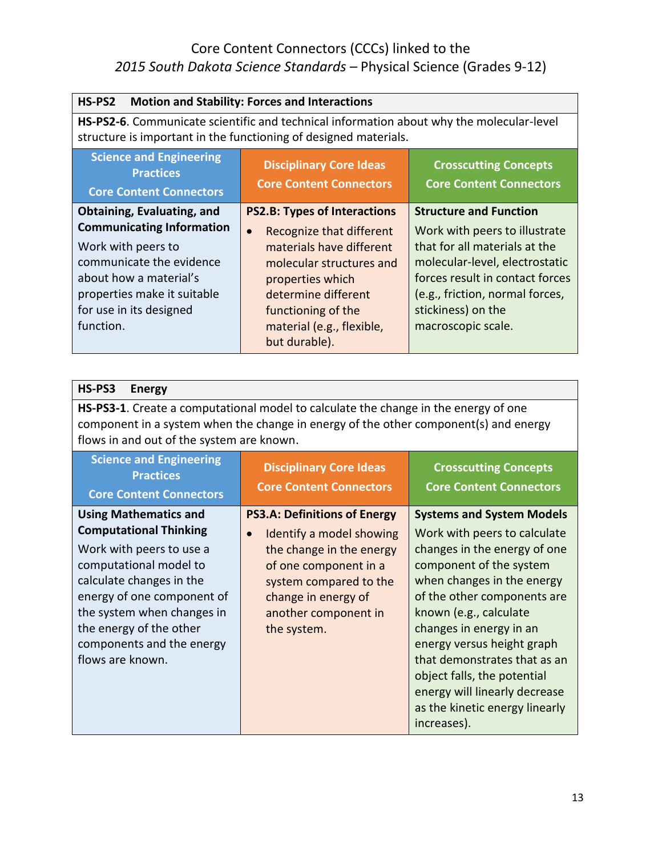| HS-PS2<br><b>Motion and Stability: Forces and Interactions</b>                                                                                                                                                             |                                       |                                 |
|----------------------------------------------------------------------------------------------------------------------------------------------------------------------------------------------------------------------------|---------------------------------------|---------------------------------|
| HS-PS2-6. Communicate scientific and technical information about why the molecular-level<br>structure is important in the functioning of designed materials.                                                               |                                       |                                 |
| <b>Science and Engineering</b><br><b>Disciplinary Core Ideas</b><br><b>Crosscutting Concepts</b><br><b>Practices</b><br><b>Core Content Connectors</b><br><b>Core Content Connectors</b><br><b>Core Content Connectors</b> |                                       |                                 |
| Obtaining, Evaluating, and                                                                                                                                                                                                 | <b>PS2.B: Types of Interactions</b>   | <b>Structure and Function</b>   |
| <b>Communicating Information</b>                                                                                                                                                                                           | Recognize that different<br>$\bullet$ | Work with peers to illustrate   |
| Work with peers to                                                                                                                                                                                                         | materials have different              | that for all materials at the   |
| communicate the evidence                                                                                                                                                                                                   | molecular structures and              | molecular-level, electrostatic  |
| about how a material's                                                                                                                                                                                                     | properties which                      | forces result in contact forces |
| properties make it suitable                                                                                                                                                                                                | determine different                   | (e.g., friction, normal forces, |
| for use in its designed                                                                                                                                                                                                    | functioning of the                    | stickiness) on the              |
| function.                                                                                                                                                                                                                  | material (e.g., flexible,             | macroscopic scale.              |
|                                                                                                                                                                                                                            | but durable).                         |                                 |

| HS-PS3<br><b>Energy</b>                                                                                                                                                                                                                                                                 |                                                                                                                                                                                                                           |                                                                                                                                                                                                                                                                                                                                                                                                                              |
|-----------------------------------------------------------------------------------------------------------------------------------------------------------------------------------------------------------------------------------------------------------------------------------------|---------------------------------------------------------------------------------------------------------------------------------------------------------------------------------------------------------------------------|------------------------------------------------------------------------------------------------------------------------------------------------------------------------------------------------------------------------------------------------------------------------------------------------------------------------------------------------------------------------------------------------------------------------------|
| HS-PS3-1. Create a computational model to calculate the change in the energy of one<br>component in a system when the change in energy of the other component(s) and energy<br>flows in and out of the system are known.                                                                |                                                                                                                                                                                                                           |                                                                                                                                                                                                                                                                                                                                                                                                                              |
| <b>Science and Engineering</b><br><b>Practices</b><br><b>Core Content Connectors</b>                                                                                                                                                                                                    | <b>Disciplinary Core Ideas</b><br><b>Core Content Connectors</b>                                                                                                                                                          | <b>Crosscutting Concepts</b><br><b>Core Content Connectors</b>                                                                                                                                                                                                                                                                                                                                                               |
| <b>Using Mathematics and</b><br><b>Computational Thinking</b><br>Work with peers to use a<br>computational model to<br>calculate changes in the<br>energy of one component of<br>the system when changes in<br>the energy of the other<br>components and the energy<br>flows are known. | <b>PS3.A: Definitions of Energy</b><br>Identify a model showing<br>$\bullet$<br>the change in the energy<br>of one component in a<br>system compared to the<br>change in energy of<br>another component in<br>the system. | <b>Systems and System Models</b><br>Work with peers to calculate<br>changes in the energy of one<br>component of the system<br>when changes in the energy<br>of the other components are<br>known (e.g., calculate<br>changes in energy in an<br>energy versus height graph<br>that demonstrates that as an<br>object falls, the potential<br>energy will linearly decrease<br>as the kinetic energy linearly<br>increases). |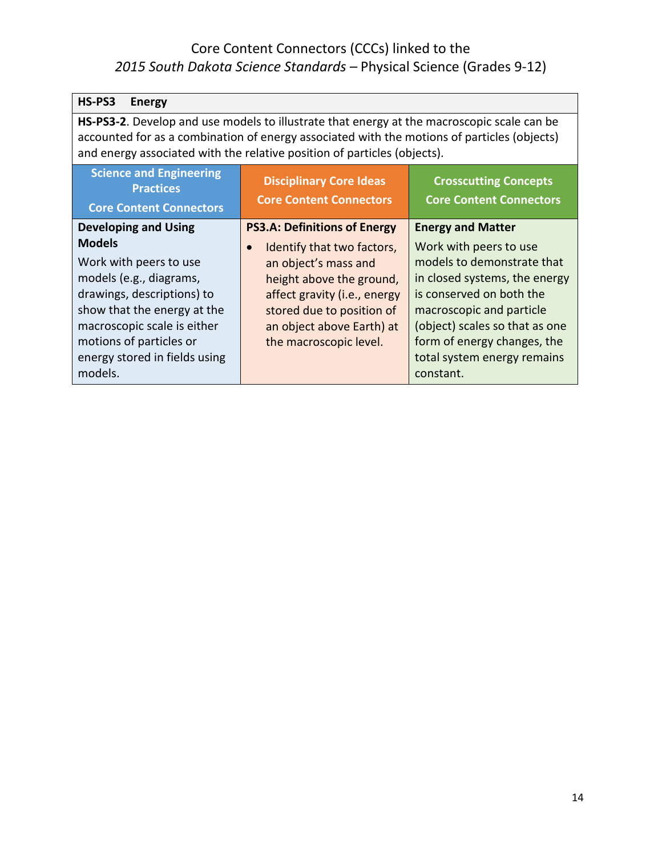| HS-PS3<br><b>Energy</b>                                                                                                                                                                                                                                               |                                                                                                                                                                                                                 |                                                                                                                                                                                                                                                            |
|-----------------------------------------------------------------------------------------------------------------------------------------------------------------------------------------------------------------------------------------------------------------------|-----------------------------------------------------------------------------------------------------------------------------------------------------------------------------------------------------------------|------------------------------------------------------------------------------------------------------------------------------------------------------------------------------------------------------------------------------------------------------------|
| HS-PS3-2. Develop and use models to illustrate that energy at the macroscopic scale can be<br>accounted for as a combination of energy associated with the motions of particles (objects)<br>and energy associated with the relative position of particles (objects). |                                                                                                                                                                                                                 |                                                                                                                                                                                                                                                            |
| <b>Science and Engineering</b><br><b>Practices</b><br><b>Core Content Connectors</b>                                                                                                                                                                                  | <b>Disciplinary Core Ideas</b><br><b>Crosscutting Concepts</b><br><b>Core Content Connectors</b><br><b>Core Content Connectors</b>                                                                              |                                                                                                                                                                                                                                                            |
| <b>Developing and Using</b>                                                                                                                                                                                                                                           | <b>PS3.A: Definitions of Energy</b>                                                                                                                                                                             | <b>Energy and Matter</b>                                                                                                                                                                                                                                   |
| <b>Models</b><br>Work with peers to use<br>models (e.g., diagrams,<br>drawings, descriptions) to<br>show that the energy at the<br>macroscopic scale is either<br>motions of particles or<br>energy stored in fields using<br>models.                                 | Identify that two factors,<br>$\bullet$<br>an object's mass and<br>height above the ground,<br>affect gravity (i.e., energy<br>stored due to position of<br>an object above Earth) at<br>the macroscopic level. | Work with peers to use<br>models to demonstrate that<br>in closed systems, the energy<br>is conserved on both the<br>macroscopic and particle<br>(object) scales so that as one<br>form of energy changes, the<br>total system energy remains<br>constant. |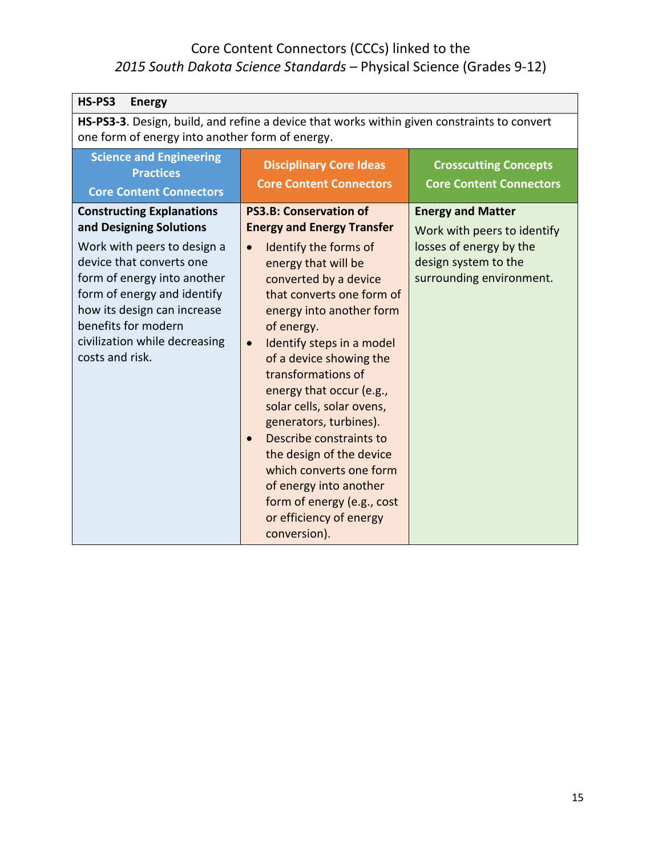| HS-PS3<br><b>Energy</b>                                                                                                                                                                                                                                                                        |                                                                                                                                                                                                                                                                                                                                                                                                                                                                                                                                                                                                    |                                                                                                                                        |
|------------------------------------------------------------------------------------------------------------------------------------------------------------------------------------------------------------------------------------------------------------------------------------------------|----------------------------------------------------------------------------------------------------------------------------------------------------------------------------------------------------------------------------------------------------------------------------------------------------------------------------------------------------------------------------------------------------------------------------------------------------------------------------------------------------------------------------------------------------------------------------------------------------|----------------------------------------------------------------------------------------------------------------------------------------|
| HS-PS3-3. Design, build, and refine a device that works within given constraints to convert<br>one form of energy into another form of energy.                                                                                                                                                 |                                                                                                                                                                                                                                                                                                                                                                                                                                                                                                                                                                                                    |                                                                                                                                        |
| <b>Science and Engineering</b><br><b>Practices</b><br><b>Core Content Connectors</b>                                                                                                                                                                                                           | <b>Disciplinary Core Ideas</b><br><b>Core Content Connectors</b>                                                                                                                                                                                                                                                                                                                                                                                                                                                                                                                                   | <b>Crosscutting Concepts</b><br><b>Core Content Connectors</b>                                                                         |
| <b>Constructing Explanations</b><br>and Designing Solutions<br>Work with peers to design a<br>device that converts one<br>form of energy into another<br>form of energy and identify<br>how its design can increase<br>benefits for modern<br>civilization while decreasing<br>costs and risk. | <b>PS3.B: Conservation of</b><br><b>Energy and Energy Transfer</b><br>Identify the forms of<br>$\bullet$<br>energy that will be<br>converted by a device<br>that converts one form of<br>energy into another form<br>of energy.<br>Identify steps in a model<br>$\bullet$<br>of a device showing the<br>transformations of<br>energy that occur (e.g.,<br>solar cells, solar ovens,<br>generators, turbines).<br>Describe constraints to<br>the design of the device<br>which converts one form<br>of energy into another<br>form of energy (e.g., cost<br>or efficiency of energy<br>conversion). | <b>Energy and Matter</b><br>Work with peers to identify<br>losses of energy by the<br>design system to the<br>surrounding environment. |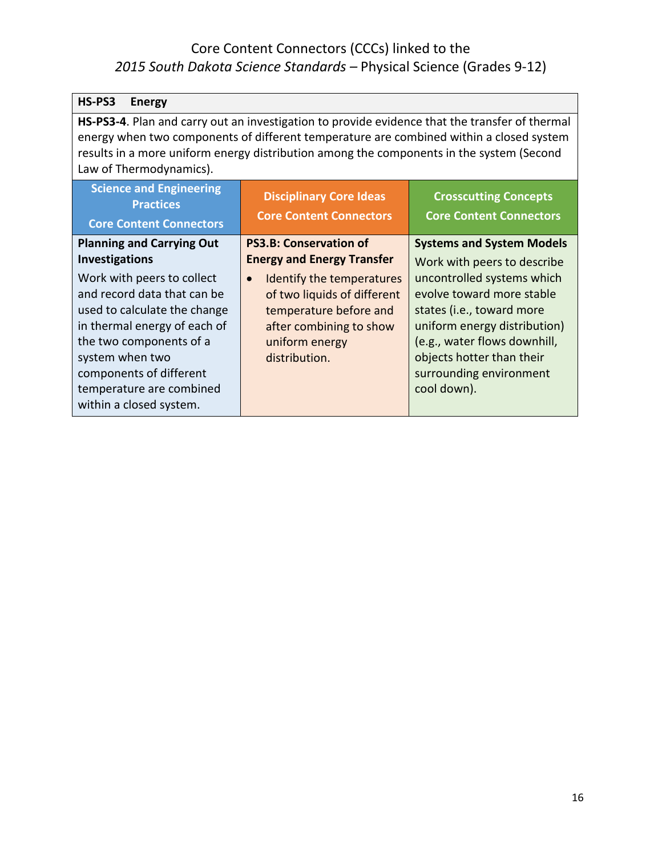| HS-PS3<br><b>Energy</b>                                                                                                                                                                                                                                                                                          |                                                                  |                                                                |
|------------------------------------------------------------------------------------------------------------------------------------------------------------------------------------------------------------------------------------------------------------------------------------------------------------------|------------------------------------------------------------------|----------------------------------------------------------------|
| HS-PS3-4. Plan and carry out an investigation to provide evidence that the transfer of thermal<br>energy when two components of different temperature are combined within a closed system<br>results in a more uniform energy distribution among the components in the system (Second<br>Law of Thermodynamics). |                                                                  |                                                                |
| <b>Science and Engineering</b><br><b>Practices</b><br><b>Core Content Connectors</b>                                                                                                                                                                                                                             | <b>Disciplinary Core Ideas</b><br><b>Core Content Connectors</b> | <b>Crosscutting Concepts</b><br><b>Core Content Connectors</b> |
| <b>Planning and Carrying Out</b>                                                                                                                                                                                                                                                                                 | <b>PS3.B: Conservation of</b>                                    | <b>Systems and System Models</b>                               |
| Investigations                                                                                                                                                                                                                                                                                                   | <b>Energy and Energy Transfer</b>                                | Work with peers to describe                                    |
| Work with peers to collect                                                                                                                                                                                                                                                                                       | Identify the temperatures<br>$\bullet$                           | uncontrolled systems which                                     |
| and record data that can be                                                                                                                                                                                                                                                                                      | of two liquids of different                                      | evolve toward more stable                                      |
| used to calculate the change<br>in thermal energy of each of                                                                                                                                                                                                                                                     | temperature before and<br>after combining to show                | states (i.e., toward more<br>uniform energy distribution)      |
| the two components of a                                                                                                                                                                                                                                                                                          | uniform energy                                                   | (e.g., water flows downhill,                                   |
| system when two                                                                                                                                                                                                                                                                                                  | distribution.                                                    | objects hotter than their                                      |
| components of different                                                                                                                                                                                                                                                                                          |                                                                  | surrounding environment                                        |
| temperature are combined                                                                                                                                                                                                                                                                                         |                                                                  | cool down).                                                    |
| within a closed system.                                                                                                                                                                                                                                                                                          |                                                                  |                                                                |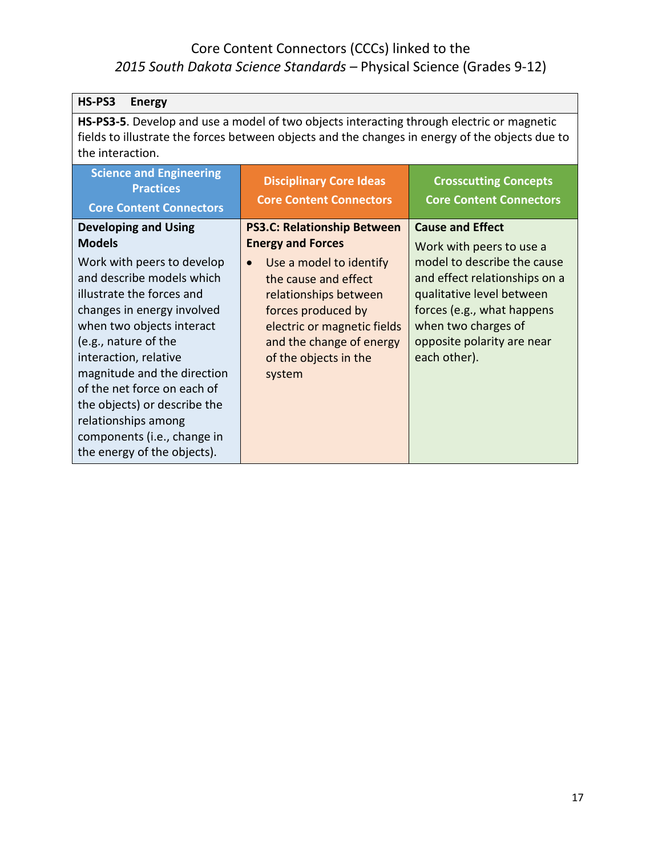| HS-PS3<br><b>Energy</b>                                                                                                                                                                                          |                                                                  |                                                                |
|------------------------------------------------------------------------------------------------------------------------------------------------------------------------------------------------------------------|------------------------------------------------------------------|----------------------------------------------------------------|
| HS-PS3-5. Develop and use a model of two objects interacting through electric or magnetic<br>fields to illustrate the forces between objects and the changes in energy of the objects due to<br>the interaction. |                                                                  |                                                                |
| <b>Science and Engineering</b><br><b>Practices</b><br><b>Core Content Connectors</b>                                                                                                                             | <b>Disciplinary Core Ideas</b><br><b>Core Content Connectors</b> | <b>Crosscutting Concepts</b><br><b>Core Content Connectors</b> |
| <b>Developing and Using</b>                                                                                                                                                                                      | <b>PS3.C: Relationship Between</b>                               | <b>Cause and Effect</b>                                        |
| <b>Models</b>                                                                                                                                                                                                    | <b>Energy and Forces</b>                                         | Work with peers to use a                                       |
| Work with peers to develop                                                                                                                                                                                       | Use a model to identify<br>$\bullet$                             | model to describe the cause                                    |
| and describe models which                                                                                                                                                                                        | the cause and effect                                             | and effect relationships on a                                  |
| illustrate the forces and                                                                                                                                                                                        | relationships between                                            | qualitative level between                                      |
| changes in energy involved<br>when two objects interact                                                                                                                                                          | forces produced by                                               | forces (e.g., what happens<br>when two charges of              |
| (e.g., nature of the                                                                                                                                                                                             | electric or magnetic fields<br>and the change of energy          | opposite polarity are near                                     |
| interaction, relative                                                                                                                                                                                            | of the objects in the                                            | each other).                                                   |
| magnitude and the direction                                                                                                                                                                                      | system                                                           |                                                                |
| of the net force on each of                                                                                                                                                                                      |                                                                  |                                                                |
| the objects) or describe the                                                                                                                                                                                     |                                                                  |                                                                |
| relationships among                                                                                                                                                                                              |                                                                  |                                                                |
| components (i.e., change in                                                                                                                                                                                      |                                                                  |                                                                |
| the energy of the objects).                                                                                                                                                                                      |                                                                  |                                                                |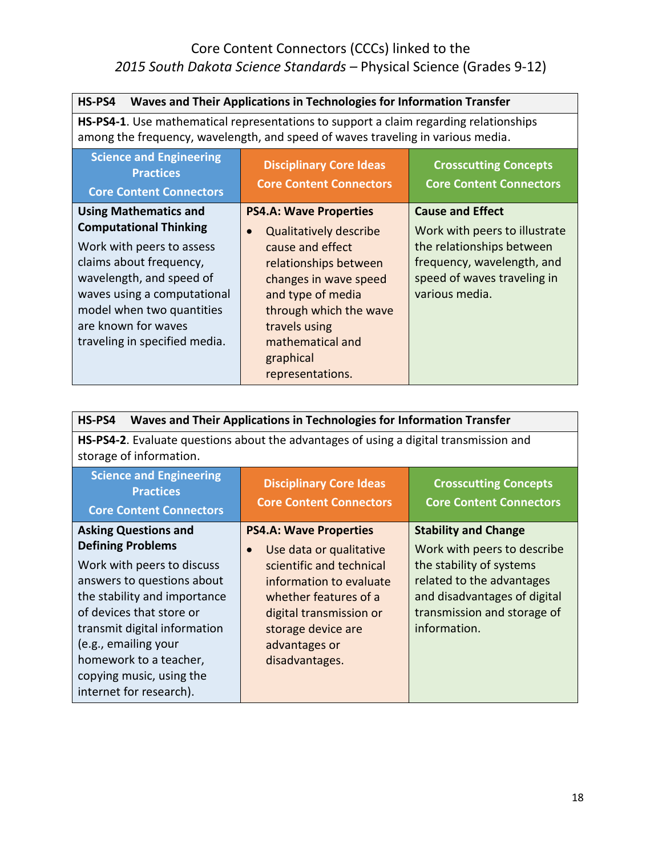| HS-PS4<br>Waves and Their Applications in Technologies for Information Transfer                                                                                                                                                                                       |                                                                                                                                                                                                                                       |                                                                                                                                                                      |
|-----------------------------------------------------------------------------------------------------------------------------------------------------------------------------------------------------------------------------------------------------------------------|---------------------------------------------------------------------------------------------------------------------------------------------------------------------------------------------------------------------------------------|----------------------------------------------------------------------------------------------------------------------------------------------------------------------|
| <b>HS-PS4-1.</b> Use mathematical representations to support a claim regarding relationships<br>among the frequency, wavelength, and speed of waves traveling in various media.                                                                                       |                                                                                                                                                                                                                                       |                                                                                                                                                                      |
| <b>Science and Engineering</b><br><b>Practices</b><br><b>Core Content Connectors</b>                                                                                                                                                                                  | <b>Disciplinary Core Ideas</b><br><b>Core Content Connectors</b>                                                                                                                                                                      | <b>Crosscutting Concepts</b><br><b>Core Content Connectors</b>                                                                                                       |
| <b>Using Mathematics and</b><br><b>Computational Thinking</b><br>Work with peers to assess<br>claims about frequency,<br>wavelength, and speed of<br>waves using a computational<br>model when two quantities<br>are known for waves<br>traveling in specified media. | <b>PS4.A: Wave Properties</b><br><b>Qualitatively describe</b><br>cause and effect<br>relationships between<br>changes in wave speed<br>and type of media<br>through which the wave<br>travels using<br>mathematical and<br>graphical | <b>Cause and Effect</b><br>Work with peers to illustrate<br>the relationships between<br>frequency, wavelength, and<br>speed of waves traveling in<br>various media. |

| HS-PS4<br>Waves and Their Applications in Technologies for Information Transfer                                                                                                                                                                                                                                          |                                                                                                                                                                                                                                           |                                                                                                                                                                                                    |
|--------------------------------------------------------------------------------------------------------------------------------------------------------------------------------------------------------------------------------------------------------------------------------------------------------------------------|-------------------------------------------------------------------------------------------------------------------------------------------------------------------------------------------------------------------------------------------|----------------------------------------------------------------------------------------------------------------------------------------------------------------------------------------------------|
| <b>HS-PS4-2.</b> Evaluate questions about the advantages of using a digital transmission and<br>storage of information.                                                                                                                                                                                                  |                                                                                                                                                                                                                                           |                                                                                                                                                                                                    |
| <b>Science and Engineering</b><br><b>Practices</b><br><b>Core Content Connectors</b>                                                                                                                                                                                                                                     | <b>Disciplinary Core Ideas</b><br><b>Core Content Connectors</b>                                                                                                                                                                          | <b>Crosscutting Concepts</b><br><b>Core Content Connectors</b>                                                                                                                                     |
| <b>Asking Questions and</b><br><b>Defining Problems</b><br>Work with peers to discuss<br>answers to questions about<br>the stability and importance<br>of devices that store or<br>transmit digital information<br>(e.g., emailing your<br>homework to a teacher,<br>copying music, using the<br>internet for research). | <b>PS4.A: Wave Properties</b><br>Use data or qualitative<br>$\bullet$<br>scientific and technical<br>information to evaluate<br>whether features of a<br>digital transmission or<br>storage device are<br>advantages or<br>disadvantages. | <b>Stability and Change</b><br>Work with peers to describe<br>the stability of systems<br>related to the advantages<br>and disadvantages of digital<br>transmission and storage of<br>information. |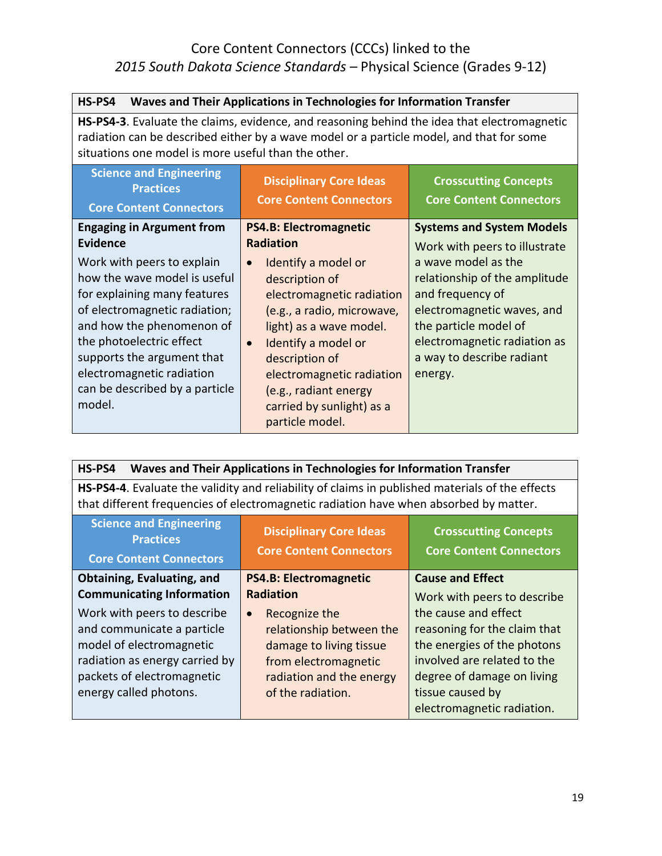| Waves and Their Applications in Technologies for Information Transfer<br>HS-PS4                                                                                                                                                                                                             |                                                                                                                                                                                                                                                                                                      |                                                                                                                                                                                                         |
|---------------------------------------------------------------------------------------------------------------------------------------------------------------------------------------------------------------------------------------------------------------------------------------------|------------------------------------------------------------------------------------------------------------------------------------------------------------------------------------------------------------------------------------------------------------------------------------------------------|---------------------------------------------------------------------------------------------------------------------------------------------------------------------------------------------------------|
| <b>HS-PS4-3</b> . Evaluate the claims, evidence, and reasoning behind the idea that electromagnetic<br>radiation can be described either by a wave model or a particle model, and that for some<br>situations one model is more useful than the other.                                      |                                                                                                                                                                                                                                                                                                      |                                                                                                                                                                                                         |
| <b>Science and Engineering</b><br><b>Practices</b><br><b>Core Content Connectors</b>                                                                                                                                                                                                        | <b>Disciplinary Core Ideas</b><br><b>Core Content Connectors</b>                                                                                                                                                                                                                                     | <b>Crosscutting Concepts</b><br><b>Core Content Connectors</b>                                                                                                                                          |
| <b>Engaging in Argument from</b><br>Evidence                                                                                                                                                                                                                                                | <b>PS4.B: Electromagnetic</b><br><b>Radiation</b>                                                                                                                                                                                                                                                    | <b>Systems and System Models</b><br>Work with peers to illustrate                                                                                                                                       |
| Work with peers to explain<br>how the wave model is useful<br>for explaining many features<br>of electromagnetic radiation;<br>and how the phenomenon of<br>the photoelectric effect<br>supports the argument that<br>electromagnetic radiation<br>can be described by a particle<br>model. | Identify a model or<br>$\bullet$<br>description of<br>electromagnetic radiation<br>(e.g., a radio, microwave,<br>light) as a wave model.<br>Identify a model or<br>$\bullet$<br>description of<br>electromagnetic radiation<br>(e.g., radiant energy<br>carried by sunlight) as a<br>particle model. | a wave model as the<br>relationship of the amplitude<br>and frequency of<br>electromagnetic waves, and<br>the particle model of<br>electromagnetic radiation as<br>a way to describe radiant<br>energy. |

| Waves and Their Applications in Technologies for Information Transfer<br>HS-PS4                                                                                                                                            |                               |                              |
|----------------------------------------------------------------------------------------------------------------------------------------------------------------------------------------------------------------------------|-------------------------------|------------------------------|
| HS-PS4-4. Evaluate the validity and reliability of claims in published materials of the effects<br>that different frequencies of electromagnetic radiation have when absorbed by matter.                                   |                               |                              |
| <b>Science and Engineering</b><br><b>Disciplinary Core Ideas</b><br><b>Crosscutting Concepts</b><br><b>Practices</b><br><b>Core Content Connectors</b><br><b>Core Content Connectors</b><br><b>Core Content Connectors</b> |                               |                              |
| Obtaining, Evaluating, and                                                                                                                                                                                                 | <b>PS4.B: Electromagnetic</b> | <b>Cause and Effect</b>      |
| <b>Communicating Information</b>                                                                                                                                                                                           | <b>Radiation</b>              | Work with peers to describe  |
| Work with peers to describe                                                                                                                                                                                                | Recognize the<br>$\bullet$    | the cause and effect         |
| and communicate a particle                                                                                                                                                                                                 | relationship between the      | reasoning for the claim that |
| model of electromagnetic                                                                                                                                                                                                   | damage to living tissue       | the energies of the photons  |
| radiation as energy carried by                                                                                                                                                                                             | from electromagnetic          | involved are related to the  |
| packets of electromagnetic                                                                                                                                                                                                 | radiation and the energy      | degree of damage on living   |
| energy called photons.                                                                                                                                                                                                     | of the radiation.             | tissue caused by             |
|                                                                                                                                                                                                                            |                               | electromagnetic radiation.   |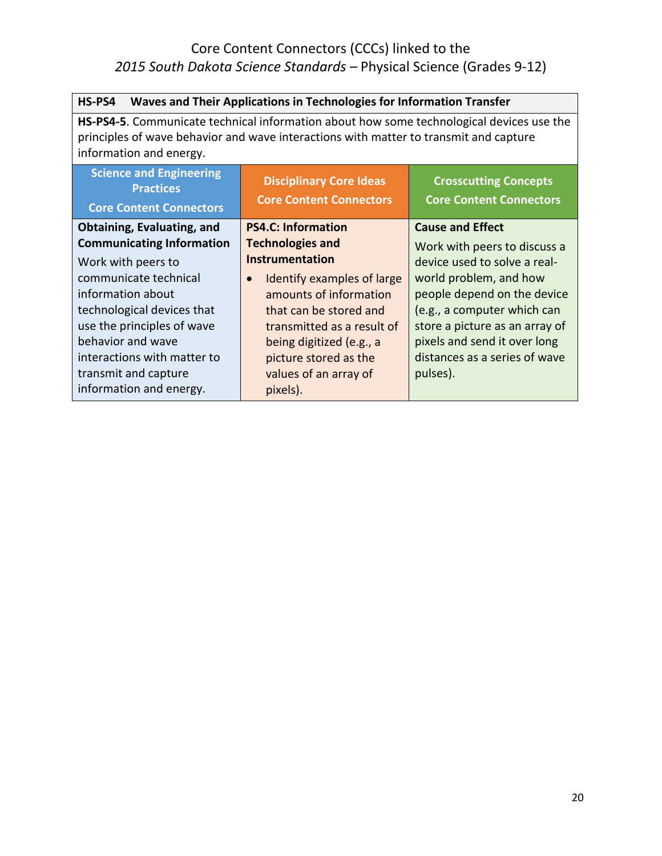| Waves and Their Applications in Technologies for Information Transfer<br>HS-PS4                                                                                                                              |                                                                   |                                                                |
|--------------------------------------------------------------------------------------------------------------------------------------------------------------------------------------------------------------|-------------------------------------------------------------------|----------------------------------------------------------------|
| HS-PS4-5. Communicate technical information about how some technological devices use the<br>principles of wave behavior and wave interactions with matter to transmit and capture<br>information and energy. |                                                                   |                                                                |
| <b>Science and Engineering</b><br><b>Practices</b><br><b>Core Content Connectors</b>                                                                                                                         | <b>Disciplinary Core Ideas</b><br><b>Core Content Connectors</b>  | <b>Crosscutting Concepts</b><br><b>Core Content Connectors</b> |
| Obtaining, Evaluating, and<br><b>Communicating Information</b>                                                                                                                                               | <b>PS4.C: Information</b><br><b>Technologies and</b>              | <b>Cause and Effect</b><br>Work with peers to discuss a        |
| Work with peers to<br>communicate technical                                                                                                                                                                  | <b>Instrumentation</b><br>Identify examples of large<br>$\bullet$ | device used to solve a real-<br>world problem, and how         |
| information about<br>technological devices that                                                                                                                                                              | amounts of information<br>that can be stored and                  | people depend on the device<br>(e.g., a computer which can     |
| use the principles of wave<br>behavior and wave                                                                                                                                                              | transmitted as a result of<br>being digitized (e.g., a            | store a picture as an array of<br>pixels and send it over long |
| interactions with matter to<br>transmit and capture                                                                                                                                                          | picture stored as the<br>values of an array of                    | distances as a series of wave<br>pulses).                      |
| information and energy.                                                                                                                                                                                      | pixels).                                                          |                                                                |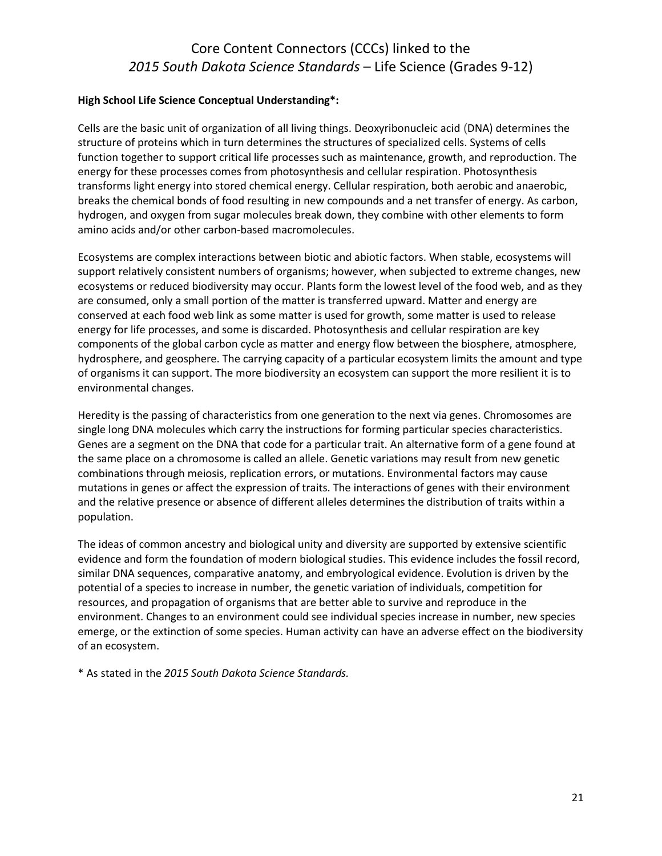#### **High School Life Science Conceptual Understanding\*:**

Cells are the basic unit of organization of all living things. Deoxyribonucleic acid (DNA) determines the structure of proteins which in turn determines the structures of specialized cells. Systems of cells function together to support critical life processes such as maintenance, growth, and reproduction. The energy for these processes comes from photosynthesis and cellular respiration. Photosynthesis transforms light energy into stored chemical energy. Cellular respiration, both aerobic and anaerobic, breaks the chemical bonds of food resulting in new compounds and a net transfer of energy. As carbon, hydrogen, and oxygen from sugar molecules break down, they combine with other elements to form amino acids and/or other carbon-based macromolecules.

Ecosystems are complex interactions between biotic and abiotic factors. When stable, ecosystems will support relatively consistent numbers of organisms; however, when subjected to extreme changes, new ecosystems or reduced biodiversity may occur. Plants form the lowest level of the food web, and as they are consumed, only a small portion of the matter is transferred upward. Matter and energy are conserved at each food web link as some matter is used for growth, some matter is used to release energy for life processes, and some is discarded. Photosynthesis and cellular respiration are key components of the global carbon cycle as matter and energy flow between the biosphere, atmosphere, hydrosphere, and geosphere. The carrying capacity of a particular ecosystem limits the amount and type of organisms it can support. The more biodiversity an ecosystem can support the more resilient it is to environmental changes.

Heredity is the passing of characteristics from one generation to the next via genes. Chromosomes are single long DNA molecules which carry the instructions for forming particular species characteristics. Genes are a segment on the DNA that code for a particular trait. An alternative form of a gene found at the same place on a chromosome is called an allele. Genetic variations may result from new genetic combinations through meiosis, replication errors, or mutations. Environmental factors may cause mutations in genes or affect the expression of traits. The interactions of genes with their environment and the relative presence or absence of different alleles determines the distribution of traits within a population.

The ideas of common ancestry and biological unity and diversity are supported by extensive scientific evidence and form the foundation of modern biological studies. This evidence includes the fossil record, similar DNA sequences, comparative anatomy, and embryological evidence. Evolution is driven by the potential of a species to increase in number, the genetic variation of individuals, competition for resources, and propagation of organisms that are better able to survive and reproduce in the environment. Changes to an environment could see individual species increase in number, new species emerge, or the extinction of some species. Human activity can have an adverse effect on the biodiversity of an ecosystem.

\* As stated in the *2015 South Dakota Science Standards.*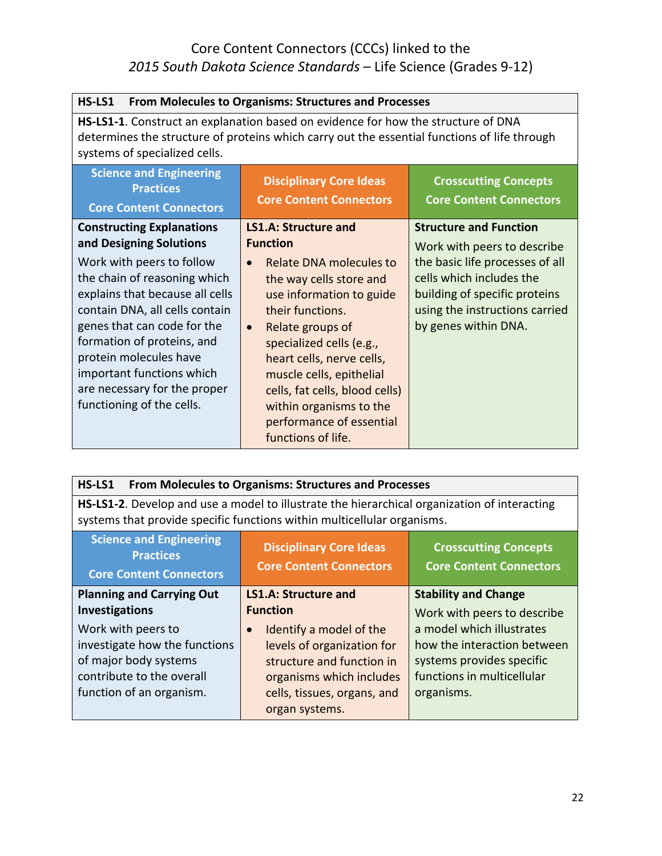| HS-LS1                                                                                                                                                                                                                                                                                                          | From Molecules to Organisms: Structures and Processes                                                                                                                                                                                                                                                                                                |                                                                                                                                                        |
|-----------------------------------------------------------------------------------------------------------------------------------------------------------------------------------------------------------------------------------------------------------------------------------------------------------------|------------------------------------------------------------------------------------------------------------------------------------------------------------------------------------------------------------------------------------------------------------------------------------------------------------------------------------------------------|--------------------------------------------------------------------------------------------------------------------------------------------------------|
| HS-LS1-1. Construct an explanation based on evidence for how the structure of DNA<br>determines the structure of proteins which carry out the essential functions of life through<br>systems of specialized cells.                                                                                              |                                                                                                                                                                                                                                                                                                                                                      |                                                                                                                                                        |
| <b>Science and Engineering</b><br><b>Practices</b><br><b>Core Content Connectors</b>                                                                                                                                                                                                                            | <b>Disciplinary Core Ideas</b><br><b>Core Content Connectors</b>                                                                                                                                                                                                                                                                                     | <b>Crosscutting Concepts</b><br><b>Core Content Connectors</b>                                                                                         |
| <b>Constructing Explanations</b><br>and Designing Solutions                                                                                                                                                                                                                                                     | LS1.A: Structure and<br><b>Function</b>                                                                                                                                                                                                                                                                                                              | <b>Structure and Function</b><br>Work with peers to describe                                                                                           |
| Work with peers to follow<br>the chain of reasoning which<br>explains that because all cells<br>contain DNA, all cells contain<br>genes that can code for the<br>formation of proteins, and<br>protein molecules have<br>important functions which<br>are necessary for the proper<br>functioning of the cells. | Relate DNA molecules to<br>$\bullet$<br>the way cells store and<br>use information to guide<br>their functions.<br>Relate groups of<br>$\bullet$<br>specialized cells (e.g.,<br>heart cells, nerve cells,<br>muscle cells, epithelial<br>cells, fat cells, blood cells)<br>within organisms to the<br>performance of essential<br>functions of life. | the basic life processes of all<br>cells which includes the<br>building of specific proteins<br>using the instructions carried<br>by genes within DNA. |

|  | HS-LS1 From Molecules to Organisms: Structures and Processes |  |
|--|--------------------------------------------------------------|--|
|--|--------------------------------------------------------------|--|

**HS-LS1-2**. Develop and use a model to illustrate the hierarchical organization of interacting systems that provide specific functions within multicellular organisms.

| <b>Science and Engineering</b><br><b>Practices</b><br><b>Core Content Connectors</b>                                                                           | <b>Disciplinary Core Ideas</b><br><b>Core Content Connectors</b>                                                                                                                                | <b>Crosscutting Concepts</b><br><b>Core Content Connectors</b>                                                                                                   |
|----------------------------------------------------------------------------------------------------------------------------------------------------------------|-------------------------------------------------------------------------------------------------------------------------------------------------------------------------------------------------|------------------------------------------------------------------------------------------------------------------------------------------------------------------|
| <b>Planning and Carrying Out</b>                                                                                                                               | <b>LS1.A: Structure and</b>                                                                                                                                                                     | <b>Stability and Change</b>                                                                                                                                      |
| <b>Investigations</b><br>Work with peers to<br>investigate how the functions<br>of major body systems<br>contribute to the overall<br>function of an organism. | <b>Function</b><br>Identify a model of the<br>$\bullet$<br>levels of organization for<br>structure and function in<br>organisms which includes<br>cells, tissues, organs, and<br>organ systems. | Work with peers to describe<br>a model which illustrates<br>how the interaction between<br>systems provides specific<br>functions in multicellular<br>organisms. |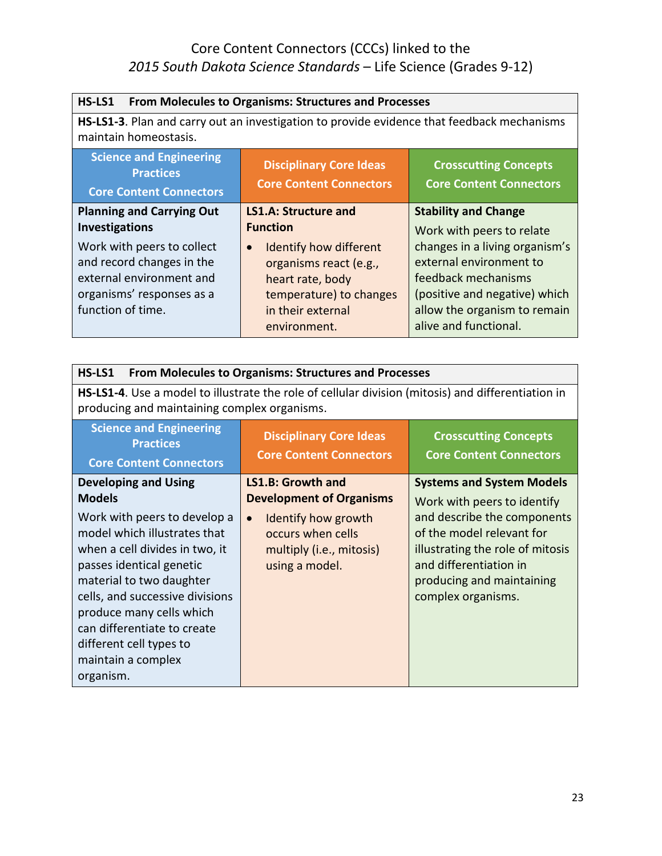| HS-LS1<br>From Molecules to Organisms: Structures and Processes                                                                                                |                                                                                                                                                                             |                                                                                                                                                                                                         |
|----------------------------------------------------------------------------------------------------------------------------------------------------------------|-----------------------------------------------------------------------------------------------------------------------------------------------------------------------------|---------------------------------------------------------------------------------------------------------------------------------------------------------------------------------------------------------|
| HS-LS1-3. Plan and carry out an investigation to provide evidence that feedback mechanisms<br>maintain homeostasis.                                            |                                                                                                                                                                             |                                                                                                                                                                                                         |
| <b>Science and Engineering</b><br><b>Practices</b><br><b>Core Content Connectors</b>                                                                           | <b>Disciplinary Core Ideas</b><br><b>Core Content Connectors</b>                                                                                                            | <b>Crosscutting Concepts</b><br><b>Core Content Connectors</b>                                                                                                                                          |
| <b>Planning and Carrying Out</b>                                                                                                                               | <b>LS1.A: Structure and</b>                                                                                                                                                 | <b>Stability and Change</b>                                                                                                                                                                             |
| <b>Investigations</b><br>Work with peers to collect<br>and record changes in the<br>external environment and<br>organisms' responses as a<br>function of time. | <b>Function</b><br><b>Identify how different</b><br>$\bullet$<br>organisms react (e.g.,<br>heart rate, body<br>temperature) to changes<br>in their external<br>environment. | Work with peers to relate<br>changes in a living organism's<br>external environment to<br>feedback mechanisms<br>(positive and negative) which<br>allow the organism to remain<br>alive and functional. |

| From Molecules to Organisms: Structures and Processes<br>HS-LS1                                                                                                                                                                                                                                                    |                                                                                                     |                                                                                                                                                                           |
|--------------------------------------------------------------------------------------------------------------------------------------------------------------------------------------------------------------------------------------------------------------------------------------------------------------------|-----------------------------------------------------------------------------------------------------|---------------------------------------------------------------------------------------------------------------------------------------------------------------------------|
| producing and maintaining complex organisms.                                                                                                                                                                                                                                                                       | HS-LS1-4. Use a model to illustrate the role of cellular division (mitosis) and differentiation in  |                                                                                                                                                                           |
| <b>Science and Engineering</b><br><b>Practices</b><br><b>Core Content Connectors</b>                                                                                                                                                                                                                               | <b>Disciplinary Core Ideas</b><br><b>Core Content Connectors</b>                                    | <b>Crosscutting Concepts</b><br><b>Core Content Connectors</b>                                                                                                            |
| <b>Developing and Using</b><br><b>Models</b>                                                                                                                                                                                                                                                                       | <b>LS1.B: Growth and</b><br><b>Development of Organisms</b>                                         | <b>Systems and System Models</b><br>Work with peers to identify                                                                                                           |
| Work with peers to develop a<br>model which illustrates that<br>when a cell divides in two, it<br>passes identical genetic<br>material to two daughter<br>cells, and successive divisions<br>produce many cells which<br>can differentiate to create<br>different cell types to<br>maintain a complex<br>organism. | Identify how growth<br>$\bullet$<br>occurs when cells<br>multiply (i.e., mitosis)<br>using a model. | and describe the components<br>of the model relevant for<br>illustrating the role of mitosis<br>and differentiation in<br>producing and maintaining<br>complex organisms. |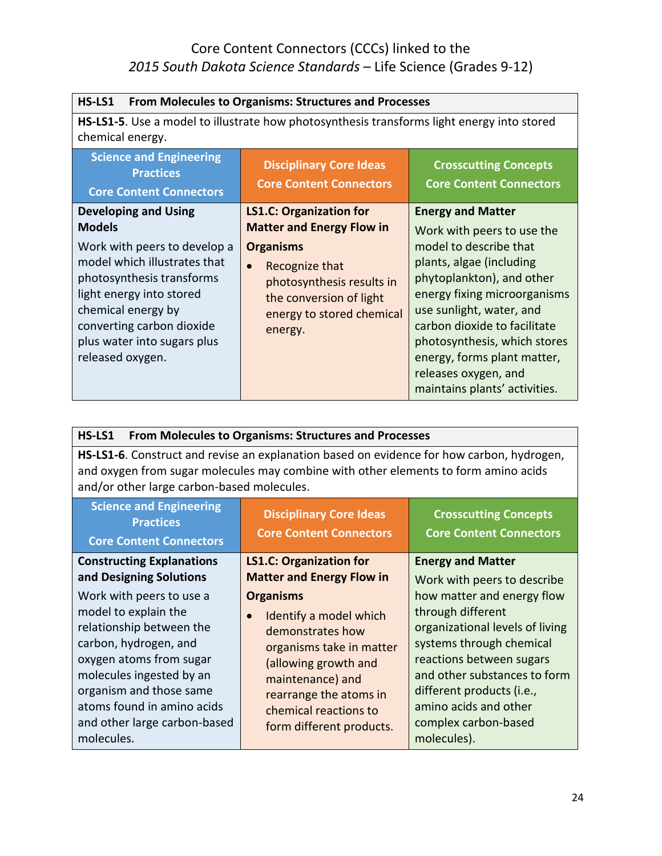| HS-LS1<br><b>From Molecules to Organisms: Structures and Processes</b>                                                                                                                                                                                                      |                                                                                                                                                                                                                       |                                                                                                                                                                                                                                                                                                                                                               |
|-----------------------------------------------------------------------------------------------------------------------------------------------------------------------------------------------------------------------------------------------------------------------------|-----------------------------------------------------------------------------------------------------------------------------------------------------------------------------------------------------------------------|---------------------------------------------------------------------------------------------------------------------------------------------------------------------------------------------------------------------------------------------------------------------------------------------------------------------------------------------------------------|
| <b>HS-LS1-5.</b> Use a model to illustrate how photosynthesis transforms light energy into stored<br>chemical energy.                                                                                                                                                       |                                                                                                                                                                                                                       |                                                                                                                                                                                                                                                                                                                                                               |
| <b>Science and Engineering</b><br><b>Practices</b><br><b>Core Content Connectors</b>                                                                                                                                                                                        | <b>Disciplinary Core Ideas</b><br><b>Core Content Connectors</b>                                                                                                                                                      | <b>Crosscutting Concepts</b><br><b>Core Content Connectors</b>                                                                                                                                                                                                                                                                                                |
| <b>Developing and Using</b><br><b>Models</b><br>Work with peers to develop a<br>model which illustrates that<br>photosynthesis transforms<br>light energy into stored<br>chemical energy by<br>converting carbon dioxide<br>plus water into sugars plus<br>released oxygen. | <b>LS1.C: Organization for</b><br><b>Matter and Energy Flow in</b><br><b>Organisms</b><br>Recognize that<br>$\bullet$<br>photosynthesis results in<br>the conversion of light<br>energy to stored chemical<br>energy. | <b>Energy and Matter</b><br>Work with peers to use the<br>model to describe that<br>plants, algae (including<br>phytoplankton), and other<br>energy fixing microorganisms<br>use sunlight, water, and<br>carbon dioxide to facilitate<br>photosynthesis, which stores<br>energy, forms plant matter,<br>releases oxygen, and<br>maintains plants' activities. |

| From Molecules to Organisms: Structures and Processes<br>HS-LS1                                                                                                                                                                                                                                                                    |                                                                                                                                                                                                                                                                                                          |                                                                                                                                                                                                                                                                                                                                    |
|------------------------------------------------------------------------------------------------------------------------------------------------------------------------------------------------------------------------------------------------------------------------------------------------------------------------------------|----------------------------------------------------------------------------------------------------------------------------------------------------------------------------------------------------------------------------------------------------------------------------------------------------------|------------------------------------------------------------------------------------------------------------------------------------------------------------------------------------------------------------------------------------------------------------------------------------------------------------------------------------|
| HS-LS1-6. Construct and revise an explanation based on evidence for how carbon, hydrogen,<br>and oxygen from sugar molecules may combine with other elements to form amino acids<br>and/or other large carbon-based molecules.                                                                                                     |                                                                                                                                                                                                                                                                                                          |                                                                                                                                                                                                                                                                                                                                    |
| <b>Science and Engineering</b><br><b>Practices</b><br><b>Core Content Connectors</b>                                                                                                                                                                                                                                               | <b>Disciplinary Core Ideas</b><br><b>Core Content Connectors</b>                                                                                                                                                                                                                                         | <b>Crosscutting Concepts</b><br><b>Core Content Connectors</b>                                                                                                                                                                                                                                                                     |
| <b>Constructing Explanations</b><br>and Designing Solutions<br>Work with peers to use a<br>model to explain the<br>relationship between the<br>carbon, hydrogen, and<br>oxygen atoms from sugar<br>molecules ingested by an<br>organism and those same<br>atoms found in amino acids<br>and other large carbon-based<br>molecules. | <b>LS1.C: Organization for</b><br><b>Matter and Energy Flow in</b><br><b>Organisms</b><br>Identify a model which<br>$\bullet$<br>demonstrates how<br>organisms take in matter<br>(allowing growth and<br>maintenance) and<br>rearrange the atoms in<br>chemical reactions to<br>form different products. | <b>Energy and Matter</b><br>Work with peers to describe<br>how matter and energy flow<br>through different<br>organizational levels of living<br>systems through chemical<br>reactions between sugars<br>and other substances to form<br>different products (i.e.,<br>amino acids and other<br>complex carbon-based<br>molecules). |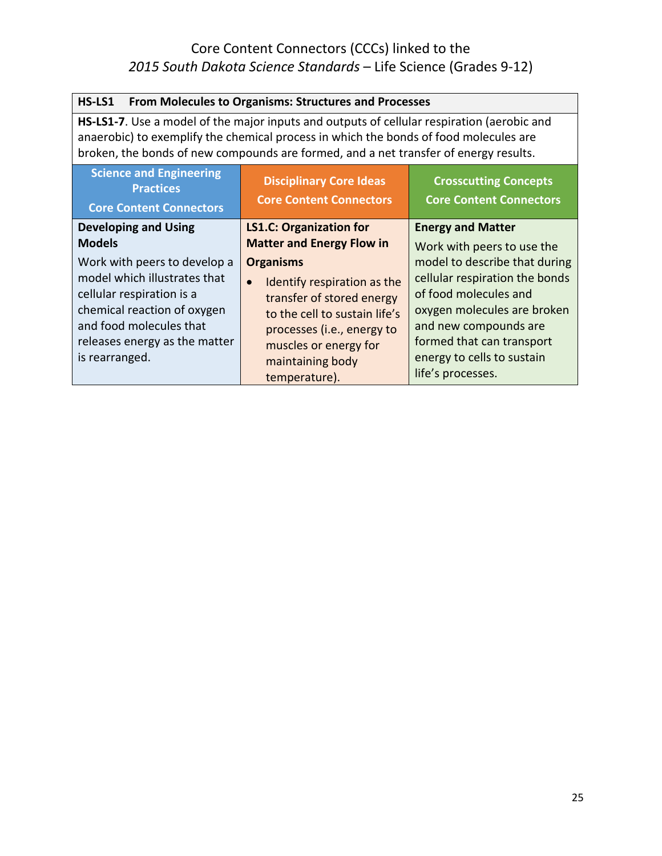| From Molecules to Organisms: Structures and Processes<br>HS-LS1                                                                                                                                                                                                             |                                                                                                                                                                                                                        |                                                                                                                                                                                                                                  |
|-----------------------------------------------------------------------------------------------------------------------------------------------------------------------------------------------------------------------------------------------------------------------------|------------------------------------------------------------------------------------------------------------------------------------------------------------------------------------------------------------------------|----------------------------------------------------------------------------------------------------------------------------------------------------------------------------------------------------------------------------------|
| HS-LS1-7. Use a model of the major inputs and outputs of cellular respiration (aerobic and<br>anaerobic) to exemplify the chemical process in which the bonds of food molecules are<br>broken, the bonds of new compounds are formed, and a net transfer of energy results. |                                                                                                                                                                                                                        |                                                                                                                                                                                                                                  |
| <b>Science and Engineering</b><br><b>Practices</b><br><b>Core Content Connectors</b>                                                                                                                                                                                        | <b>Disciplinary Core Ideas</b><br><b>Core Content Connectors</b>                                                                                                                                                       | <b>Crosscutting Concepts</b><br><b>Core Content Connectors</b>                                                                                                                                                                   |
| <b>Developing and Using</b><br><b>Models</b>                                                                                                                                                                                                                                | <b>LS1.C: Organization for</b><br><b>Matter and Energy Flow in</b>                                                                                                                                                     | <b>Energy and Matter</b><br>Work with peers to use the                                                                                                                                                                           |
| Work with peers to develop a<br>model which illustrates that<br>cellular respiration is a<br>chemical reaction of oxygen<br>and food molecules that<br>releases energy as the matter<br>is rearranged.                                                                      | <b>Organisms</b><br>Identify respiration as the<br>$\bullet$<br>transfer of stored energy<br>to the cell to sustain life's<br>processes (i.e., energy to<br>muscles or energy for<br>maintaining body<br>temperature). | model to describe that during<br>cellular respiration the bonds<br>of food molecules and<br>oxygen molecules are broken<br>and new compounds are<br>formed that can transport<br>energy to cells to sustain<br>life's processes. |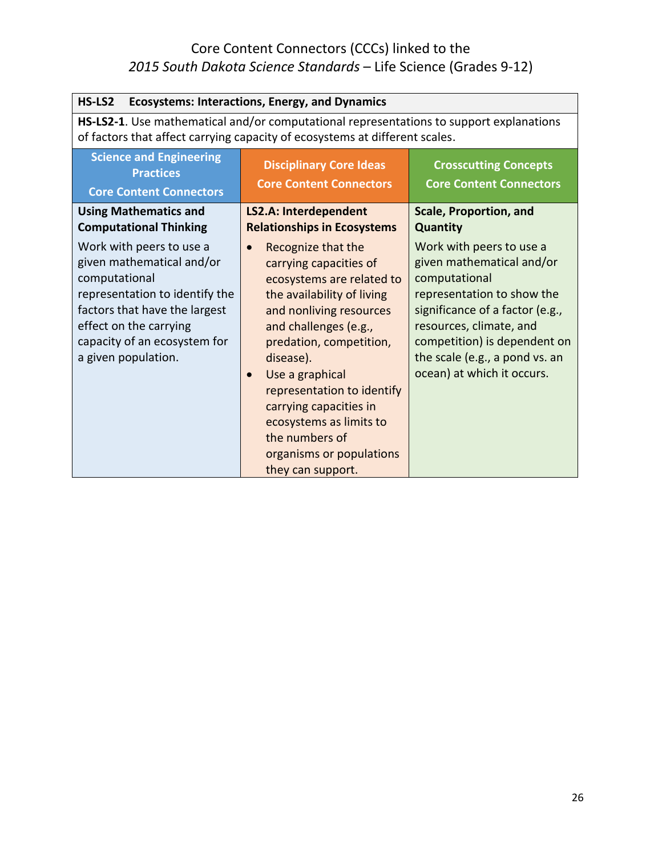| HS-LS2<br><b>Ecosystems: Interactions, Energy, and Dynamics</b>                                                                                                                                                            |                                                                                                                                                                                                                                                                                                                                                                                                        |                                                                                                                                                                                                                                                                    |
|----------------------------------------------------------------------------------------------------------------------------------------------------------------------------------------------------------------------------|--------------------------------------------------------------------------------------------------------------------------------------------------------------------------------------------------------------------------------------------------------------------------------------------------------------------------------------------------------------------------------------------------------|--------------------------------------------------------------------------------------------------------------------------------------------------------------------------------------------------------------------------------------------------------------------|
| HS-LS2-1. Use mathematical and/or computational representations to support explanations<br>of factors that affect carrying capacity of ecosystems at different scales.                                                     |                                                                                                                                                                                                                                                                                                                                                                                                        |                                                                                                                                                                                                                                                                    |
| <b>Science and Engineering</b><br><b>Practices</b><br><b>Core Content Connectors</b>                                                                                                                                       | <b>Disciplinary Core Ideas</b><br><b>Core Content Connectors</b>                                                                                                                                                                                                                                                                                                                                       | <b>Crosscutting Concepts</b><br><b>Core Content Connectors</b>                                                                                                                                                                                                     |
| <b>Using Mathematics and</b><br><b>Computational Thinking</b>                                                                                                                                                              | <b>LS2.A: Interdependent</b><br><b>Relationships in Ecosystems</b>                                                                                                                                                                                                                                                                                                                                     | <b>Scale, Proportion, and</b><br><b>Quantity</b>                                                                                                                                                                                                                   |
| Work with peers to use a<br>given mathematical and/or<br>computational<br>representation to identify the<br>factors that have the largest<br>effect on the carrying<br>capacity of an ecosystem for<br>a given population. | Recognize that the<br>$\bullet$<br>carrying capacities of<br>ecosystems are related to<br>the availability of living<br>and nonliving resources<br>and challenges (e.g.,<br>predation, competition,<br>disease).<br>Use a graphical<br>$\bullet$<br>representation to identify<br>carrying capacities in<br>ecosystems as limits to<br>the numbers of<br>organisms or populations<br>they can support. | Work with peers to use a<br>given mathematical and/or<br>computational<br>representation to show the<br>significance of a factor (e.g.,<br>resources, climate, and<br>competition) is dependent on<br>the scale (e.g., a pond vs. an<br>ocean) at which it occurs. |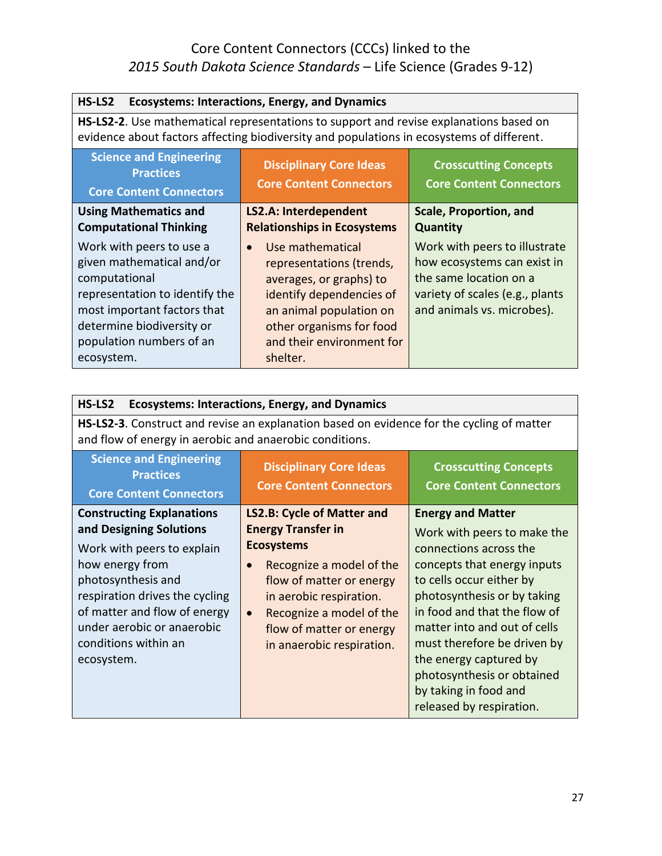| HS-LS2<br><b>Ecosystems: Interactions, Energy, and Dynamics</b>                                                                                                                                                |                                                                                                                                                                                                     |                                                                                                                                                         |
|----------------------------------------------------------------------------------------------------------------------------------------------------------------------------------------------------------------|-----------------------------------------------------------------------------------------------------------------------------------------------------------------------------------------------------|---------------------------------------------------------------------------------------------------------------------------------------------------------|
| HS-LS2-2. Use mathematical representations to support and revise explanations based on<br>evidence about factors affecting biodiversity and populations in ecosystems of different.                            |                                                                                                                                                                                                     |                                                                                                                                                         |
| <b>Science and Engineering</b><br><b>Practices</b><br><b>Core Content Connectors</b>                                                                                                                           | <b>Disciplinary Core Ideas</b><br><b>Core Content Connectors</b>                                                                                                                                    | <b>Crosscutting Concepts</b><br><b>Core Content Connectors</b>                                                                                          |
| <b>Using Mathematics and</b><br><b>Computational Thinking</b>                                                                                                                                                  | <b>LS2.A: Interdependent</b><br><b>Relationships in Ecosystems</b>                                                                                                                                  | Scale, Proportion, and<br><b>Quantity</b>                                                                                                               |
| Work with peers to use a<br>given mathematical and/or<br>computational<br>representation to identify the<br>most important factors that<br>determine biodiversity or<br>population numbers of an<br>ecosystem. | Use mathematical<br>representations (trends,<br>averages, or graphs) to<br>identify dependencies of<br>an animal population on<br>other organisms for food<br>and their environment for<br>shelter. | Work with peers to illustrate<br>how ecosystems can exist in<br>the same location on a<br>variety of scales (e.g., plants<br>and animals vs. microbes). |

| HS-LS2<br><b>Ecosystems: Interactions, Energy, and Dynamics</b>                                                                                                                                                                                                          |                                                                                                                                                                                                                                                                                       |                                                                                                                                                                                                                                                                                                                                                                                         |
|--------------------------------------------------------------------------------------------------------------------------------------------------------------------------------------------------------------------------------------------------------------------------|---------------------------------------------------------------------------------------------------------------------------------------------------------------------------------------------------------------------------------------------------------------------------------------|-----------------------------------------------------------------------------------------------------------------------------------------------------------------------------------------------------------------------------------------------------------------------------------------------------------------------------------------------------------------------------------------|
| and flow of energy in aerobic and anaerobic conditions.                                                                                                                                                                                                                  | HS-LS2-3. Construct and revise an explanation based on evidence for the cycling of matter                                                                                                                                                                                             |                                                                                                                                                                                                                                                                                                                                                                                         |
| <b>Science and Engineering</b><br><b>Practices</b><br><b>Core Content Connectors</b>                                                                                                                                                                                     | <b>Disciplinary Core Ideas</b><br><b>Core Content Connectors</b>                                                                                                                                                                                                                      | <b>Crosscutting Concepts</b><br><b>Core Content Connectors</b>                                                                                                                                                                                                                                                                                                                          |
| <b>Constructing Explanations</b><br>and Designing Solutions<br>Work with peers to explain<br>how energy from<br>photosynthesis and<br>respiration drives the cycling<br>of matter and flow of energy<br>under aerobic or anaerobic<br>conditions within an<br>ecosystem. | <b>LS2.B: Cycle of Matter and</b><br><b>Energy Transfer in</b><br><b>Ecosystems</b><br>Recognize a model of the<br>$\bullet$<br>flow of matter or energy<br>in aerobic respiration.<br>Recognize a model of the<br>$\bullet$<br>flow of matter or energy<br>in anaerobic respiration. | <b>Energy and Matter</b><br>Work with peers to make the<br>connections across the<br>concepts that energy inputs<br>to cells occur either by<br>photosynthesis or by taking<br>in food and that the flow of<br>matter into and out of cells<br>must therefore be driven by<br>the energy captured by<br>photosynthesis or obtained<br>by taking in food and<br>released by respiration. |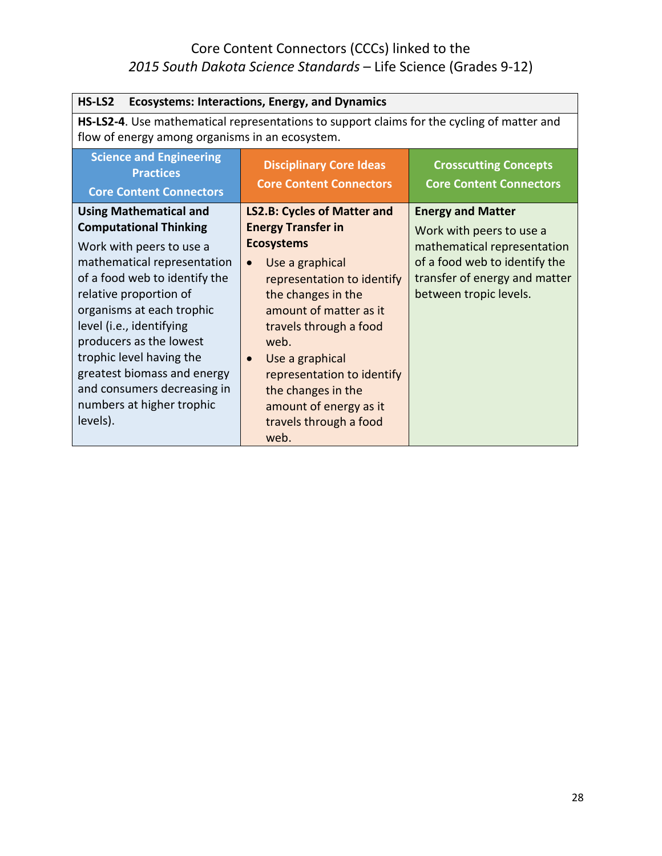| HS-LS2<br><b>Ecosystems: Interactions, Energy, and Dynamics</b>                                                                                                                                                                                                                                                                                                                                             |                                                                                                                                                                                                                                                                                                                                                                              |                                                                                                                                                                                 |
|-------------------------------------------------------------------------------------------------------------------------------------------------------------------------------------------------------------------------------------------------------------------------------------------------------------------------------------------------------------------------------------------------------------|------------------------------------------------------------------------------------------------------------------------------------------------------------------------------------------------------------------------------------------------------------------------------------------------------------------------------------------------------------------------------|---------------------------------------------------------------------------------------------------------------------------------------------------------------------------------|
| HS-LS2-4. Use mathematical representations to support claims for the cycling of matter and<br>flow of energy among organisms in an ecosystem.                                                                                                                                                                                                                                                               |                                                                                                                                                                                                                                                                                                                                                                              |                                                                                                                                                                                 |
| <b>Science and Engineering</b><br><b>Practices</b><br><b>Core Content Connectors</b>                                                                                                                                                                                                                                                                                                                        | <b>Disciplinary Core Ideas</b><br><b>Core Content Connectors</b>                                                                                                                                                                                                                                                                                                             | <b>Crosscutting Concepts</b><br><b>Core Content Connectors</b>                                                                                                                  |
| <b>Using Mathematical and</b><br><b>Computational Thinking</b><br>Work with peers to use a<br>mathematical representation<br>of a food web to identify the<br>relative proportion of<br>organisms at each trophic<br>level (i.e., identifying<br>producers as the lowest<br>trophic level having the<br>greatest biomass and energy<br>and consumers decreasing in<br>numbers at higher trophic<br>levels). | <b>LS2.B: Cycles of Matter and</b><br><b>Energy Transfer in</b><br><b>Ecosystems</b><br>Use a graphical<br>$\bullet$<br>representation to identify<br>the changes in the<br>amount of matter as it<br>travels through a food<br>web.<br>Use a graphical<br>$\bullet$<br>representation to identify<br>the changes in the<br>amount of energy as it<br>travels through a food | <b>Energy and Matter</b><br>Work with peers to use a<br>mathematical representation<br>of a food web to identify the<br>transfer of energy and matter<br>between tropic levels. |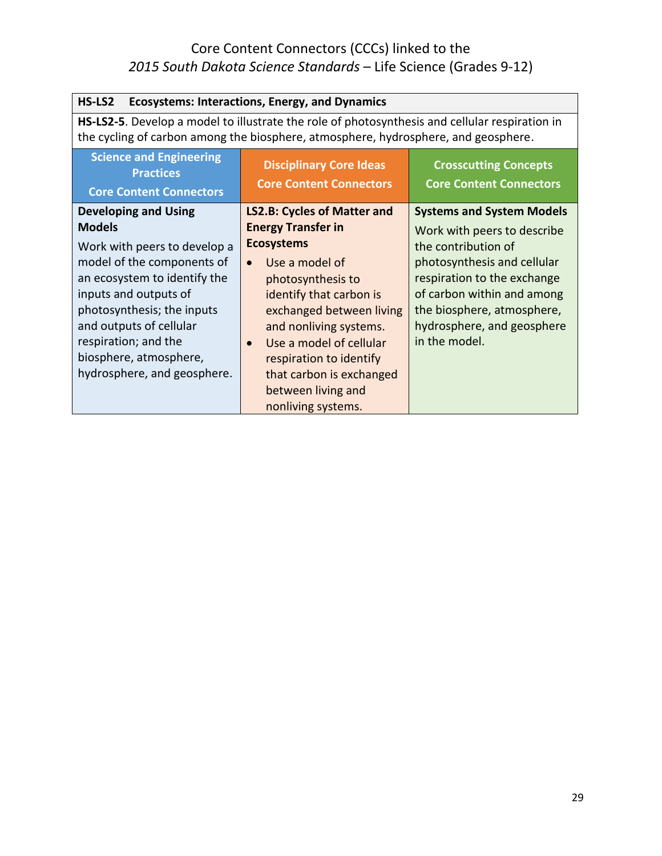| <b>Ecosystems: Interactions, Energy, and Dynamics</b><br>HS-LS2                                                                                                                                                                                                                                               |                                                                                                                                                                                                                                                                                                                                                |                                                                                                                                                                                                                                                                 |
|---------------------------------------------------------------------------------------------------------------------------------------------------------------------------------------------------------------------------------------------------------------------------------------------------------------|------------------------------------------------------------------------------------------------------------------------------------------------------------------------------------------------------------------------------------------------------------------------------------------------------------------------------------------------|-----------------------------------------------------------------------------------------------------------------------------------------------------------------------------------------------------------------------------------------------------------------|
| HS-LS2-5. Develop a model to illustrate the role of photosynthesis and cellular respiration in<br>the cycling of carbon among the biosphere, atmosphere, hydrosphere, and geosphere.                                                                                                                          |                                                                                                                                                                                                                                                                                                                                                |                                                                                                                                                                                                                                                                 |
| <b>Science and Engineering</b><br><b>Practices</b><br><b>Core Content Connectors</b>                                                                                                                                                                                                                          | <b>Disciplinary Core Ideas</b><br><b>Core Content Connectors</b>                                                                                                                                                                                                                                                                               | <b>Crosscutting Concepts</b><br><b>Core Content Connectors</b>                                                                                                                                                                                                  |
| <b>Developing and Using</b><br><b>Models</b><br>Work with peers to develop a<br>model of the components of<br>an ecosystem to identify the<br>inputs and outputs of<br>photosynthesis; the inputs<br>and outputs of cellular<br>respiration; and the<br>biosphere, atmosphere,<br>hydrosphere, and geosphere. | <b>LS2.B: Cycles of Matter and</b><br><b>Energy Transfer in</b><br><b>Ecosystems</b><br>Use a model of<br>$\bullet$<br>photosynthesis to<br>identify that carbon is<br>exchanged between living<br>and nonliving systems.<br>Use a model of cellular<br>$\bullet$<br>respiration to identify<br>that carbon is exchanged<br>between living and | <b>Systems and System Models</b><br>Work with peers to describe<br>the contribution of<br>photosynthesis and cellular<br>respiration to the exchange<br>of carbon within and among<br>the biosphere, atmosphere,<br>hydrosphere, and geosphere<br>in the model. |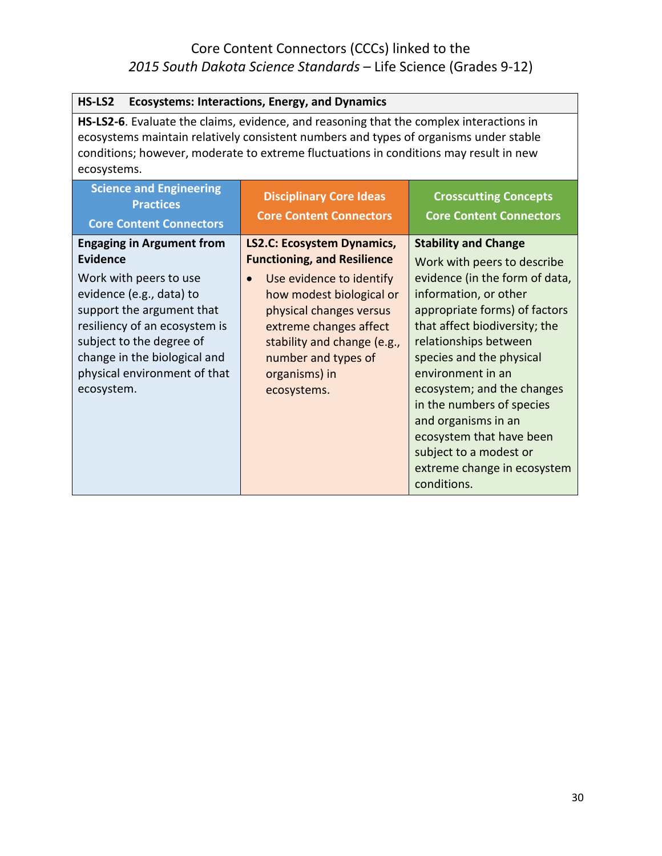| <b>Ecosystems: Interactions, Energy, and Dynamics</b><br>HS-LS2                                                                                                                                                                                                                          |                                                                                                                                                                                                                                                                                         |                                                                                                                                                                                                                                                                                                                                                                                                                                                         |
|------------------------------------------------------------------------------------------------------------------------------------------------------------------------------------------------------------------------------------------------------------------------------------------|-----------------------------------------------------------------------------------------------------------------------------------------------------------------------------------------------------------------------------------------------------------------------------------------|---------------------------------------------------------------------------------------------------------------------------------------------------------------------------------------------------------------------------------------------------------------------------------------------------------------------------------------------------------------------------------------------------------------------------------------------------------|
| HS-LS2-6. Evaluate the claims, evidence, and reasoning that the complex interactions in<br>ecosystems maintain relatively consistent numbers and types of organisms under stable<br>conditions; however, moderate to extreme fluctuations in conditions may result in new<br>ecosystems. |                                                                                                                                                                                                                                                                                         |                                                                                                                                                                                                                                                                                                                                                                                                                                                         |
| <b>Science and Engineering</b><br><b>Practices</b>                                                                                                                                                                                                                                       | <b>Disciplinary Core Ideas</b>                                                                                                                                                                                                                                                          | <b>Crosscutting Concepts</b>                                                                                                                                                                                                                                                                                                                                                                                                                            |
| <b>Core Content Connectors</b>                                                                                                                                                                                                                                                           | <b>Core Content Connectors</b>                                                                                                                                                                                                                                                          | <b>Core Content Connectors</b>                                                                                                                                                                                                                                                                                                                                                                                                                          |
| <b>Engaging in Argument from</b><br><b>Evidence</b><br>Work with peers to use<br>evidence (e.g., data) to<br>support the argument that<br>resiliency of an ecosystem is<br>subject to the degree of<br>change in the biological and<br>physical environment of that<br>ecosystem.        | <b>LS2.C: Ecosystem Dynamics,</b><br><b>Functioning, and Resilience</b><br>Use evidence to identify<br>$\bullet$<br>how modest biological or<br>physical changes versus<br>extreme changes affect<br>stability and change (e.g.,<br>number and types of<br>organisms) in<br>ecosystems. | <b>Stability and Change</b><br>Work with peers to describe<br>evidence (in the form of data,<br>information, or other<br>appropriate forms) of factors<br>that affect biodiversity; the<br>relationships between<br>species and the physical<br>environment in an<br>ecosystem; and the changes<br>in the numbers of species<br>and organisms in an<br>ecosystem that have been<br>subject to a modest or<br>extreme change in ecosystem<br>conditions. |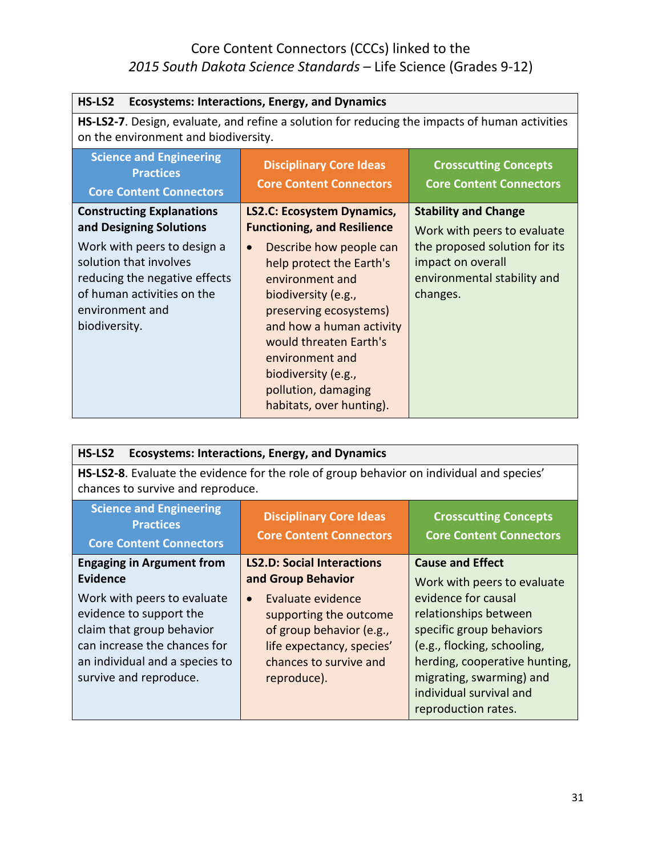| HS-LS2<br><b>Ecosystems: Interactions, Energy, and Dynamics</b>                                                                                                                                                         |                                                                                                                                                                                                                                                                                                                 |                                                                                                                                                             |
|-------------------------------------------------------------------------------------------------------------------------------------------------------------------------------------------------------------------------|-----------------------------------------------------------------------------------------------------------------------------------------------------------------------------------------------------------------------------------------------------------------------------------------------------------------|-------------------------------------------------------------------------------------------------------------------------------------------------------------|
| <b>HS-LS2-7</b> . Design, evaluate, and refine a solution for reducing the impacts of human activities<br>on the environment and biodiversity.                                                                          |                                                                                                                                                                                                                                                                                                                 |                                                                                                                                                             |
| <b>Science and Engineering</b><br><b>Practices</b><br><b>Core Content Connectors</b>                                                                                                                                    | <b>Disciplinary Core Ideas</b><br><b>Core Content Connectors</b>                                                                                                                                                                                                                                                | <b>Crosscutting Concepts</b><br><b>Core Content Connectors</b>                                                                                              |
| <b>Constructing Explanations</b><br>and Designing Solutions<br>Work with peers to design a<br>solution that involves<br>reducing the negative effects<br>of human activities on the<br>environment and<br>biodiversity. | <b>LS2.C: Ecosystem Dynamics,</b><br><b>Functioning, and Resilience</b><br>Describe how people can<br>$\bullet$<br>help protect the Earth's<br>environment and<br>biodiversity (e.g.,<br>preserving ecosystems)<br>and how a human activity<br>would threaten Earth's<br>environment and<br>biodiversity (e.g., | <b>Stability and Change</b><br>Work with peers to evaluate<br>the proposed solution for its<br>impact on overall<br>environmental stability and<br>changes. |
|                                                                                                                                                                                                                         | pollution, damaging<br>habitats, over hunting).                                                                                                                                                                                                                                                                 |                                                                                                                                                             |

| HS-LS2<br><b>Ecosystems: Interactions, Energy, and Dynamics</b>                                                                                                                 |                                                                                                                                                            |                                                                                                                                                                                                                        |
|---------------------------------------------------------------------------------------------------------------------------------------------------------------------------------|------------------------------------------------------------------------------------------------------------------------------------------------------------|------------------------------------------------------------------------------------------------------------------------------------------------------------------------------------------------------------------------|
| HS-LS2-8. Evaluate the evidence for the role of group behavior on individual and species'<br>chances to survive and reproduce.                                                  |                                                                                                                                                            |                                                                                                                                                                                                                        |
| <b>Science and Engineering</b><br><b>Practices</b><br><b>Core Content Connectors</b>                                                                                            | <b>Disciplinary Core Ideas</b><br><b>Core Content Connectors</b>                                                                                           | <b>Crosscutting Concepts</b><br><b>Core Content Connectors</b>                                                                                                                                                         |
| <b>Engaging in Argument from</b><br><b>Evidence</b>                                                                                                                             | <b>LS2.D: Social Interactions</b><br>and Group Behavior                                                                                                    | <b>Cause and Effect</b><br>Work with peers to evaluate                                                                                                                                                                 |
| Work with peers to evaluate<br>evidence to support the<br>claim that group behavior<br>can increase the chances for<br>an individual and a species to<br>survive and reproduce. | Evaluate evidence<br>$\bullet$<br>supporting the outcome<br>of group behavior (e.g.,<br>life expectancy, species'<br>chances to survive and<br>reproduce). | evidence for causal<br>relationships between<br>specific group behaviors<br>(e.g., flocking, schooling,<br>herding, cooperative hunting,<br>migrating, swarming) and<br>individual survival and<br>reproduction rates. |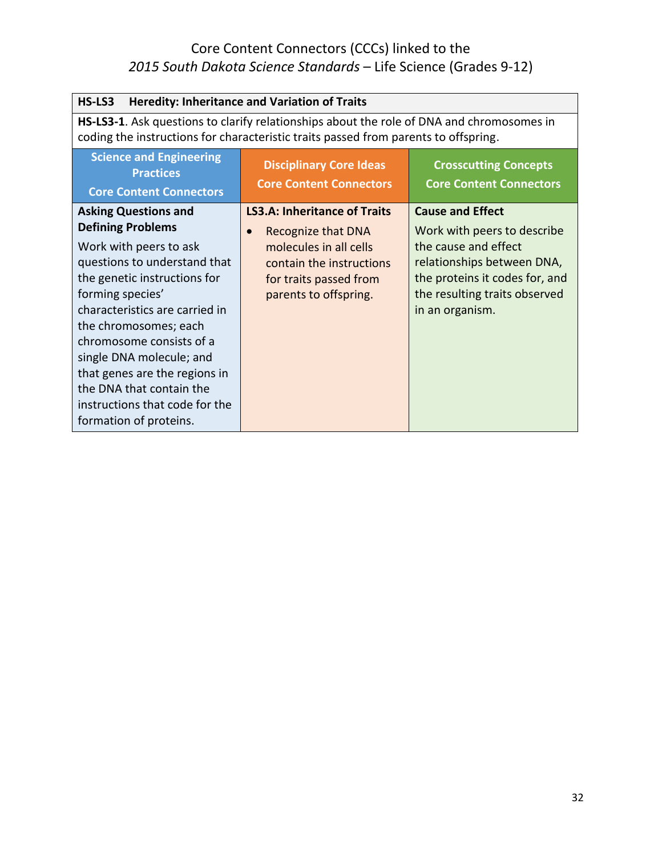| HS-LS3<br><b>Heredity: Inheritance and Variation of Traits</b>                                                                                                                                                                                                                                                                                                                                                    |                                                                                                                                                                                  |                                                                                                                                                                                                    |
|-------------------------------------------------------------------------------------------------------------------------------------------------------------------------------------------------------------------------------------------------------------------------------------------------------------------------------------------------------------------------------------------------------------------|----------------------------------------------------------------------------------------------------------------------------------------------------------------------------------|----------------------------------------------------------------------------------------------------------------------------------------------------------------------------------------------------|
|                                                                                                                                                                                                                                                                                                                                                                                                                   | HS-LS3-1. Ask questions to clarify relationships about the role of DNA and chromosomes in<br>coding the instructions for characteristic traits passed from parents to offspring. |                                                                                                                                                                                                    |
| <b>Science and Engineering</b><br><b>Practices</b><br><b>Core Content Connectors</b>                                                                                                                                                                                                                                                                                                                              | <b>Disciplinary Core Ideas</b><br><b>Core Content Connectors</b>                                                                                                                 | <b>Crosscutting Concepts</b><br><b>Core Content Connectors</b>                                                                                                                                     |
| <b>Asking Questions and</b><br><b>Defining Problems</b><br>Work with peers to ask<br>questions to understand that<br>the genetic instructions for<br>forming species'<br>characteristics are carried in<br>the chromosomes; each<br>chromosome consists of a<br>single DNA molecule; and<br>that genes are the regions in<br>the DNA that contain the<br>instructions that code for the<br>formation of proteins. | <b>LS3.A: Inheritance of Traits</b><br>Recognize that DNA<br>$\bullet$<br>molecules in all cells<br>contain the instructions<br>for traits passed from<br>parents to offspring.  | <b>Cause and Effect</b><br>Work with peers to describe<br>the cause and effect<br>relationships between DNA,<br>the proteins it codes for, and<br>the resulting traits observed<br>in an organism. |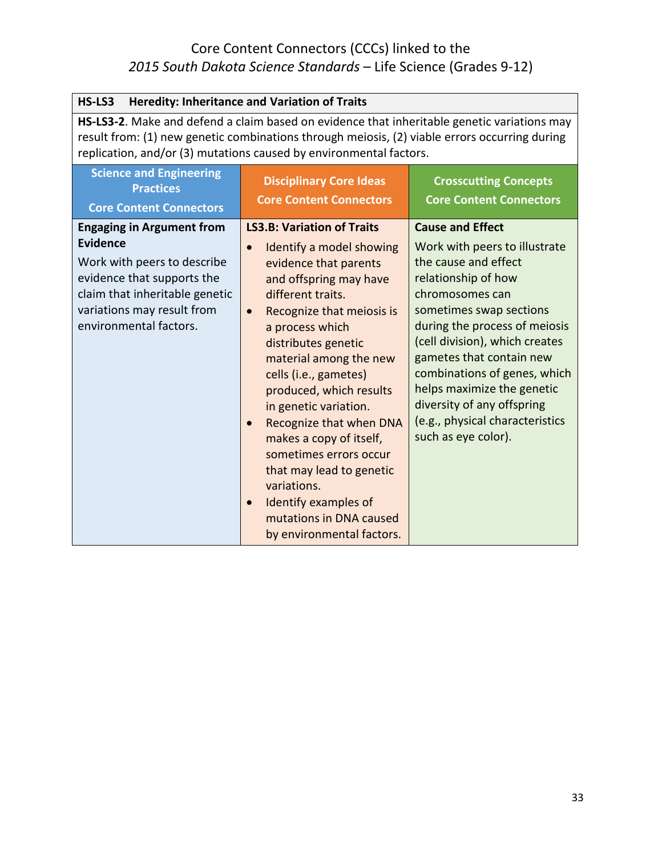| HS-LS3<br><b>Heredity: Inheritance and Variation of Traits</b>                                                                                                                                                                                                     |                                                                                                                                                                                                                                                                                                                                                                                                                                                                                                                                                                                    |                                                                                                                                                                                                                                                                                                                                                                                                            |
|--------------------------------------------------------------------------------------------------------------------------------------------------------------------------------------------------------------------------------------------------------------------|------------------------------------------------------------------------------------------------------------------------------------------------------------------------------------------------------------------------------------------------------------------------------------------------------------------------------------------------------------------------------------------------------------------------------------------------------------------------------------------------------------------------------------------------------------------------------------|------------------------------------------------------------------------------------------------------------------------------------------------------------------------------------------------------------------------------------------------------------------------------------------------------------------------------------------------------------------------------------------------------------|
| HS-LS3-2. Make and defend a claim based on evidence that inheritable genetic variations may<br>result from: (1) new genetic combinations through meiosis, (2) viable errors occurring during<br>replication, and/or (3) mutations caused by environmental factors. |                                                                                                                                                                                                                                                                                                                                                                                                                                                                                                                                                                                    |                                                                                                                                                                                                                                                                                                                                                                                                            |
| <b>Science and Engineering</b><br><b>Practices</b><br><b>Core Content Connectors</b>                                                                                                                                                                               | <b>Disciplinary Core Ideas</b><br><b>Core Content Connectors</b>                                                                                                                                                                                                                                                                                                                                                                                                                                                                                                                   | <b>Crosscutting Concepts</b><br><b>Core Content Connectors</b>                                                                                                                                                                                                                                                                                                                                             |
| <b>Engaging in Argument from</b><br><b>Evidence</b><br>Work with peers to describe<br>evidence that supports the<br>claim that inheritable genetic<br>variations may result from<br>environmental factors.                                                         | <b>LS3.B: Variation of Traits</b><br>Identify a model showing<br>$\bullet$<br>evidence that parents<br>and offspring may have<br>different traits.<br>Recognize that meiosis is<br>$\bullet$<br>a process which<br>distributes genetic<br>material among the new<br>cells (i.e., gametes)<br>produced, which results<br>in genetic variation.<br>Recognize that when DNA<br>$\bullet$<br>makes a copy of itself,<br>sometimes errors occur<br>that may lead to genetic<br>variations.<br>Identify examples of<br>$\bullet$<br>mutations in DNA caused<br>by environmental factors. | <b>Cause and Effect</b><br>Work with peers to illustrate<br>the cause and effect<br>relationship of how<br>chromosomes can<br>sometimes swap sections<br>during the process of meiosis<br>(cell division), which creates<br>gametes that contain new<br>combinations of genes, which<br>helps maximize the genetic<br>diversity of any offspring<br>(e.g., physical characteristics<br>such as eye color). |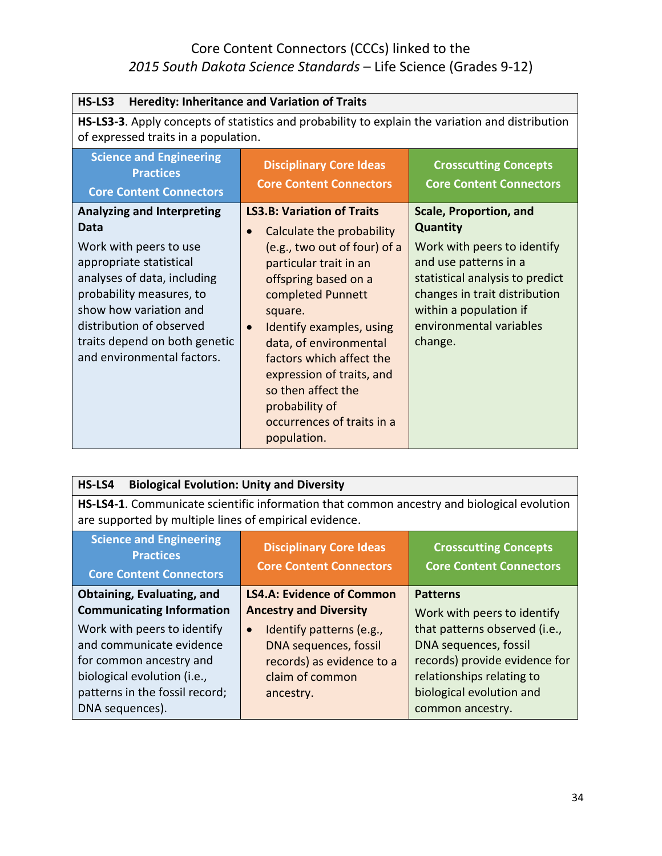| <b>Heredity: Inheritance and Variation of Traits</b><br>HS-LS3                                                                                                                                                                                                                 |                                                                                                                                                                                                                                                                                                                                                                                                   |                                                                                                                                                                                                                                              |
|--------------------------------------------------------------------------------------------------------------------------------------------------------------------------------------------------------------------------------------------------------------------------------|---------------------------------------------------------------------------------------------------------------------------------------------------------------------------------------------------------------------------------------------------------------------------------------------------------------------------------------------------------------------------------------------------|----------------------------------------------------------------------------------------------------------------------------------------------------------------------------------------------------------------------------------------------|
| HS-LS3-3. Apply concepts of statistics and probability to explain the variation and distribution<br>of expressed traits in a population.                                                                                                                                       |                                                                                                                                                                                                                                                                                                                                                                                                   |                                                                                                                                                                                                                                              |
| <b>Science and Engineering</b><br><b>Practices</b><br><b>Core Content Connectors</b>                                                                                                                                                                                           | <b>Disciplinary Core Ideas</b><br><b>Core Content Connectors</b>                                                                                                                                                                                                                                                                                                                                  | <b>Crosscutting Concepts</b><br><b>Core Content Connectors</b>                                                                                                                                                                               |
| <b>Analyzing and Interpreting</b><br>Data<br>Work with peers to use<br>appropriate statistical<br>analyses of data, including<br>probability measures, to<br>show how variation and<br>distribution of observed<br>traits depend on both genetic<br>and environmental factors. | <b>LS3.B: Variation of Traits</b><br>Calculate the probability<br>(e.g., two out of four) of a<br>particular trait in an<br>offspring based on a<br>completed Punnett<br>square.<br>Identify examples, using<br>$\bullet$<br>data, of environmental<br>factors which affect the<br>expression of traits, and<br>so then affect the<br>probability of<br>occurrences of traits in a<br>population. | <b>Scale, Proportion, and</b><br><b>Quantity</b><br>Work with peers to identify<br>and use patterns in a<br>statistical analysis to predict<br>changes in trait distribution<br>within a population if<br>environmental variables<br>change. |

| HS-LS4<br><b>Biological Evolution: Unity and Diversity</b>                                 |                                                                  |                                                                |
|--------------------------------------------------------------------------------------------|------------------------------------------------------------------|----------------------------------------------------------------|
| HS-LS4-1. Communicate scientific information that common ancestry and biological evolution |                                                                  |                                                                |
| are supported by multiple lines of empirical evidence.                                     |                                                                  |                                                                |
| <b>Science and Engineering</b><br><b>Practices</b><br><b>Core Content Connectors</b>       | <b>Disciplinary Core Ideas</b><br><b>Core Content Connectors</b> | <b>Crosscutting Concepts</b><br><b>Core Content Connectors</b> |
| Obtaining, Evaluating, and                                                                 | <b>LS4.A: Evidence of Common</b>                                 | <b>Patterns</b>                                                |
| <b>Communicating Information</b>                                                           | <b>Ancestry and Diversity</b>                                    | Work with peers to identify                                    |
| Work with peers to identify                                                                | Identify patterns (e.g.,<br>$\bullet$                            | that patterns observed (i.e.,                                  |
| and communicate evidence                                                                   | DNA sequences, fossil                                            | DNA sequences, fossil                                          |
| for common ancestry and                                                                    | records) as evidence to a                                        | records) provide evidence for                                  |
| biological evolution (i.e.,                                                                | claim of common                                                  | relationships relating to                                      |
| patterns in the fossil record;                                                             | ancestry.                                                        | biological evolution and                                       |
| DNA sequences).                                                                            |                                                                  | common ancestry.                                               |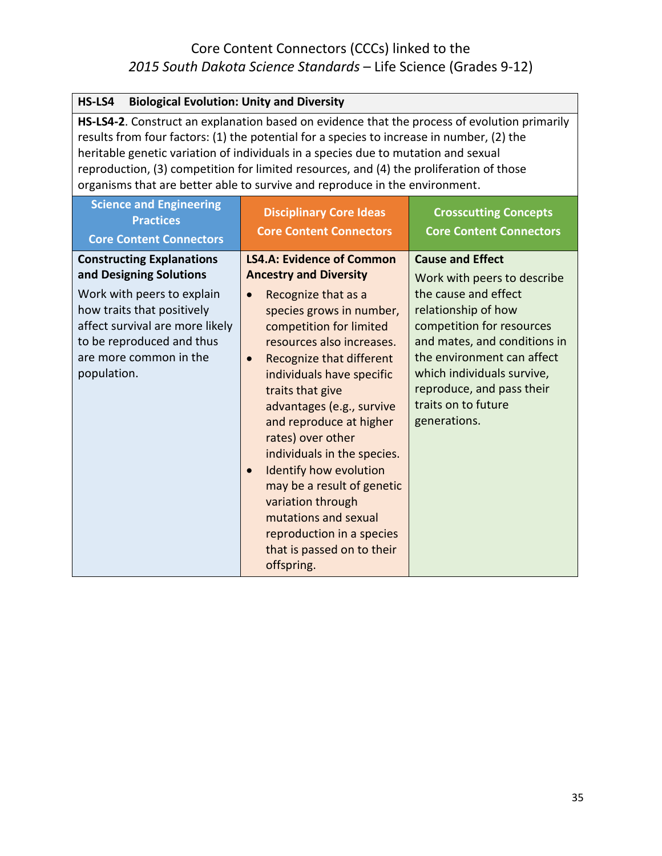| HS-LS4<br><b>Biological Evolution: Unity and Diversity</b>                                                                                                                                                                                                                                                                                                                                                                                                |                                                                                                                                                                                                                                                                                                                                             |                                                                                                                                                                                                                                                                                                    |
|-----------------------------------------------------------------------------------------------------------------------------------------------------------------------------------------------------------------------------------------------------------------------------------------------------------------------------------------------------------------------------------------------------------------------------------------------------------|---------------------------------------------------------------------------------------------------------------------------------------------------------------------------------------------------------------------------------------------------------------------------------------------------------------------------------------------|----------------------------------------------------------------------------------------------------------------------------------------------------------------------------------------------------------------------------------------------------------------------------------------------------|
| HS-LS4-2. Construct an explanation based on evidence that the process of evolution primarily<br>results from four factors: (1) the potential for a species to increase in number, (2) the<br>heritable genetic variation of individuals in a species due to mutation and sexual<br>reproduction, (3) competition for limited resources, and (4) the proliferation of those<br>organisms that are better able to survive and reproduce in the environment. |                                                                                                                                                                                                                                                                                                                                             |                                                                                                                                                                                                                                                                                                    |
| <b>Science and Engineering</b><br><b>Practices</b><br><b>Core Content Connectors</b>                                                                                                                                                                                                                                                                                                                                                                      | <b>Disciplinary Core Ideas</b><br><b>Core Content Connectors</b>                                                                                                                                                                                                                                                                            | <b>Crosscutting Concepts</b><br><b>Core Content Connectors</b>                                                                                                                                                                                                                                     |
| <b>Constructing Explanations</b><br>and Designing Solutions<br>Work with peers to explain<br>how traits that positively<br>affect survival are more likely<br>to be reproduced and thus<br>are more common in the<br>population.                                                                                                                                                                                                                          | <b>LS4.A: Evidence of Common</b><br><b>Ancestry and Diversity</b><br>Recognize that as a<br>$\bullet$<br>species grows in number,<br>competition for limited<br>resources also increases.<br>Recognize that different<br>$\bullet$<br>individuals have specific<br>traits that give<br>advantages (e.g., survive<br>and reproduce at higher | <b>Cause and Effect</b><br>Work with peers to describe<br>the cause and effect<br>relationship of how<br>competition for resources<br>and mates, and conditions in<br>the environment can affect<br>which individuals survive,<br>reproduce, and pass their<br>traits on to future<br>generations. |
|                                                                                                                                                                                                                                                                                                                                                                                                                                                           | rates) over other<br>individuals in the species.<br><b>Identify how evolution</b><br>may be a result of genetic<br>variation through<br>mutations and sexual<br>reproduction in a species<br>that is passed on to their<br>offspring.                                                                                                       |                                                                                                                                                                                                                                                                                                    |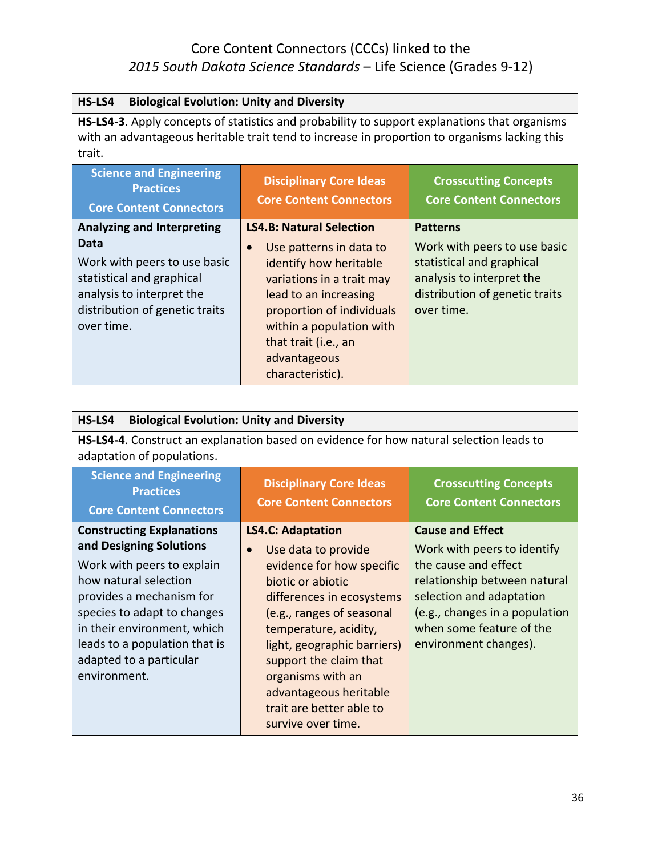| HS-LS4<br><b>Biological Evolution: Unity and Diversity</b>                                                                                                                                               |                                                                  |                                                                |
|----------------------------------------------------------------------------------------------------------------------------------------------------------------------------------------------------------|------------------------------------------------------------------|----------------------------------------------------------------|
| HS-LS4-3. Apply concepts of statistics and probability to support explanations that organisms<br>with an advantageous heritable trait tend to increase in proportion to organisms lacking this<br>trait. |                                                                  |                                                                |
| <b>Science and Engineering</b><br><b>Practices</b><br><b>Core Content Connectors</b>                                                                                                                     | <b>Disciplinary Core Ideas</b><br><b>Core Content Connectors</b> | <b>Crosscutting Concepts</b><br><b>Core Content Connectors</b> |
| <b>Analyzing and Interpreting</b>                                                                                                                                                                        | <b>LS4.B: Natural Selection</b>                                  | <b>Patterns</b>                                                |
| Data                                                                                                                                                                                                     | Use patterns in data to                                          | Work with peers to use basic                                   |
| Work with peers to use basic<br>statistical and graphical                                                                                                                                                | identify how heritable<br>variations in a trait may              | statistical and graphical<br>analysis to interpret the         |
| analysis to interpret the                                                                                                                                                                                | lead to an increasing                                            | distribution of genetic traits                                 |
| distribution of genetic traits                                                                                                                                                                           | proportion of individuals                                        | over time.                                                     |
| over time.                                                                                                                                                                                               | within a population with                                         |                                                                |
|                                                                                                                                                                                                          | that trait (i.e., an                                             |                                                                |
|                                                                                                                                                                                                          | advantageous                                                     |                                                                |
|                                                                                                                                                                                                          | characteristic).                                                 |                                                                |

| <b>Biological Evolution: Unity and Diversity</b><br>HS-LS4                                                                                                                                                                                                                               |                                                                                                                                                                                                                                                                                                                                                             |                                                                                                                                                                                                                                   |
|------------------------------------------------------------------------------------------------------------------------------------------------------------------------------------------------------------------------------------------------------------------------------------------|-------------------------------------------------------------------------------------------------------------------------------------------------------------------------------------------------------------------------------------------------------------------------------------------------------------------------------------------------------------|-----------------------------------------------------------------------------------------------------------------------------------------------------------------------------------------------------------------------------------|
| HS-LS4-4. Construct an explanation based on evidence for how natural selection leads to<br>adaptation of populations.                                                                                                                                                                    |                                                                                                                                                                                                                                                                                                                                                             |                                                                                                                                                                                                                                   |
| <b>Science and Engineering</b><br><b>Practices</b><br><b>Core Content Connectors</b>                                                                                                                                                                                                     | <b>Disciplinary Core Ideas</b><br><b>Core Content Connectors</b>                                                                                                                                                                                                                                                                                            | <b>Crosscutting Concepts</b><br><b>Core Content Connectors</b>                                                                                                                                                                    |
| <b>Constructing Explanations</b><br>and Designing Solutions<br>Work with peers to explain<br>how natural selection<br>provides a mechanism for<br>species to adapt to changes<br>in their environment, which<br>leads to a population that is<br>adapted to a particular<br>environment. | <b>LS4.C: Adaptation</b><br>Use data to provide<br>$\bullet$<br>evidence for how specific<br>biotic or abiotic<br>differences in ecosystems<br>(e.g., ranges of seasonal<br>temperature, acidity,<br>light, geographic barriers)<br>support the claim that<br>organisms with an<br>advantageous heritable<br>trait are better able to<br>survive over time. | <b>Cause and Effect</b><br>Work with peers to identify<br>the cause and effect<br>relationship between natural<br>selection and adaptation<br>(e.g., changes in a population<br>when some feature of the<br>environment changes). |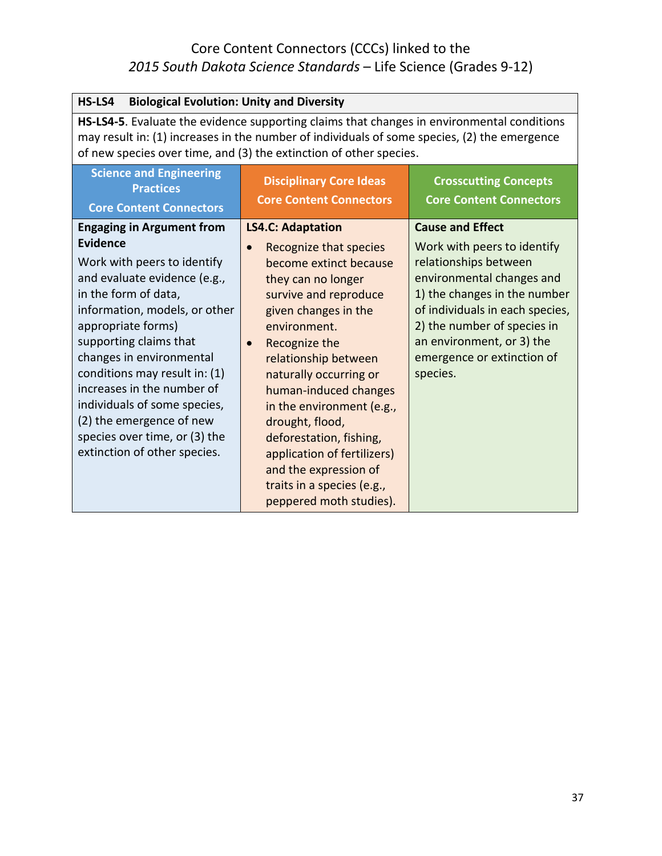| <b>Biological Evolution: Unity and Diversity</b><br>HS-LS4                                                                                                                                                                                                                                                                                                                                                                                          |                                                                                                                                                                                                                                                                                                                                                                                                                                                                          |                                                                                                                                                                                                                                                                                       |
|-----------------------------------------------------------------------------------------------------------------------------------------------------------------------------------------------------------------------------------------------------------------------------------------------------------------------------------------------------------------------------------------------------------------------------------------------------|--------------------------------------------------------------------------------------------------------------------------------------------------------------------------------------------------------------------------------------------------------------------------------------------------------------------------------------------------------------------------------------------------------------------------------------------------------------------------|---------------------------------------------------------------------------------------------------------------------------------------------------------------------------------------------------------------------------------------------------------------------------------------|
| <b>HS-LS4-5</b> . Evaluate the evidence supporting claims that changes in environmental conditions<br>may result in: (1) increases in the number of individuals of some species, (2) the emergence<br>of new species over time, and (3) the extinction of other species.                                                                                                                                                                            |                                                                                                                                                                                                                                                                                                                                                                                                                                                                          |                                                                                                                                                                                                                                                                                       |
| <b>Science and Engineering</b><br><b>Practices</b><br><b>Core Content Connectors</b>                                                                                                                                                                                                                                                                                                                                                                | <b>Disciplinary Core Ideas</b><br><b>Core Content Connectors</b>                                                                                                                                                                                                                                                                                                                                                                                                         | <b>Crosscutting Concepts</b><br><b>Core Content Connectors</b>                                                                                                                                                                                                                        |
| <b>Engaging in Argument from</b><br><b>Evidence</b><br>Work with peers to identify<br>and evaluate evidence (e.g.,<br>in the form of data,<br>information, models, or other<br>appropriate forms)<br>supporting claims that<br>changes in environmental<br>conditions may result in: (1)<br>increases in the number of<br>individuals of some species,<br>(2) the emergence of new<br>species over time, or (3) the<br>extinction of other species. | <b>LS4.C: Adaptation</b><br>Recognize that species<br>$\bullet$<br>become extinct because<br>they can no longer<br>survive and reproduce<br>given changes in the<br>environment.<br>Recognize the<br>relationship between<br>naturally occurring or<br>human-induced changes<br>in the environment (e.g.,<br>drought, flood,<br>deforestation, fishing,<br>application of fertilizers)<br>and the expression of<br>traits in a species (e.g.,<br>peppered moth studies). | <b>Cause and Effect</b><br>Work with peers to identify<br>relationships between<br>environmental changes and<br>1) the changes in the number<br>of individuals in each species,<br>2) the number of species in<br>an environment, or 3) the<br>emergence or extinction of<br>species. |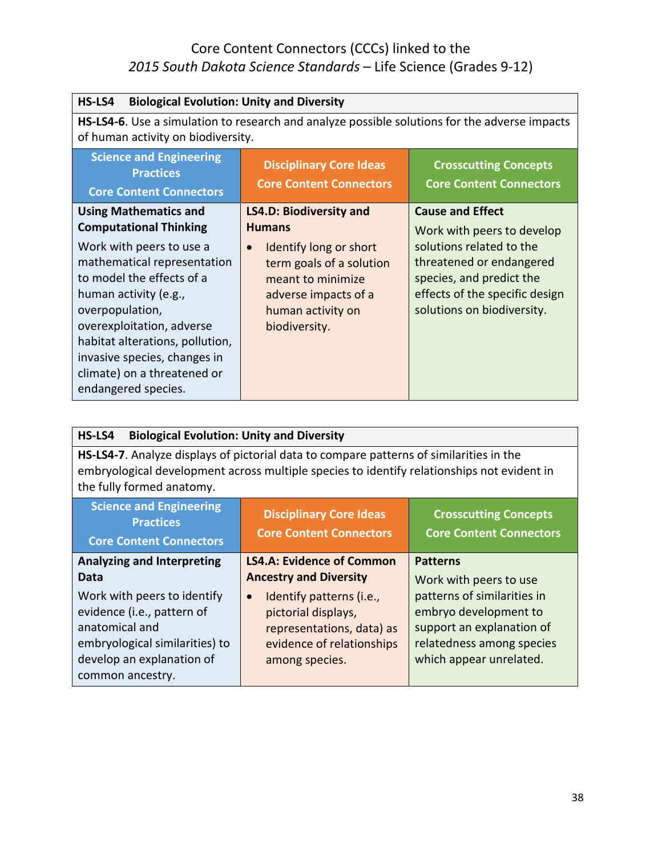| HS-LS4<br><b>Biological Evolution: Unity and Diversity</b>                                                                                                                                                                                                                             |                                                                                                                                                    |                                                                                                                                                  |
|----------------------------------------------------------------------------------------------------------------------------------------------------------------------------------------------------------------------------------------------------------------------------------------|----------------------------------------------------------------------------------------------------------------------------------------------------|--------------------------------------------------------------------------------------------------------------------------------------------------|
| HS-LS4-6. Use a simulation to research and analyze possible solutions for the adverse impacts<br>of human activity on biodiversity.                                                                                                                                                    |                                                                                                                                                    |                                                                                                                                                  |
| <b>Science and Engineering</b><br><b>Practices</b><br><b>Core Content Connectors</b>                                                                                                                                                                                                   | <b>Disciplinary Core Ideas</b><br><b>Core Content Connectors</b>                                                                                   | <b>Crosscutting Concepts</b><br><b>Core Content Connectors</b>                                                                                   |
| <b>Using Mathematics and</b><br><b>Computational Thinking</b>                                                                                                                                                                                                                          | <b>LS4.D: Biodiversity and</b><br><b>Humans</b>                                                                                                    | <b>Cause and Effect</b><br>Work with peers to develop                                                                                            |
| Work with peers to use a<br>mathematical representation<br>to model the effects of a<br>human activity (e.g.,<br>overpopulation,<br>overexploitation, adverse<br>habitat alterations, pollution,<br>invasive species, changes in<br>climate) on a threatened or<br>endangered species. | Identify long or short<br>$\bullet$<br>term goals of a solution<br>meant to minimize<br>adverse impacts of a<br>human activity on<br>biodiversity. | solutions related to the<br>threatened or endangered<br>species, and predict the<br>effects of the specific design<br>solutions on biodiversity. |

| HS-LS4<br><b>Biological Evolution: Unity and Diversity</b>                                                                                                                                                                 |                                       |                             |
|----------------------------------------------------------------------------------------------------------------------------------------------------------------------------------------------------------------------------|---------------------------------------|-----------------------------|
| <b>HS-LS4-7.</b> Analyze displays of pictorial data to compare patterns of similarities in the<br>embryological development across multiple species to identify relationships not evident in<br>the fully formed anatomy.  |                                       |                             |
| <b>Science and Engineering</b><br><b>Disciplinary Core Ideas</b><br><b>Crosscutting Concepts</b><br><b>Practices</b><br><b>Core Content Connectors</b><br><b>Core Content Connectors</b><br><b>Core Content Connectors</b> |                                       |                             |
| <b>Analyzing and Interpreting</b>                                                                                                                                                                                          | <b>LS4.A: Evidence of Common</b>      | <b>Patterns</b>             |
| Data                                                                                                                                                                                                                       | <b>Ancestry and Diversity</b>         | Work with peers to use      |
| Work with peers to identify                                                                                                                                                                                                | Identify patterns (i.e.,<br>$\bullet$ | patterns of similarities in |
| evidence (i.e., pattern of                                                                                                                                                                                                 | pictorial displays,                   | embryo development to       |
| anatomical and                                                                                                                                                                                                             | representations, data) as             | support an explanation of   |
| embryological similarities) to                                                                                                                                                                                             | evidence of relationships             | relatedness among species   |
| develop an explanation of                                                                                                                                                                                                  | among species.                        | which appear unrelated.     |
| common ancestry.                                                                                                                                                                                                           |                                       |                             |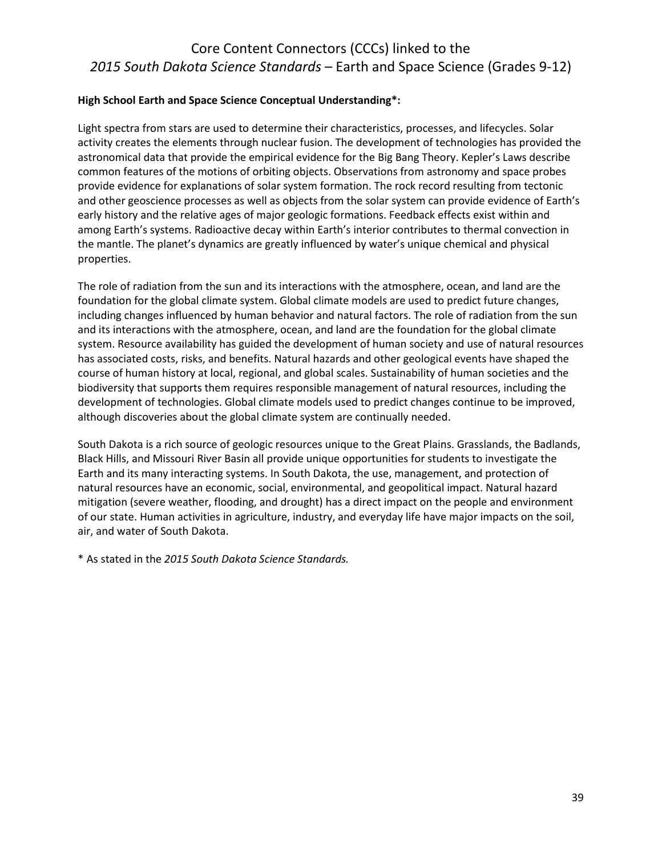#### **High School Earth and Space Science Conceptual Understanding\*:**

Light spectra from stars are used to determine their characteristics, processes, and lifecycles. Solar activity creates the elements through nuclear fusion. The development of technologies has provided the astronomical data that provide the empirical evidence for the Big Bang Theory. Kepler's Laws describe common features of the motions of orbiting objects. Observations from astronomy and space probes provide evidence for explanations of solar system formation. The rock record resulting from tectonic and other geoscience processes as well as objects from the solar system can provide evidence of Earth's early history and the relative ages of major geologic formations. Feedback effects exist within and among Earth's systems. Radioactive decay within Earth's interior contributes to thermal convection in the mantle. The planet's dynamics are greatly influenced by water's unique chemical and physical properties.

The role of radiation from the sun and its interactions with the atmosphere, ocean, and land are the foundation for the global climate system. Global climate models are used to predict future changes, including changes influenced by human behavior and natural factors. The role of radiation from the sun and its interactions with the atmosphere, ocean, and land are the foundation for the global climate system. Resource availability has guided the development of human society and use of natural resources has associated costs, risks, and benefits. Natural hazards and other geological events have shaped the course of human history at local, regional, and global scales. Sustainability of human societies and the biodiversity that supports them requires responsible management of natural resources, including the development of technologies. Global climate models used to predict changes continue to be improved, although discoveries about the global climate system are continually needed.

South Dakota is a rich source of geologic resources unique to the Great Plains. Grasslands, the Badlands, Black Hills, and Missouri River Basin all provide unique opportunities for students to investigate the Earth and its many interacting systems. In South Dakota, the use, management, and protection of natural resources have an economic, social, environmental, and geopolitical impact. Natural hazard mitigation (severe weather, flooding, and drought) has a direct impact on the people and environment of our state. Human activities in agriculture, industry, and everyday life have major impacts on the soil, air, and water of South Dakota.

\* As stated in the *2015 South Dakota Science Standards.*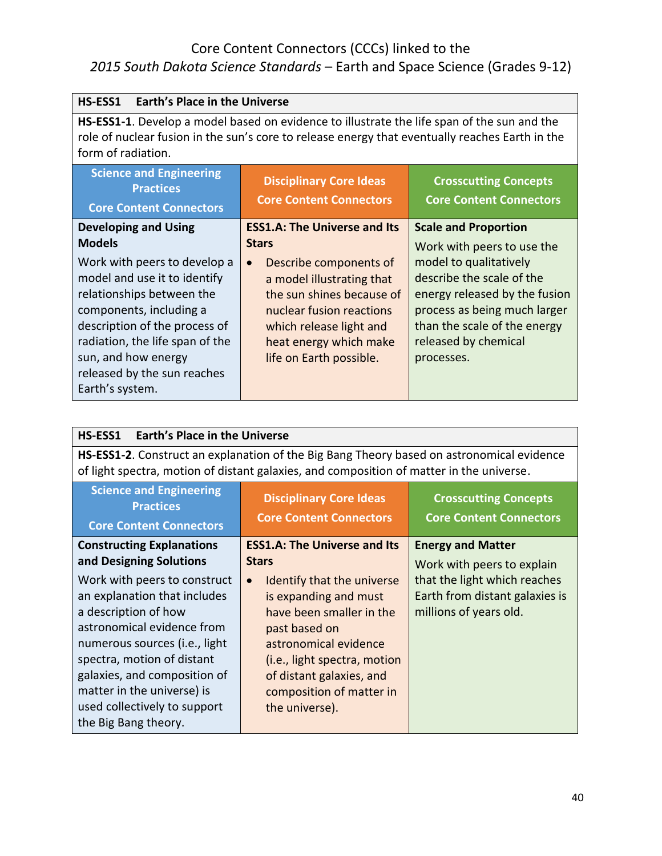# Core Content Connectors (CCCs) linked to the

# *2015 South Dakota Science Standards* – Earth and Space Science (Grades 9-12)

| HS-ESS1<br><b>Earth's Place in the Universe</b>                                                                                                                                                                                                                   |                                                                                                                                                                                                           |                                                                                                                                                                                            |
|-------------------------------------------------------------------------------------------------------------------------------------------------------------------------------------------------------------------------------------------------------------------|-----------------------------------------------------------------------------------------------------------------------------------------------------------------------------------------------------------|--------------------------------------------------------------------------------------------------------------------------------------------------------------------------------------------|
| <b>HS-ESS1-1.</b> Develop a model based on evidence to illustrate the life span of the sun and the<br>role of nuclear fusion in the sun's core to release energy that eventually reaches Earth in the<br>form of radiation.                                       |                                                                                                                                                                                                           |                                                                                                                                                                                            |
| <b>Science and Engineering</b><br><b>Practices</b><br><b>Core Content Connectors</b>                                                                                                                                                                              | <b>Disciplinary Core Ideas</b><br><b>Core Content Connectors</b>                                                                                                                                          | <b>Crosscutting Concepts</b><br><b>Core Content Connectors</b>                                                                                                                             |
| <b>Developing and Using</b><br><b>Models</b>                                                                                                                                                                                                                      | <b>ESS1.A: The Universe and Its</b><br><b>Stars</b>                                                                                                                                                       | <b>Scale and Proportion</b><br>Work with peers to use the                                                                                                                                  |
| Work with peers to develop a<br>model and use it to identify<br>relationships between the<br>components, including a<br>description of the process of<br>radiation, the life span of the<br>sun, and how energy<br>released by the sun reaches<br>Earth's system. | Describe components of<br>$\bullet$<br>a model illustrating that<br>the sun shines because of<br>nuclear fusion reactions<br>which release light and<br>heat energy which make<br>life on Earth possible. | model to qualitatively<br>describe the scale of the<br>energy released by the fusion<br>process as being much larger<br>than the scale of the energy<br>released by chemical<br>processes. |

| <b>Earth's Place in the Universe</b><br>HS-ESS1                                                                                                                                                                                                                                                         |                                                                                                                                                                                                                                                           |                                                                                          |
|---------------------------------------------------------------------------------------------------------------------------------------------------------------------------------------------------------------------------------------------------------------------------------------------------------|-----------------------------------------------------------------------------------------------------------------------------------------------------------------------------------------------------------------------------------------------------------|------------------------------------------------------------------------------------------|
| HS-ESS1-2. Construct an explanation of the Big Bang Theory based on astronomical evidence<br>of light spectra, motion of distant galaxies, and composition of matter in the universe.                                                                                                                   |                                                                                                                                                                                                                                                           |                                                                                          |
| <b>Science and Engineering</b><br><b>Practices</b><br><b>Core Content Connectors</b>                                                                                                                                                                                                                    | <b>Disciplinary Core Ideas</b><br><b>Core Content Connectors</b>                                                                                                                                                                                          | <b>Crosscutting Concepts</b><br><b>Core Content Connectors</b>                           |
| <b>Constructing Explanations</b><br>and Designing Solutions                                                                                                                                                                                                                                             | <b>ESS1.A: The Universe and Its</b><br><b>Stars</b>                                                                                                                                                                                                       | <b>Energy and Matter</b><br>Work with peers to explain                                   |
| Work with peers to construct<br>an explanation that includes<br>a description of how<br>astronomical evidence from<br>numerous sources (i.e., light<br>spectra, motion of distant<br>galaxies, and composition of<br>matter in the universe) is<br>used collectively to support<br>the Big Bang theory. | Identify that the universe<br>$\bullet$<br>is expanding and must<br>have been smaller in the<br>past based on<br>astronomical evidence<br>( <i>i.e.</i> , light spectra, motion<br>of distant galaxies, and<br>composition of matter in<br>the universe). | that the light which reaches<br>Earth from distant galaxies is<br>millions of years old. |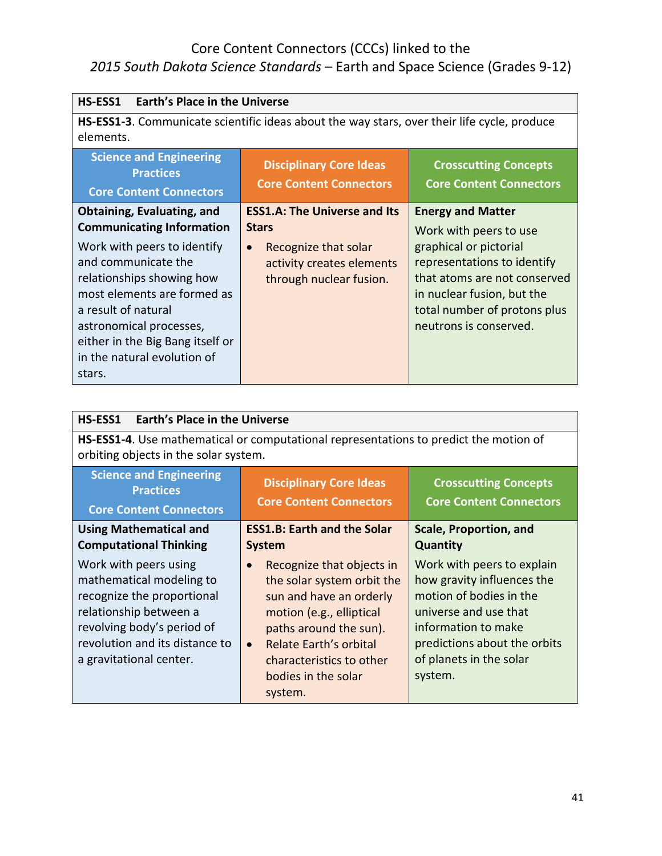| <b>Earth's Place in the Universe</b><br>HS-ESS1                                                                                                                                                                                                                                                                        |                                                                                                                                                  |                                                                                                                                                                                                                                     |
|------------------------------------------------------------------------------------------------------------------------------------------------------------------------------------------------------------------------------------------------------------------------------------------------------------------------|--------------------------------------------------------------------------------------------------------------------------------------------------|-------------------------------------------------------------------------------------------------------------------------------------------------------------------------------------------------------------------------------------|
| HS-ESS1-3. Communicate scientific ideas about the way stars, over their life cycle, produce<br>elements.                                                                                                                                                                                                               |                                                                                                                                                  |                                                                                                                                                                                                                                     |
| <b>Science and Engineering</b><br><b>Practices</b><br><b>Core Content Connectors</b>                                                                                                                                                                                                                                   | <b>Disciplinary Core Ideas</b><br><b>Core Content Connectors</b>                                                                                 | <b>Crosscutting Concepts</b><br><b>Core Content Connectors</b>                                                                                                                                                                      |
| <b>Obtaining, Evaluating, and</b><br><b>Communicating Information</b><br>Work with peers to identify<br>and communicate the<br>relationships showing how<br>most elements are formed as<br>a result of natural<br>astronomical processes,<br>either in the Big Bang itself or<br>in the natural evolution of<br>stars. | <b>ESS1.A: The Universe and Its</b><br><b>Stars</b><br>Recognize that solar<br>$\bullet$<br>activity creates elements<br>through nuclear fusion. | <b>Energy and Matter</b><br>Work with peers to use<br>graphical or pictorial<br>representations to identify<br>that atoms are not conserved<br>in nuclear fusion, but the<br>total number of protons plus<br>neutrons is conserved. |

| HS-ESS1<br><b>Earth's Place in the Universe</b>                                                                                                                                                      |                                                                                                                                                                                                                                                                   |                                                                                                                                                                                                           |
|------------------------------------------------------------------------------------------------------------------------------------------------------------------------------------------------------|-------------------------------------------------------------------------------------------------------------------------------------------------------------------------------------------------------------------------------------------------------------------|-----------------------------------------------------------------------------------------------------------------------------------------------------------------------------------------------------------|
| <b>HS-ESS1-4.</b> Use mathematical or computational representations to predict the motion of<br>orbiting objects in the solar system.                                                                |                                                                                                                                                                                                                                                                   |                                                                                                                                                                                                           |
| <b>Science and Engineering</b><br><b>Practices</b><br><b>Core Content Connectors</b>                                                                                                                 | <b>Disciplinary Core Ideas</b><br><b>Core Content Connectors</b>                                                                                                                                                                                                  | <b>Crosscutting Concepts</b><br><b>Core Content Connectors</b>                                                                                                                                            |
| <b>Using Mathematical and</b><br><b>Computational Thinking</b>                                                                                                                                       | <b>ESS1.B: Earth and the Solar</b><br><b>System</b>                                                                                                                                                                                                               | Scale, Proportion, and<br><b>Quantity</b>                                                                                                                                                                 |
| Work with peers using<br>mathematical modeling to<br>recognize the proportional<br>relationship between a<br>revolving body's period of<br>revolution and its distance to<br>a gravitational center. | Recognize that objects in<br>$\bullet$<br>the solar system orbit the<br>sun and have an orderly<br>motion (e.g., elliptical<br>paths around the sun).<br><b>Relate Earth's orbital</b><br>$\bullet$<br>characteristics to other<br>bodies in the solar<br>system. | Work with peers to explain<br>how gravity influences the<br>motion of bodies in the<br>universe and use that<br>information to make<br>predictions about the orbits<br>of planets in the solar<br>system. |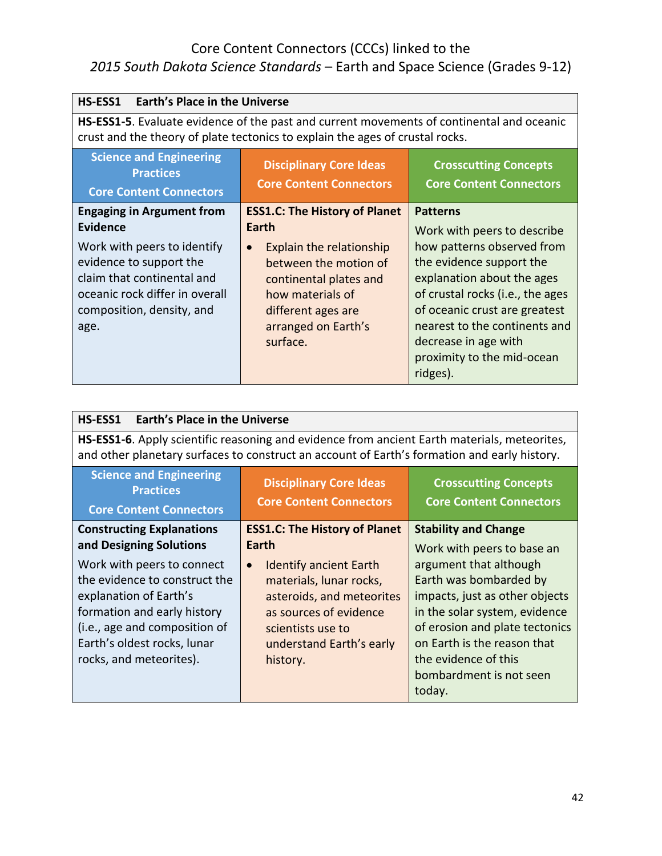# Core Content Connectors (CCCs) linked to the

# *2015 South Dakota Science Standards* – Earth and Space Science (Grades 9-12)

| HS-ESS1<br><b>Earth's Place in the Universe</b>                                                                                                                                                                    |                                                                                                                                                                                                                        |                                                                                                                                                                                                                                                                                                                |
|--------------------------------------------------------------------------------------------------------------------------------------------------------------------------------------------------------------------|------------------------------------------------------------------------------------------------------------------------------------------------------------------------------------------------------------------------|----------------------------------------------------------------------------------------------------------------------------------------------------------------------------------------------------------------------------------------------------------------------------------------------------------------|
| HS-ESS1-5. Evaluate evidence of the past and current movements of continental and oceanic<br>crust and the theory of plate tectonics to explain the ages of crustal rocks.                                         |                                                                                                                                                                                                                        |                                                                                                                                                                                                                                                                                                                |
| <b>Science and Engineering</b><br><b>Practices</b><br><b>Core Content Connectors</b>                                                                                                                               | <b>Disciplinary Core Ideas</b><br><b>Core Content Connectors</b>                                                                                                                                                       | <b>Crosscutting Concepts</b><br><b>Core Content Connectors</b>                                                                                                                                                                                                                                                 |
| <b>Engaging in Argument from</b><br><b>Evidence</b><br>Work with peers to identify<br>evidence to support the<br>claim that continental and<br>oceanic rock differ in overall<br>composition, density, and<br>age. | <b>ESS1.C: The History of Planet</b><br>Earth<br>Explain the relationship<br>$\bullet$<br>between the motion of<br>continental plates and<br>how materials of<br>different ages are<br>arranged on Earth's<br>surface. | <b>Patterns</b><br>Work with peers to describe<br>how patterns observed from<br>the evidence support the<br>explanation about the ages<br>of crustal rocks (i.e., the ages<br>of oceanic crust are greatest<br>nearest to the continents and<br>decrease in age with<br>proximity to the mid-ocean<br>ridges). |

| HS-ESS1-6. Apply scientific reasoning and evidence from ancient Earth materials, meteorites,<br>and other planetary surfaces to construct an account of Earth's formation and early history. |                                                                                                                                                                                                                                                                                                      |  |
|----------------------------------------------------------------------------------------------------------------------------------------------------------------------------------------------|------------------------------------------------------------------------------------------------------------------------------------------------------------------------------------------------------------------------------------------------------------------------------------------------------|--|
|                                                                                                                                                                                              | <b>Crosscutting Concepts</b><br><b>Core Content Connectors</b>                                                                                                                                                                                                                                       |  |
|                                                                                                                                                                                              | <b>Stability and Change</b><br>Work with peers to base an<br>argument that although<br>Earth was bombarded by<br>impacts, just as other objects<br>in the solar system, evidence<br>of erosion and plate tectonics<br>on Earth is the reason that<br>the evidence of this<br>bombardment is not seen |  |
|                                                                                                                                                                                              | <b>Disciplinary Core Ideas</b><br><b>Core Content Connectors</b><br><b>ESS1.C: The History of Planet</b><br><b>Identify ancient Earth</b><br>materials, lunar rocks,<br>asteroids, and meteorites<br>as sources of evidence<br>scientists use to<br>understand Earth's early<br>today.               |  |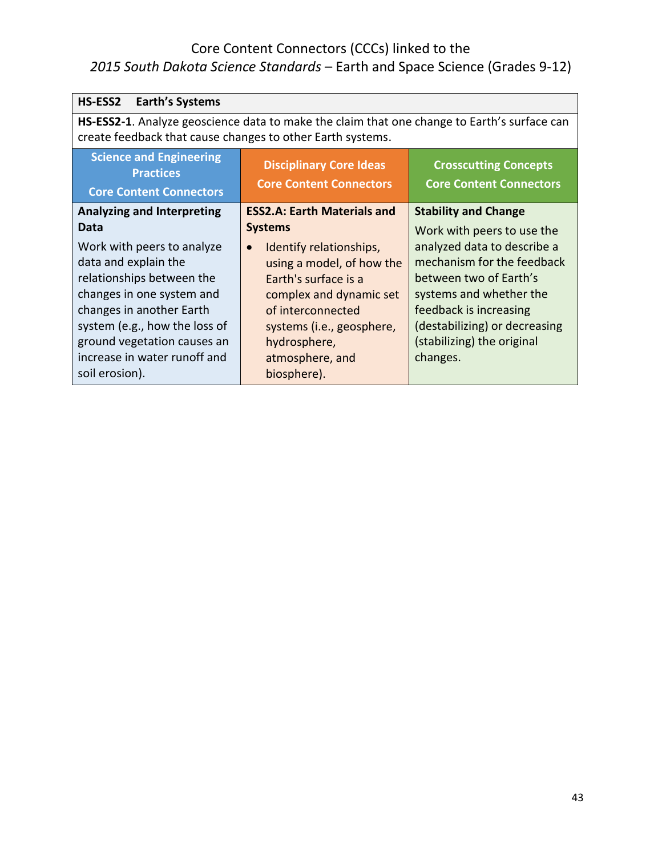# Core Content Connectors (CCCs) linked to the

# *2015 South Dakota Science Standards* – Earth and Space Science (Grades 9-12)

| <b>Earth's Systems</b><br>HS-ESS2                                                                                                                                                                                                                          |                                                                                                                                                                                                                          |                                                                                                                                                                                                                     |
|------------------------------------------------------------------------------------------------------------------------------------------------------------------------------------------------------------------------------------------------------------|--------------------------------------------------------------------------------------------------------------------------------------------------------------------------------------------------------------------------|---------------------------------------------------------------------------------------------------------------------------------------------------------------------------------------------------------------------|
| HS-ESS2-1. Analyze geoscience data to make the claim that one change to Earth's surface can<br>create feedback that cause changes to other Earth systems.                                                                                                  |                                                                                                                                                                                                                          |                                                                                                                                                                                                                     |
| <b>Science and Engineering</b><br><b>Practices</b><br><b>Core Content Connectors</b>                                                                                                                                                                       | <b>Disciplinary Core Ideas</b><br><b>Core Content Connectors</b>                                                                                                                                                         | <b>Crosscutting Concepts</b><br><b>Core Content Connectors</b>                                                                                                                                                      |
| <b>Analyzing and Interpreting</b><br>Data                                                                                                                                                                                                                  | <b>ESS2.A: Earth Materials and</b><br><b>Systems</b>                                                                                                                                                                     | <b>Stability and Change</b><br>Work with peers to use the                                                                                                                                                           |
| Work with peers to analyze<br>data and explain the<br>relationships between the<br>changes in one system and<br>changes in another Earth<br>system (e.g., how the loss of<br>ground vegetation causes an<br>increase in water runoff and<br>soil erosion). | Identify relationships,<br>$\bullet$<br>using a model, of how the<br>Earth's surface is a<br>complex and dynamic set<br>of interconnected<br>systems (i.e., geosphere,<br>hydrosphere,<br>atmosphere, and<br>biosphere). | analyzed data to describe a<br>mechanism for the feedback<br>between two of Earth's<br>systems and whether the<br>feedback is increasing<br>(destabilizing) or decreasing<br>(stabilizing) the original<br>changes. |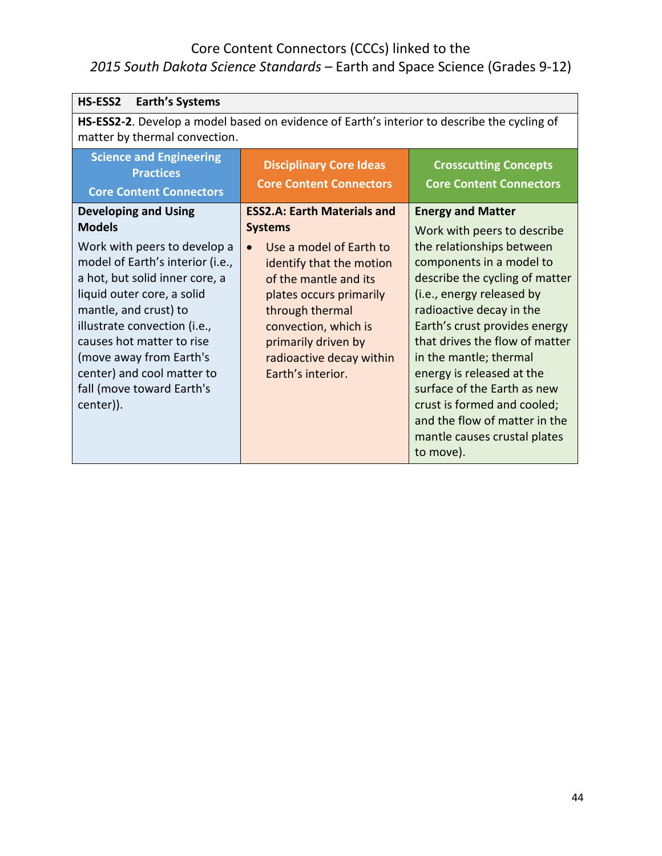| HS-ESS2<br><b>Earth's Systems</b>                                                                                            |                                                                  |                                                                |
|------------------------------------------------------------------------------------------------------------------------------|------------------------------------------------------------------|----------------------------------------------------------------|
| HS-ESS2-2. Develop a model based on evidence of Earth's interior to describe the cycling of<br>matter by thermal convection. |                                                                  |                                                                |
| <b>Science and Engineering</b><br><b>Practices</b><br><b>Core Content Connectors</b>                                         | <b>Disciplinary Core Ideas</b><br><b>Core Content Connectors</b> | <b>Crosscutting Concepts</b><br><b>Core Content Connectors</b> |
| <b>Developing and Using</b>                                                                                                  | <b>ESS2.A: Earth Materials and</b>                               | <b>Energy and Matter</b>                                       |
| <b>Models</b>                                                                                                                | <b>Systems</b>                                                   | Work with peers to describe                                    |
| Work with peers to develop a                                                                                                 | Use a model of Earth to<br>$\bullet$                             | the relationships between                                      |
| model of Earth's interior (i.e.,                                                                                             | identify that the motion                                         | components in a model to                                       |
| a hot, but solid inner core, a                                                                                               | of the mantle and its                                            | describe the cycling of matter                                 |
| liquid outer core, a solid                                                                                                   | plates occurs primarily                                          | (i.e., energy released by                                      |
| mantle, and crust) to                                                                                                        | through thermal                                                  | radioactive decay in the                                       |
| illustrate convection (i.e.,                                                                                                 | convection, which is                                             | Earth's crust provides energy                                  |
| causes hot matter to rise                                                                                                    | primarily driven by                                              | that drives the flow of matter                                 |
| (move away from Earth's                                                                                                      | radioactive decay within                                         | in the mantle; thermal                                         |
| center) and cool matter to                                                                                                   | Earth's interior.                                                | energy is released at the                                      |
| fall (move toward Earth's                                                                                                    |                                                                  | surface of the Earth as new                                    |
| center)).                                                                                                                    |                                                                  | crust is formed and cooled;                                    |
|                                                                                                                              |                                                                  | and the flow of matter in the                                  |
|                                                                                                                              |                                                                  | mantle causes crustal plates                                   |
|                                                                                                                              |                                                                  | to move).                                                      |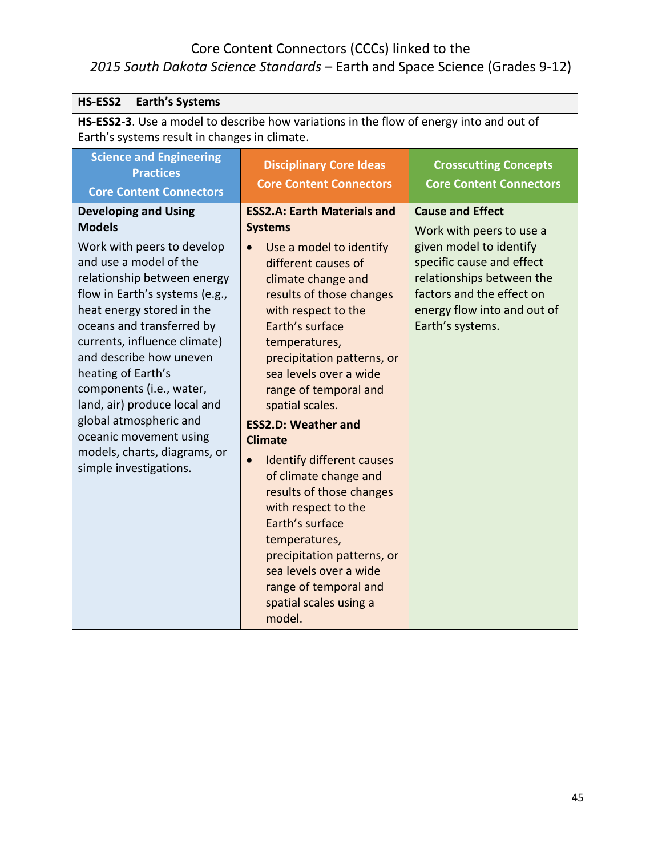| HS-ESS2<br><b>Earth's Systems</b>                                                                                                                                                                                                                                                                                                                                                                                                                                                          |                                                                                                                                                                                                                                                                                                                                                                                                                                                                                                                                                                                                                                                               |                                                                                                                                                                                                                          |  |
|--------------------------------------------------------------------------------------------------------------------------------------------------------------------------------------------------------------------------------------------------------------------------------------------------------------------------------------------------------------------------------------------------------------------------------------------------------------------------------------------|---------------------------------------------------------------------------------------------------------------------------------------------------------------------------------------------------------------------------------------------------------------------------------------------------------------------------------------------------------------------------------------------------------------------------------------------------------------------------------------------------------------------------------------------------------------------------------------------------------------------------------------------------------------|--------------------------------------------------------------------------------------------------------------------------------------------------------------------------------------------------------------------------|--|
| HS-ESS2-3. Use a model to describe how variations in the flow of energy into and out of<br>Earth's systems result in changes in climate.                                                                                                                                                                                                                                                                                                                                                   |                                                                                                                                                                                                                                                                                                                                                                                                                                                                                                                                                                                                                                                               |                                                                                                                                                                                                                          |  |
| <b>Science and Engineering</b><br><b>Practices</b><br><b>Core Content Connectors</b>                                                                                                                                                                                                                                                                                                                                                                                                       | <b>Disciplinary Core Ideas</b><br><b>Core Content Connectors</b>                                                                                                                                                                                                                                                                                                                                                                                                                                                                                                                                                                                              | <b>Crosscutting Concepts</b><br><b>Core Content Connectors</b>                                                                                                                                                           |  |
| <b>Developing and Using</b><br><b>Models</b><br>Work with peers to develop<br>and use a model of the<br>relationship between energy<br>flow in Earth's systems (e.g.,<br>heat energy stored in the<br>oceans and transferred by<br>currents, influence climate)<br>and describe how uneven<br>heating of Earth's<br>components (i.e., water,<br>land, air) produce local and<br>global atmospheric and<br>oceanic movement using<br>models, charts, diagrams, or<br>simple investigations. | <b>ESS2.A: Earth Materials and</b><br><b>Systems</b><br>Use a model to identify<br>different causes of<br>climate change and<br>results of those changes<br>with respect to the<br>Earth's surface<br>temperatures,<br>precipitation patterns, or<br>sea levels over a wide<br>range of temporal and<br>spatial scales.<br><b>ESS2.D: Weather and</b><br><b>Climate</b><br><b>Identify different causes</b><br>$\bullet$<br>of climate change and<br>results of those changes<br>with respect to the<br>Earth's surface<br>temperatures,<br>precipitation patterns, or<br>sea levels over a wide<br>range of temporal and<br>spatial scales using a<br>model. | <b>Cause and Effect</b><br>Work with peers to use a<br>given model to identify<br>specific cause and effect<br>relationships between the<br>factors and the effect on<br>energy flow into and out of<br>Earth's systems. |  |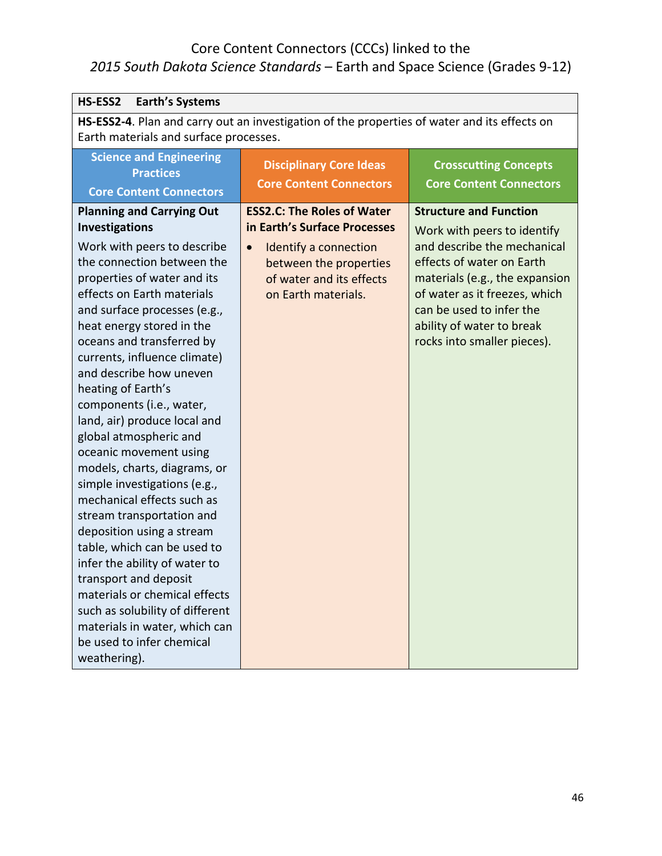| HS-ESS2<br><b>Earth's Systems</b>                                                                                                                                                                                                                                                                                                                                                                                                                                                                                                                                                                                                                                                                                                                                                                                                                                                 |                                                                                                                                                                                      |                                                                                                                                                                                                                                                                                     |
|-----------------------------------------------------------------------------------------------------------------------------------------------------------------------------------------------------------------------------------------------------------------------------------------------------------------------------------------------------------------------------------------------------------------------------------------------------------------------------------------------------------------------------------------------------------------------------------------------------------------------------------------------------------------------------------------------------------------------------------------------------------------------------------------------------------------------------------------------------------------------------------|--------------------------------------------------------------------------------------------------------------------------------------------------------------------------------------|-------------------------------------------------------------------------------------------------------------------------------------------------------------------------------------------------------------------------------------------------------------------------------------|
| HS-ESS2-4. Plan and carry out an investigation of the properties of water and its effects on<br>Earth materials and surface processes.                                                                                                                                                                                                                                                                                                                                                                                                                                                                                                                                                                                                                                                                                                                                            |                                                                                                                                                                                      |                                                                                                                                                                                                                                                                                     |
| <b>Science and Engineering</b><br><b>Practices</b><br><b>Core Content Connectors</b>                                                                                                                                                                                                                                                                                                                                                                                                                                                                                                                                                                                                                                                                                                                                                                                              | <b>Disciplinary Core Ideas</b><br><b>Core Content Connectors</b>                                                                                                                     | <b>Crosscutting Concepts</b><br><b>Core Content Connectors</b>                                                                                                                                                                                                                      |
| <b>Planning and Carrying Out</b><br><b>Investigations</b><br>Work with peers to describe<br>the connection between the<br>properties of water and its<br>effects on Earth materials<br>and surface processes (e.g.,<br>heat energy stored in the<br>oceans and transferred by<br>currents, influence climate)<br>and describe how uneven<br>heating of Earth's<br>components (i.e., water,<br>land, air) produce local and<br>global atmospheric and<br>oceanic movement using<br>models, charts, diagrams, or<br>simple investigations (e.g.,<br>mechanical effects such as<br>stream transportation and<br>deposition using a stream<br>table, which can be used to<br>infer the ability of water to<br>transport and deposit<br>materials or chemical effects<br>such as solubility of different<br>materials in water, which can<br>be used to infer chemical<br>weathering). | <b>ESS2.C: The Roles of Water</b><br>in Earth's Surface Processes<br>Identify a connection<br>$\bullet$<br>between the properties<br>of water and its effects<br>on Earth materials. | <b>Structure and Function</b><br>Work with peers to identify<br>and describe the mechanical<br>effects of water on Earth<br>materials (e.g., the expansion<br>of water as it freezes, which<br>can be used to infer the<br>ability of water to break<br>rocks into smaller pieces). |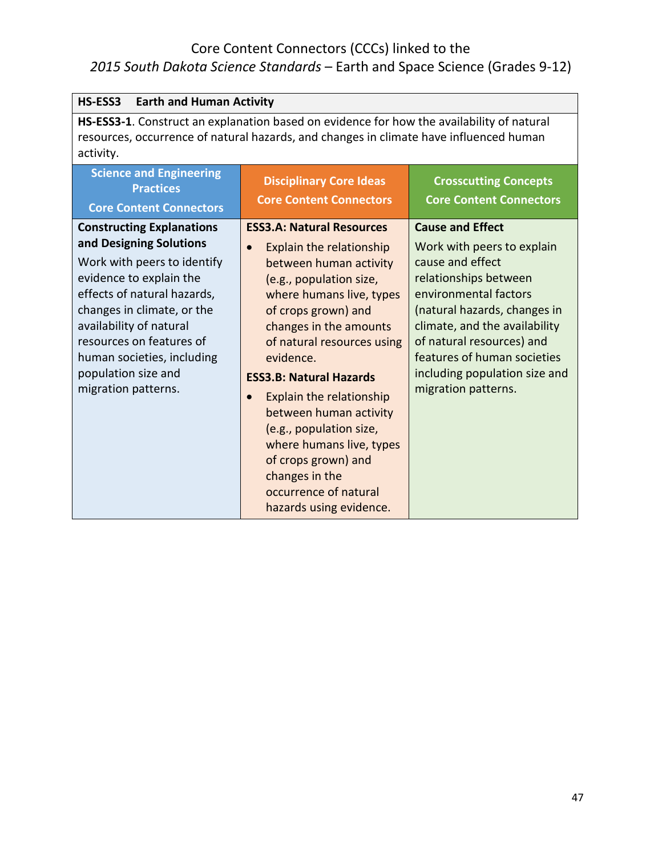| HS-ESS3<br><b>Earth and Human Activity</b>                                                                                                                                                                                                                                                                            |                                                                                                                                                                                                                                                                                                                                                                                                                                                                                                                 |                                                                                                                                                                                                                                                                                                                  |
|-----------------------------------------------------------------------------------------------------------------------------------------------------------------------------------------------------------------------------------------------------------------------------------------------------------------------|-----------------------------------------------------------------------------------------------------------------------------------------------------------------------------------------------------------------------------------------------------------------------------------------------------------------------------------------------------------------------------------------------------------------------------------------------------------------------------------------------------------------|------------------------------------------------------------------------------------------------------------------------------------------------------------------------------------------------------------------------------------------------------------------------------------------------------------------|
| HS-ESS3-1. Construct an explanation based on evidence for how the availability of natural<br>resources, occurrence of natural hazards, and changes in climate have influenced human<br>activity.                                                                                                                      |                                                                                                                                                                                                                                                                                                                                                                                                                                                                                                                 |                                                                                                                                                                                                                                                                                                                  |
| <b>Science and Engineering</b><br><b>Practices</b><br><b>Core Content Connectors</b>                                                                                                                                                                                                                                  | <b>Disciplinary Core Ideas</b><br><b>Core Content Connectors</b>                                                                                                                                                                                                                                                                                                                                                                                                                                                | <b>Crosscutting Concepts</b><br><b>Core Content Connectors</b>                                                                                                                                                                                                                                                   |
| <b>Constructing Explanations</b><br>and Designing Solutions<br>Work with peers to identify<br>evidence to explain the<br>effects of natural hazards,<br>changes in climate, or the<br>availability of natural<br>resources on features of<br>human societies, including<br>population size and<br>migration patterns. | <b>ESS3.A: Natural Resources</b><br>Explain the relationship<br>$\bullet$<br>between human activity<br>(e.g., population size,<br>where humans live, types<br>of crops grown) and<br>changes in the amounts<br>of natural resources using<br>evidence.<br><b>ESS3.B: Natural Hazards</b><br>Explain the relationship<br>$\bullet$<br>between human activity<br>(e.g., population size,<br>where humans live, types<br>of crops grown) and<br>changes in the<br>occurrence of natural<br>hazards using evidence. | <b>Cause and Effect</b><br>Work with peers to explain<br>cause and effect<br>relationships between<br>environmental factors<br>(natural hazards, changes in<br>climate, and the availability<br>of natural resources) and<br>features of human societies<br>including population size and<br>migration patterns. |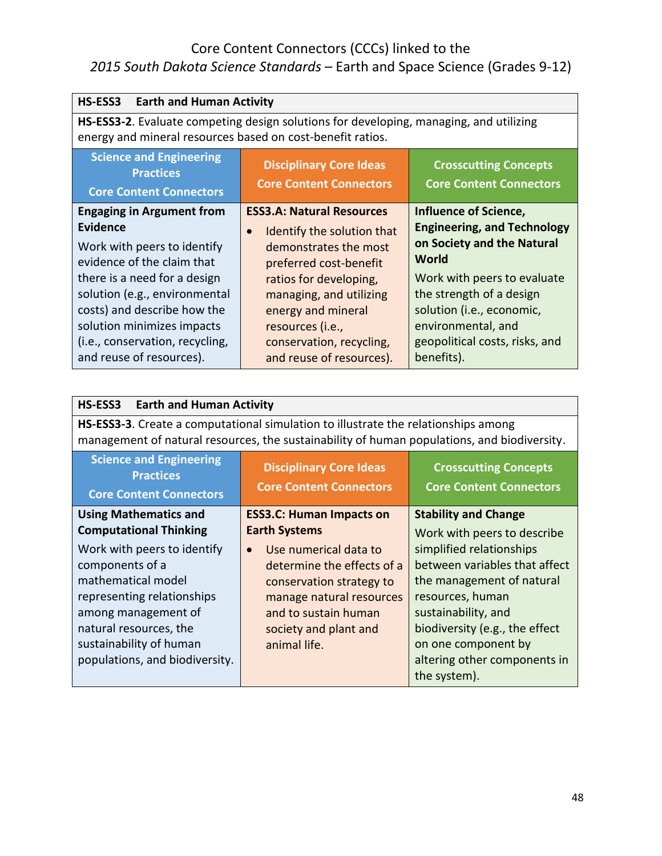| HS-ESS3<br><b>Earth and Human Activity</b>                                                                                                                                                                                                                                                                    |                                                                                                                                                                                                                                                                                       |                                                                                                                                                                                                                                                                  |
|---------------------------------------------------------------------------------------------------------------------------------------------------------------------------------------------------------------------------------------------------------------------------------------------------------------|---------------------------------------------------------------------------------------------------------------------------------------------------------------------------------------------------------------------------------------------------------------------------------------|------------------------------------------------------------------------------------------------------------------------------------------------------------------------------------------------------------------------------------------------------------------|
| HS-ESS3-2. Evaluate competing design solutions for developing, managing, and utilizing<br>energy and mineral resources based on cost-benefit ratios.                                                                                                                                                          |                                                                                                                                                                                                                                                                                       |                                                                                                                                                                                                                                                                  |
| <b>Science and Engineering</b><br><b>Practices</b><br><b>Core Content Connectors</b>                                                                                                                                                                                                                          | <b>Disciplinary Core Ideas</b><br><b>Core Content Connectors</b>                                                                                                                                                                                                                      | <b>Crosscutting Concepts</b><br><b>Core Content Connectors</b>                                                                                                                                                                                                   |
| <b>Engaging in Argument from</b><br><b>Evidence</b><br>Work with peers to identify<br>evidence of the claim that<br>there is a need for a design<br>solution (e.g., environmental<br>costs) and describe how the<br>solution minimizes impacts<br>(i.e., conservation, recycling,<br>and reuse of resources). | <b>ESS3.A: Natural Resources</b><br>Identify the solution that<br>$\bullet$<br>demonstrates the most<br>preferred cost-benefit<br>ratios for developing,<br>managing, and utilizing<br>energy and mineral<br>resources (i.e.,<br>conservation, recycling,<br>and reuse of resources). | Influence of Science,<br><b>Engineering, and Technology</b><br>on Society and the Natural<br>World<br>Work with peers to evaluate<br>the strength of a design<br>solution (i.e., economic,<br>environmental, and<br>geopolitical costs, risks, and<br>benefits). |

| <b>HS-ESS3</b><br><b>Earth and Human Activity</b>                                                                                                                                                                |                                                                                                                                                                                           |                                                                                                                                                                                                                                            |
|------------------------------------------------------------------------------------------------------------------------------------------------------------------------------------------------------------------|-------------------------------------------------------------------------------------------------------------------------------------------------------------------------------------------|--------------------------------------------------------------------------------------------------------------------------------------------------------------------------------------------------------------------------------------------|
| <b>HS-ESS3-3.</b> Create a computational simulation to illustrate the relationships among<br>management of natural resources, the sustainability of human populations, and biodiversity.                         |                                                                                                                                                                                           |                                                                                                                                                                                                                                            |
| <b>Science and Engineering</b><br><b>Practices</b><br><b>Core Content Connectors</b>                                                                                                                             | <b>Disciplinary Core Ideas</b><br><b>Core Content Connectors</b>                                                                                                                          | <b>Crosscutting Concepts</b><br><b>Core Content Connectors</b>                                                                                                                                                                             |
| <b>Using Mathematics and</b><br><b>Computational Thinking</b>                                                                                                                                                    | <b>ESS3.C: Human Impacts on</b><br><b>Earth Systems</b>                                                                                                                                   | <b>Stability and Change</b><br>Work with peers to describe                                                                                                                                                                                 |
| Work with peers to identify<br>components of a<br>mathematical model<br>representing relationships<br>among management of<br>natural resources, the<br>sustainability of human<br>populations, and biodiversity. | Use numerical data to<br>$\bullet$<br>determine the effects of a<br>conservation strategy to<br>manage natural resources<br>and to sustain human<br>society and plant and<br>animal life. | simplified relationships<br>between variables that affect<br>the management of natural<br>resources, human<br>sustainability, and<br>biodiversity (e.g., the effect<br>on one component by<br>altering other components in<br>the system). |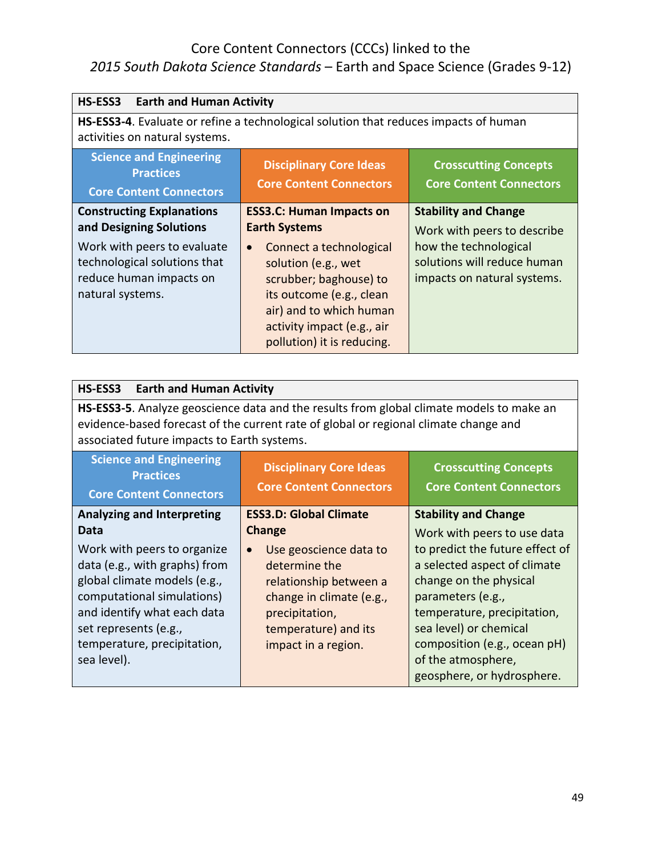| HS-ESS3 Earth and Human Activity                                                                                              |                                                                                                                                                                                                          |                                                                                     |
|-------------------------------------------------------------------------------------------------------------------------------|----------------------------------------------------------------------------------------------------------------------------------------------------------------------------------------------------------|-------------------------------------------------------------------------------------|
| <b>HS-ESS3-4.</b> Evaluate or refine a technological solution that reduces impacts of human<br>activities on natural systems. |                                                                                                                                                                                                          |                                                                                     |
| <b>Science and Engineering</b><br><b>Practices</b><br><b>Core Content Connectors</b>                                          | <b>Disciplinary Core Ideas</b><br><b>Core Content Connectors</b>                                                                                                                                         | <b>Crosscutting Concepts</b><br><b>Core Content Connectors</b>                      |
| <b>Constructing Explanations</b><br>and Designing Solutions                                                                   | <b>ESS3.C: Human Impacts on</b><br><b>Earth Systems</b>                                                                                                                                                  | <b>Stability and Change</b><br>Work with peers to describe                          |
| Work with peers to evaluate<br>technological solutions that<br>reduce human impacts on<br>natural systems.                    | Connect a technological<br>$\bullet$<br>solution (e.g., wet<br>scrubber; baghouse) to<br>its outcome (e.g., clean<br>air) and to which human<br>activity impact (e.g., air<br>pollution) it is reducing. | how the technological<br>solutions will reduce human<br>impacts on natural systems. |

| <b>HS-ESS3</b><br><b>Earth and Human Activity</b>                                                                                                                                                                                |                                                                                                                                                                             |                                                                                                                                                                                                                                                             |
|----------------------------------------------------------------------------------------------------------------------------------------------------------------------------------------------------------------------------------|-----------------------------------------------------------------------------------------------------------------------------------------------------------------------------|-------------------------------------------------------------------------------------------------------------------------------------------------------------------------------------------------------------------------------------------------------------|
| HS-ESS3-5. Analyze geoscience data and the results from global climate models to make an<br>evidence-based forecast of the current rate of global or regional climate change and<br>associated future impacts to Earth systems.  |                                                                                                                                                                             |                                                                                                                                                                                                                                                             |
| <b>Science and Engineering</b><br><b>Practices</b><br><b>Core Content Connectors</b>                                                                                                                                             | <b>Disciplinary Core Ideas</b><br><b>Core Content Connectors</b>                                                                                                            | <b>Crosscutting Concepts</b><br><b>Core Content Connectors</b>                                                                                                                                                                                              |
| <b>Analyzing and Interpreting</b><br>Data                                                                                                                                                                                        | <b>ESS3.D: Global Climate</b><br>Change                                                                                                                                     | <b>Stability and Change</b><br>Work with peers to use data                                                                                                                                                                                                  |
| Work with peers to organize<br>data (e.g., with graphs) from<br>global climate models (e.g.,<br>computational simulations)<br>and identify what each data<br>set represents (e.g.,<br>temperature, precipitation,<br>sea level). | Use geoscience data to<br>$\bullet$<br>determine the<br>relationship between a<br>change in climate (e.g.,<br>precipitation,<br>temperature) and its<br>impact in a region. | to predict the future effect of<br>a selected aspect of climate<br>change on the physical<br>parameters (e.g.,<br>temperature, precipitation,<br>sea level) or chemical<br>composition (e.g., ocean pH)<br>of the atmosphere,<br>geosphere, or hydrosphere. |